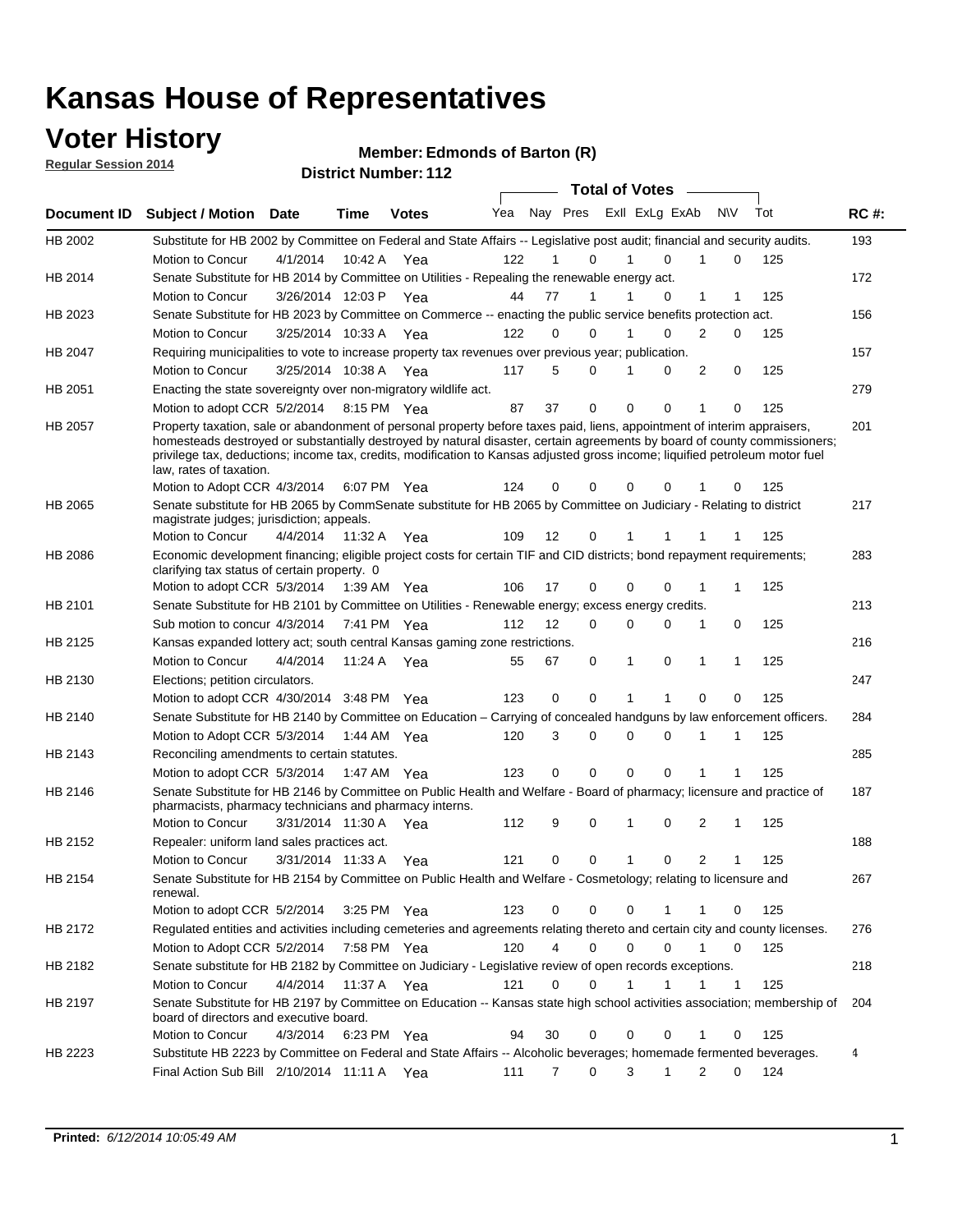### **Voter History**

**Regular Session 2014**

#### **Edmonds of Barton (R)**

|             |                                                                                                                                                                                                                                                                                                                                                                                                                                                  |                       |             | <b>DISTING MAILINGL.</b> LTZ |     |    |             | <b>Total of Votes</b>   |             |                |              |     |             |
|-------------|--------------------------------------------------------------------------------------------------------------------------------------------------------------------------------------------------------------------------------------------------------------------------------------------------------------------------------------------------------------------------------------------------------------------------------------------------|-----------------------|-------------|------------------------------|-----|----|-------------|-------------------------|-------------|----------------|--------------|-----|-------------|
| Document ID | <b>Subject / Motion</b>                                                                                                                                                                                                                                                                                                                                                                                                                          | Date                  | Time        | <b>Votes</b>                 | Yea |    |             | Nay Pres Exll ExLg ExAb |             | <b>NV</b>      |              | Tot | <b>RC#:</b> |
| HB 2002     | Substitute for HB 2002 by Committee on Federal and State Affairs -- Legislative post audit; financial and security audits.                                                                                                                                                                                                                                                                                                                       |                       |             |                              |     |    |             |                         |             |                |              |     | 193         |
|             | Motion to Concur                                                                                                                                                                                                                                                                                                                                                                                                                                 | 4/1/2014              | 10:42 A     | Yea                          | 122 |    | 0           |                         | $\Omega$    |                | 0            | 125 |             |
| HB 2014     | Senate Substitute for HB 2014 by Committee on Utilities - Repealing the renewable energy act.                                                                                                                                                                                                                                                                                                                                                    |                       |             |                              |     |    |             |                         |             |                |              |     | 172         |
|             | Motion to Concur                                                                                                                                                                                                                                                                                                                                                                                                                                 | 3/26/2014 12:03 P Yea |             |                              | 44  | 77 | 1           |                         | 0           | 1              | 1            | 125 |             |
| HB 2023     | Senate Substitute for HB 2023 by Committee on Commerce -- enacting the public service benefits protection act.                                                                                                                                                                                                                                                                                                                                   |                       |             |                              |     |    |             |                         |             |                |              |     | 156         |
|             | Motion to Concur                                                                                                                                                                                                                                                                                                                                                                                                                                 | 3/25/2014 10:33 A Yea |             |                              | 122 | 0  | 0           | 1                       | $\Omega$    | 2              | 0            | 125 |             |
| HB 2047     | Requiring municipalities to vote to increase property tax revenues over previous year; publication.                                                                                                                                                                                                                                                                                                                                              |                       |             |                              |     |    |             |                         |             |                |              |     | 157         |
|             | Motion to Concur                                                                                                                                                                                                                                                                                                                                                                                                                                 | 3/25/2014 10:38 A Yea |             |                              | 117 | 5  | 0           |                         | 0           | 2              | 0            | 125 |             |
| HB 2051     | Enacting the state sovereignty over non-migratory wildlife act.                                                                                                                                                                                                                                                                                                                                                                                  |                       |             |                              |     |    |             |                         |             |                |              |     | 279         |
|             | Motion to adopt CCR 5/2/2014                                                                                                                                                                                                                                                                                                                                                                                                                     |                       | 8:15 PM Yea |                              | 87  | 37 | $\mathbf 0$ | $\mathbf 0$             | 0           | 1              | 0            | 125 |             |
| HB 2057     | Property taxation, sale or abandonment of personal property before taxes paid, liens, appointment of interim appraisers,<br>homesteads destroyed or substantially destroyed by natural disaster, certain agreements by board of county commissioners;<br>privilege tax, deductions; income tax, credits, modification to Kansas adjusted gross income; liquified petroleum motor fuel<br>law, rates of taxation.<br>Motion to Adopt CCR 4/3/2014 |                       |             | 6:07 PM Yea                  | 124 | 0  | 0           | $\mathbf 0$             | 0           |                | 0            | 125 | 201         |
|             | Senate substitute for HB 2065 by CommSenate substitute for HB 2065 by Committee on Judiciary - Relating to district                                                                                                                                                                                                                                                                                                                              |                       |             |                              |     |    |             |                         |             |                |              |     | 217         |
| HB 2065     | magistrate judges; jurisdiction; appeals.                                                                                                                                                                                                                                                                                                                                                                                                        |                       |             |                              |     |    |             |                         |             |                |              |     |             |
|             | Motion to Concur                                                                                                                                                                                                                                                                                                                                                                                                                                 | 4/4/2014              | 11:32 A     | Yea                          | 109 | 12 | 0           | 1                       |             |                |              | 125 |             |
| HB 2086     | Economic development financing; eligible project costs for certain TIF and CID districts; bond repayment requirements;<br>clarifying tax status of certain property. 0                                                                                                                                                                                                                                                                           |                       |             |                              |     |    |             |                         |             |                |              |     | 283         |
|             | Motion to adopt CCR 5/3/2014                                                                                                                                                                                                                                                                                                                                                                                                                     |                       | 1:39 AM Yea |                              | 106 | 17 | 0           | $\mathbf 0$             | $\Omega$    | 1              | 1            | 125 |             |
| HB 2101     | Senate Substitute for HB 2101 by Committee on Utilities - Renewable energy; excess energy credits.                                                                                                                                                                                                                                                                                                                                               |                       |             |                              |     |    |             |                         |             |                |              |     | 213         |
|             | Sub motion to concur 4/3/2014                                                                                                                                                                                                                                                                                                                                                                                                                    |                       |             | 7:41 PM Yea                  | 112 | 12 | 0           | $\mathbf 0$             | $\mathbf 0$ | 1              | 0            | 125 |             |
| HB 2125     | Kansas expanded lottery act; south central Kansas gaming zone restrictions.                                                                                                                                                                                                                                                                                                                                                                      |                       |             |                              |     |    |             |                         |             |                |              |     | 216         |
|             | Motion to Concur                                                                                                                                                                                                                                                                                                                                                                                                                                 | 4/4/2014              | 11:24 A     | Yea                          | 55  | 67 | 0           | 1                       | 0           | 1              | 1            | 125 |             |
| HB 2130     | Elections; petition circulators.                                                                                                                                                                                                                                                                                                                                                                                                                 |                       |             |                              |     |    |             |                         |             |                |              |     | 247         |
|             | Motion to adopt CCR 4/30/2014 3:48 PM Yea                                                                                                                                                                                                                                                                                                                                                                                                        |                       |             |                              | 123 | 0  | 0           |                         |             | $\Omega$       | 0            | 125 |             |
| HB 2140     | Senate Substitute for HB 2140 by Committee on Education – Carrying of concealed handguns by law enforcement officers.                                                                                                                                                                                                                                                                                                                            |                       |             |                              |     |    |             |                         |             |                |              |     | 284         |
|             | Motion to Adopt CCR 5/3/2014                                                                                                                                                                                                                                                                                                                                                                                                                     |                       |             | 1:44 AM Yea                  | 120 | 3  | 0           | $\mathbf 0$             | $\mathbf 0$ | 1              | 1            | 125 |             |
| HB 2143     | Reconciling amendments to certain statutes.                                                                                                                                                                                                                                                                                                                                                                                                      |                       |             |                              |     |    |             |                         |             |                |              |     | 285         |
|             | Motion to adopt CCR 5/3/2014                                                                                                                                                                                                                                                                                                                                                                                                                     |                       | 1:47 AM Yea |                              | 123 | 0  | 0           | $\mathbf 0$             | $\mathbf 0$ | 1              | 1            | 125 |             |
| HB 2146     | Senate Substitute for HB 2146 by Committee on Public Health and Welfare - Board of pharmacy; licensure and practice of<br>pharmacists, pharmacy technicians and pharmacy interns.                                                                                                                                                                                                                                                                |                       |             |                              |     |    |             |                         |             |                |              |     | 187         |
|             | Motion to Concur                                                                                                                                                                                                                                                                                                                                                                                                                                 | 3/31/2014 11:30 A     |             | Yea                          | 112 | 9  | 0           | 1                       | 0           | 2              | 1            | 125 |             |
| HB 2152     | Repealer: uniform land sales practices act.                                                                                                                                                                                                                                                                                                                                                                                                      |                       |             |                              |     |    |             |                         |             |                |              |     | 188         |
|             | Motion to Concur                                                                                                                                                                                                                                                                                                                                                                                                                                 | 3/31/2014 11:33 A     |             | Yea                          | 121 | 0  | 0           | 1                       | 0           | $\overline{2}$ | 1            | 125 |             |
| HB 2154     | Senate Substitute for HB 2154 by Committee on Public Health and Welfare - Cosmetology; relating to licensure and<br>renewal.                                                                                                                                                                                                                                                                                                                     |                       |             |                              |     |    |             |                         |             |                |              |     | 267         |
|             | Motion to adopt CCR 5/2/2014                                                                                                                                                                                                                                                                                                                                                                                                                     |                       |             | 3:25 PM Yea                  | 123 | 0  | 0           | 0                       | 1           | 1              | 0            | 125 |             |
| HB 2172     | Regulated entities and activities including cemeteries and agreements relating thereto and certain city and county licenses.                                                                                                                                                                                                                                                                                                                     |                       |             |                              |     |    |             |                         |             |                |              |     | 276         |
|             | Motion to Adopt CCR 5/2/2014                                                                                                                                                                                                                                                                                                                                                                                                                     |                       |             | 7:58 PM Yea                  | 120 | 4  | $\mathbf 0$ | $\mathbf 0$             | $\Omega$    | $\mathbf{1}$   | $\mathbf 0$  | 125 |             |
| HB 2182     | Senate substitute for HB 2182 by Committee on Judiciary - Legislative review of open records exceptions.                                                                                                                                                                                                                                                                                                                                         |                       |             |                              |     |    |             |                         |             |                |              |     | 218         |
|             | Motion to Concur                                                                                                                                                                                                                                                                                                                                                                                                                                 | 4/4/2014              | 11:37 A Yea |                              | 121 | 0  | $\mathbf 0$ | $\mathbf{1}$<br>1       |             | 1              | $\mathbf{1}$ | 125 |             |
| HB 2197     | Senate Substitute for HB 2197 by Committee on Education -- Kansas state high school activities association; membership of<br>board of directors and executive board.                                                                                                                                                                                                                                                                             |                       |             |                              |     |    |             |                         |             |                |              |     | 204         |
|             | Motion to Concur                                                                                                                                                                                                                                                                                                                                                                                                                                 | 4/3/2014              |             | 6:23 PM Yea                  | 94  | 30 | 0           | 0                       | 0           | 1              | 0            | 125 |             |
| HB 2223     | Substitute HB 2223 by Committee on Federal and State Affairs -- Alcoholic beverages; homemade fermented beverages.                                                                                                                                                                                                                                                                                                                               |                       |             |                              |     |    |             |                         |             |                |              |     | 4           |
|             | Final Action Sub Bill 2/10/2014 11:11 A Yea                                                                                                                                                                                                                                                                                                                                                                                                      |                       |             |                              | 111 | 7  | 0           | 3                       | 1           | 2              | 0            | 124 |             |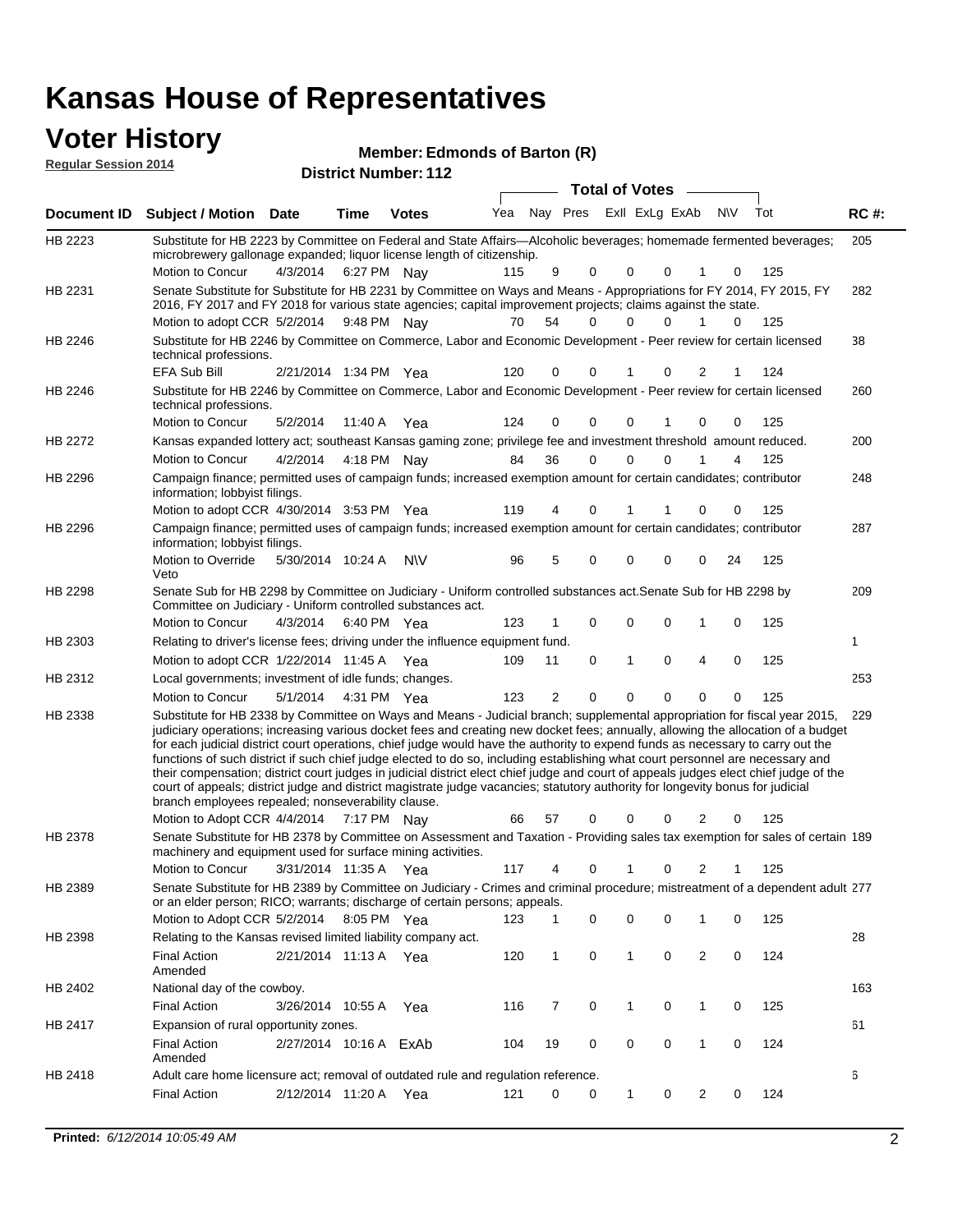### **Voter History**

**Regular Session 2014**

#### **Edmonds of Barton (R)**

|                    | DISTRICT MAILIDEL. I IZ<br>Total of Votes __                                                                                                                                                                                                                                                                                                                                                                                                                                                                                                                                                                                                                                                                                                                                                                                                                                                                    |                        |             |              |     |                         |             |             |          |                |           |     |             |
|--------------------|-----------------------------------------------------------------------------------------------------------------------------------------------------------------------------------------------------------------------------------------------------------------------------------------------------------------------------------------------------------------------------------------------------------------------------------------------------------------------------------------------------------------------------------------------------------------------------------------------------------------------------------------------------------------------------------------------------------------------------------------------------------------------------------------------------------------------------------------------------------------------------------------------------------------|------------------------|-------------|--------------|-----|-------------------------|-------------|-------------|----------|----------------|-----------|-----|-------------|
| <b>Document ID</b> | <b>Subject / Motion Date</b>                                                                                                                                                                                                                                                                                                                                                                                                                                                                                                                                                                                                                                                                                                                                                                                                                                                                                    |                        | <b>Time</b> | <b>Votes</b> | Yea | Nay Pres ExII ExLg ExAb |             |             |          |                | <b>NV</b> | Tot | <b>RC#:</b> |
| HB 2223            | Substitute for HB 2223 by Committee on Federal and State Affairs—Alcoholic beverages; homemade fermented beverages;<br>microbrewery gallonage expanded; liquor license length of citizenship.<br>Motion to Concur                                                                                                                                                                                                                                                                                                                                                                                                                                                                                                                                                                                                                                                                                               | 4/3/2014               | 6:27 PM Nay |              | 115 | 9                       | 0           | 0           | 0        | 1              | 0         | 125 | 205         |
| HB 2231            | Senate Substitute for Substitute for HB 2231 by Committee on Ways and Means - Appropriations for FY 2014, FY 2015, FY<br>2016, FY 2017 and FY 2018 for various state agencies; capital improvement projects; claims against the state.<br>Motion to adopt CCR 5/2/2014 9:48 PM Nay                                                                                                                                                                                                                                                                                                                                                                                                                                                                                                                                                                                                                              |                        |             |              | 70  | 54                      | 0           | $\Omega$    | $\Omega$ | 1              | $\Omega$  | 125 | 282         |
| HB 2246            | Substitute for HB 2246 by Committee on Commerce, Labor and Economic Development - Peer review for certain licensed<br>technical professions.                                                                                                                                                                                                                                                                                                                                                                                                                                                                                                                                                                                                                                                                                                                                                                    |                        |             |              |     |                         |             |             |          |                |           |     | 38          |
|                    | EFA Sub Bill                                                                                                                                                                                                                                                                                                                                                                                                                                                                                                                                                                                                                                                                                                                                                                                                                                                                                                    | 2/21/2014 1:34 PM Yea  |             |              | 120 | 0                       | 0           | 1           | 0        | 2              | 1         | 124 |             |
| HB 2246            | Substitute for HB 2246 by Committee on Commerce, Labor and Economic Development - Peer review for certain licensed<br>technical professions.                                                                                                                                                                                                                                                                                                                                                                                                                                                                                                                                                                                                                                                                                                                                                                    |                        |             |              |     |                         |             |             |          |                |           |     | 260         |
|                    | Motion to Concur                                                                                                                                                                                                                                                                                                                                                                                                                                                                                                                                                                                                                                                                                                                                                                                                                                                                                                | 5/2/2014               | 11:40 A     | Yea          | 124 | 0                       | $\mathbf 0$ | 0           |          | 0              | 0         | 125 |             |
| HB 2272            | Kansas expanded lottery act; southeast Kansas gaming zone; privilege fee and investment threshold amount reduced.                                                                                                                                                                                                                                                                                                                                                                                                                                                                                                                                                                                                                                                                                                                                                                                               |                        |             |              |     |                         |             |             |          |                |           |     | 200         |
|                    | Motion to Concur                                                                                                                                                                                                                                                                                                                                                                                                                                                                                                                                                                                                                                                                                                                                                                                                                                                                                                | 4/2/2014               | 4:18 PM Nay |              | 84  | 36                      | 0           | 0           | $\Omega$ |                | 4         | 125 |             |
| HB 2296            | Campaign finance; permitted uses of campaign funds; increased exemption amount for certain candidates; contributor<br>information; lobbyist filings.                                                                                                                                                                                                                                                                                                                                                                                                                                                                                                                                                                                                                                                                                                                                                            |                        |             |              |     |                         |             |             |          |                |           |     | 248         |
|                    | Motion to adopt CCR 4/30/2014 3:53 PM Yea                                                                                                                                                                                                                                                                                                                                                                                                                                                                                                                                                                                                                                                                                                                                                                                                                                                                       |                        |             |              | 119 | 4                       | 0           | 1           |          | 0              | 0         | 125 |             |
| HB 2296            | Campaign finance; permitted uses of campaign funds; increased exemption amount for certain candidates; contributor<br>information; lobbyist filings.                                                                                                                                                                                                                                                                                                                                                                                                                                                                                                                                                                                                                                                                                                                                                            |                        |             |              |     |                         |             |             |          |                |           |     | 287         |
|                    | Motion to Override<br>Veto                                                                                                                                                                                                                                                                                                                                                                                                                                                                                                                                                                                                                                                                                                                                                                                                                                                                                      | 5/30/2014 10:24 A      |             | N\V          | 96  | 5                       | 0           | 0           | 0        | 0              | 24        | 125 |             |
| HB 2298            | Senate Sub for HB 2298 by Committee on Judiciary - Uniform controlled substances act. Senate Sub for HB 2298 by<br>Committee on Judiciary - Uniform controlled substances act.<br>Motion to Concur                                                                                                                                                                                                                                                                                                                                                                                                                                                                                                                                                                                                                                                                                                              | 4/3/2014               | 6:40 PM Yea |              | 123 | 1                       | 0           | 0           | 0        | 1              | 0         | 125 | 209         |
| HB 2303            | Relating to driver's license fees; driving under the influence equipment fund.                                                                                                                                                                                                                                                                                                                                                                                                                                                                                                                                                                                                                                                                                                                                                                                                                                  |                        |             |              |     |                         |             |             |          |                |           |     | 1           |
|                    | Motion to adopt CCR 1/22/2014 11:45 A                                                                                                                                                                                                                                                                                                                                                                                                                                                                                                                                                                                                                                                                                                                                                                                                                                                                           |                        |             | Yea          | 109 | 11                      | 0           | 1           | 0        | 4              | 0         | 125 |             |
| HB 2312            | Local governments; investment of idle funds; changes.                                                                                                                                                                                                                                                                                                                                                                                                                                                                                                                                                                                                                                                                                                                                                                                                                                                           |                        |             |              |     |                         |             |             |          |                |           |     | 253         |
|                    | Motion to Concur                                                                                                                                                                                                                                                                                                                                                                                                                                                                                                                                                                                                                                                                                                                                                                                                                                                                                                | 5/1/2014               | 4:31 PM Yea |              | 123 | $\overline{2}$          | 0           | $\mathbf 0$ | 0        | 0              | 0         | 125 |             |
| HB 2338            | Substitute for HB 2338 by Committee on Ways and Means - Judicial branch; supplemental appropriation for fiscal year 2015,<br>judiciary operations; increasing various docket fees and creating new docket fees; annually, allowing the allocation of a budget<br>for each judicial district court operations, chief judge would have the authority to expend funds as necessary to carry out the<br>functions of such district if such chief judge elected to do so, including establishing what court personnel are necessary and<br>their compensation; district court judges in judicial district elect chief judge and court of appeals judges elect chief judge of the<br>court of appeals; district judge and district magistrate judge vacancies; statutory authority for longevity bonus for judicial<br>branch employees repealed; nonseverability clause.<br>Motion to Adopt CCR 4/4/2014 7:17 PM Nay |                        |             |              | 66  | 57                      | 0           | 0           | 0        | 2              | 0         | 125 | 229         |
| HB 2378            | Senate Substitute for HB 2378 by Committee on Assessment and Taxation - Providing sales tax exemption for sales of certain 189<br>machinery and equipment used for surface mining activities.                                                                                                                                                                                                                                                                                                                                                                                                                                                                                                                                                                                                                                                                                                                   |                        |             |              |     |                         |             |             |          |                |           |     |             |
|                    | Motion to Concur 3/31/2014 11:35 A Yea                                                                                                                                                                                                                                                                                                                                                                                                                                                                                                                                                                                                                                                                                                                                                                                                                                                                          |                        |             |              |     | 117 4 0 1 0 2 1 125     |             |             |          |                |           |     |             |
| HB 2389            | Senate Substitute for HB 2389 by Committee on Judiciary - Crimes and criminal procedure; mistreatment of a dependent adult 277<br>or an elder person; RICO; warrants; discharge of certain persons; appeals.                                                                                                                                                                                                                                                                                                                                                                                                                                                                                                                                                                                                                                                                                                    |                        |             |              |     |                         |             |             |          |                |           |     |             |
|                    | Motion to Adopt CCR 5/2/2014 8:05 PM Yea                                                                                                                                                                                                                                                                                                                                                                                                                                                                                                                                                                                                                                                                                                                                                                                                                                                                        |                        |             |              | 123 | 1                       | 0           | 0           | 0        | 1              | 0         | 125 |             |
| HB 2398            | Relating to the Kansas revised limited liability company act.<br><b>Final Action</b><br>Amended                                                                                                                                                                                                                                                                                                                                                                                                                                                                                                                                                                                                                                                                                                                                                                                                                 | 2/21/2014 11:13 A Yea  |             |              | 120 | 1                       | 0           | 1           | 0        | $\overline{2}$ | 0         | 124 | 28          |
| HB 2402            | National day of the cowboy.                                                                                                                                                                                                                                                                                                                                                                                                                                                                                                                                                                                                                                                                                                                                                                                                                                                                                     |                        |             |              |     |                         |             |             |          |                |           |     | 163         |
|                    | <b>Final Action</b>                                                                                                                                                                                                                                                                                                                                                                                                                                                                                                                                                                                                                                                                                                                                                                                                                                                                                             | 3/26/2014 10:55 A      |             | Yea          | 116 | 7                       | 0           | 1           | 0        | 1              | 0         | 125 |             |
| HB 2417            | Expansion of rural opportunity zones.                                                                                                                                                                                                                                                                                                                                                                                                                                                                                                                                                                                                                                                                                                                                                                                                                                                                           |                        |             |              |     |                         |             |             |          |                |           |     | 61          |
|                    | <b>Final Action</b><br>Amended                                                                                                                                                                                                                                                                                                                                                                                                                                                                                                                                                                                                                                                                                                                                                                                                                                                                                  | 2/27/2014 10:16 A ExAb |             |              | 104 | 19                      | 0           | 0           | 0        | 1              | 0         | 124 |             |
| HB 2418            | Adult care home licensure act; removal of outdated rule and regulation reference.                                                                                                                                                                                                                                                                                                                                                                                                                                                                                                                                                                                                                                                                                                                                                                                                                               |                        |             |              |     |                         |             |             |          |                |           |     | 6           |
|                    | <b>Final Action</b>                                                                                                                                                                                                                                                                                                                                                                                                                                                                                                                                                                                                                                                                                                                                                                                                                                                                                             | 2/12/2014 11:20 A Yea  |             |              | 121 | 0                       | 0           | 1           | 0        | $\overline{2}$ | 0         | 124 |             |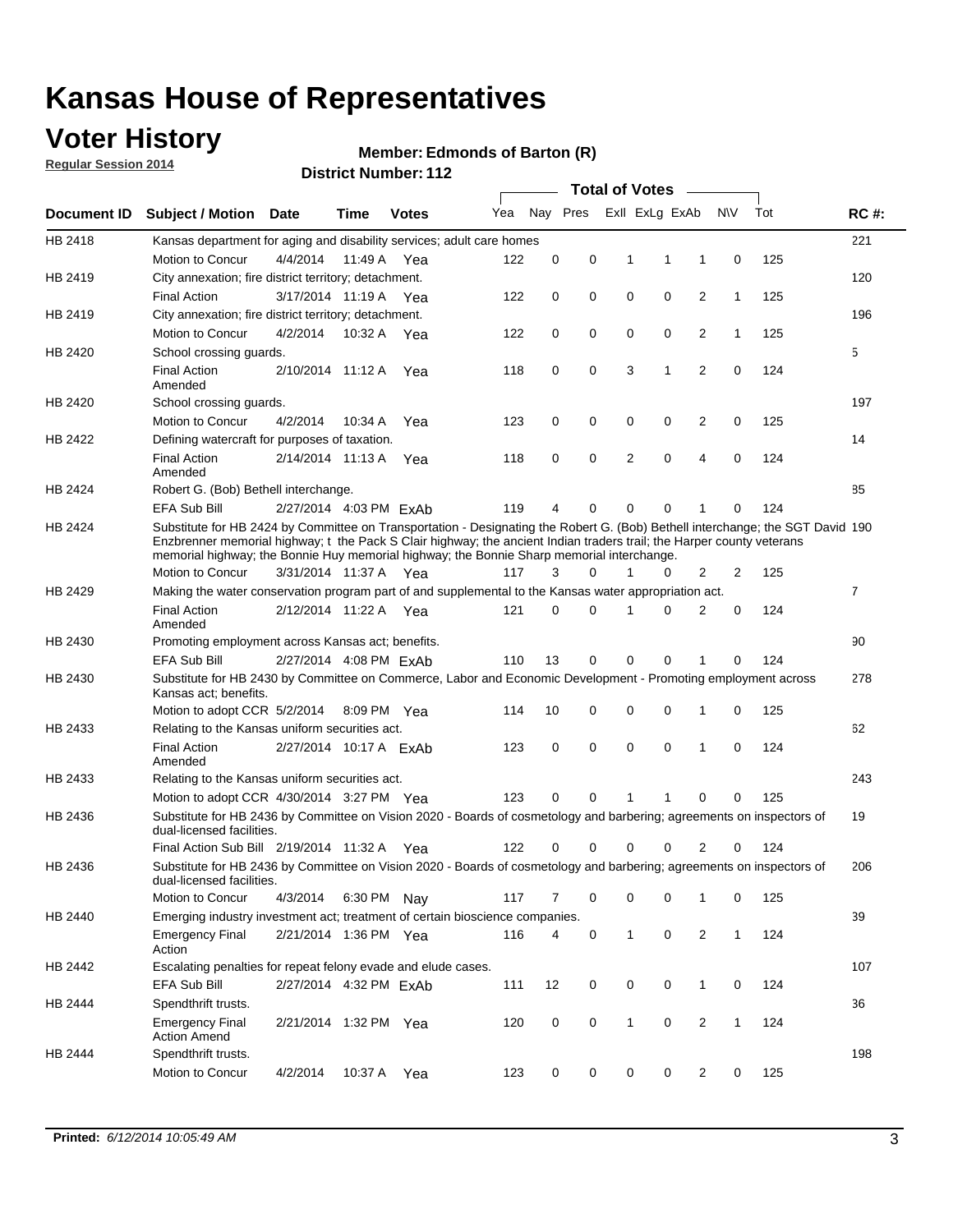## **Voter History**

**Regular Session 2014**

#### **Edmonds of Barton (R)**

|                    |                                                                                                                                                                                                                                                                                                                                                      |                        |             | DISTRICT MAILINGLETIZ | <b>Total of Votes</b><br>$\sim$ |          |          |   |                |                |              |     |                |  |
|--------------------|------------------------------------------------------------------------------------------------------------------------------------------------------------------------------------------------------------------------------------------------------------------------------------------------------------------------------------------------------|------------------------|-------------|-----------------------|---------------------------------|----------|----------|---|----------------|----------------|--------------|-----|----------------|--|
| <b>Document ID</b> | <b>Subject / Motion</b>                                                                                                                                                                                                                                                                                                                              | Date                   | Time        | <b>Votes</b>          | Yea                             |          | Nay Pres |   | Exil ExLg ExAb |                | <b>NV</b>    | Tot | <b>RC#:</b>    |  |
| HB 2418            | Kansas department for aging and disability services; adult care homes                                                                                                                                                                                                                                                                                |                        |             |                       |                                 |          |          |   |                |                |              |     | 221            |  |
|                    | Motion to Concur                                                                                                                                                                                                                                                                                                                                     | 4/4/2014               | 11:49 A     | Yea                   | 122                             | 0        | 0        | 1 | 1              | 1              | 0            | 125 |                |  |
| HB 2419            | City annexation; fire district territory; detachment.                                                                                                                                                                                                                                                                                                |                        |             |                       |                                 |          |          |   |                |                |              |     | 120            |  |
|                    | <b>Final Action</b>                                                                                                                                                                                                                                                                                                                                  | 3/17/2014 11:19 A Yea  |             |                       | 122                             | 0        | 0        | 0 | 0              | 2              | $\mathbf{1}$ | 125 |                |  |
| HB 2419            | City annexation; fire district territory; detachment.                                                                                                                                                                                                                                                                                                |                        |             |                       |                                 |          |          |   |                |                |              |     | 196            |  |
|                    | Motion to Concur                                                                                                                                                                                                                                                                                                                                     | 4/2/2014               | 10:32 A Yea |                       | 122                             | 0        | 0        | 0 | 0              | 2              | $\mathbf{1}$ | 125 |                |  |
| HB 2420            | School crossing guards.                                                                                                                                                                                                                                                                                                                              |                        |             |                       |                                 |          |          |   |                |                |              |     | 5              |  |
|                    | <b>Final Action</b><br>Amended                                                                                                                                                                                                                                                                                                                       | 2/10/2014 11:12 A      |             | Yea                   | 118                             | 0        | 0        | 3 | 1              | $\overline{2}$ | 0            | 124 |                |  |
| HB 2420            | School crossing guards.                                                                                                                                                                                                                                                                                                                              |                        |             |                       |                                 |          |          |   |                |                |              |     | 197            |  |
|                    | Motion to Concur                                                                                                                                                                                                                                                                                                                                     | 4/2/2014               | 10:34 A     | Yea                   | 123                             | 0        | 0        | 0 | 0              | 2              | 0            | 125 |                |  |
| HB 2422            | Defining watercraft for purposes of taxation.                                                                                                                                                                                                                                                                                                        |                        |             |                       |                                 |          |          |   |                |                |              |     | 14             |  |
|                    | <b>Final Action</b><br>Amended                                                                                                                                                                                                                                                                                                                       | 2/14/2014 11:13 A      |             | Yea                   | 118                             | 0        | 0        | 2 | $\mathbf 0$    | 4              | 0            | 124 |                |  |
| HB 2424            | Robert G. (Bob) Bethell interchange.                                                                                                                                                                                                                                                                                                                 |                        |             |                       |                                 |          |          |   |                |                |              |     | 85             |  |
|                    | <b>EFA Sub Bill</b>                                                                                                                                                                                                                                                                                                                                  | 2/27/2014 4:03 PM ExAb |             |                       | 119                             | 4        | 0        | 0 | $\mathbf 0$    | 1              | 0            | 124 |                |  |
| HB 2424            | Substitute for HB 2424 by Committee on Transportation - Designating the Robert G. (Bob) Bethell interchange; the SGT David 190<br>Enzbrenner memorial highway; t the Pack S Clair highway; the ancient Indian traders trail; the Harper county veterans<br>memorial highway; the Bonnie Huy memorial highway; the Bonnie Sharp memorial interchange. |                        |             |                       |                                 |          |          |   |                |                |              |     |                |  |
|                    | Motion to Concur                                                                                                                                                                                                                                                                                                                                     | 3/31/2014 11:37 A Yea  |             |                       | 117                             | 3        | $\Omega$ | 1 | 0              | 2              | 2            | 125 |                |  |
| HB 2429            | Making the water conservation program part of and supplemental to the Kansas water appropriation act.                                                                                                                                                                                                                                                |                        |             |                       |                                 |          |          |   |                |                |              |     | $\overline{7}$ |  |
|                    | <b>Final Action</b><br>Amended                                                                                                                                                                                                                                                                                                                       | 2/12/2014 11:22 A Yea  |             |                       | 121                             | $\Omega$ | 0        | 1 | $\Omega$       | 2              | 0            | 124 |                |  |
| HB 2430            | Promoting employment across Kansas act; benefits.                                                                                                                                                                                                                                                                                                    |                        |             |                       |                                 |          |          |   |                |                |              |     | 90             |  |
|                    | <b>EFA Sub Bill</b>                                                                                                                                                                                                                                                                                                                                  | 2/27/2014 4:08 PM ExAb |             |                       | 110                             | 13       | 0        | 0 | 0              | 1              | 0            | 124 |                |  |
| HB 2430            | Substitute for HB 2430 by Committee on Commerce, Labor and Economic Development - Promoting employment across                                                                                                                                                                                                                                        |                        |             |                       |                                 |          |          |   |                |                |              |     | 278            |  |
|                    | Kansas act; benefits.<br>Motion to adopt CCR 5/2/2014                                                                                                                                                                                                                                                                                                |                        | 8:09 PM Yea |                       | 114                             | 10       | 0        | 0 | 0              | 1              | 0            | 125 |                |  |
| HB 2433            | Relating to the Kansas uniform securities act.                                                                                                                                                                                                                                                                                                       |                        |             |                       |                                 |          |          |   |                |                |              |     | 62             |  |
|                    | <b>Final Action</b><br>Amended                                                                                                                                                                                                                                                                                                                       | 2/27/2014 10:17 A ExAb |             |                       | 123                             | 0        | 0        | 0 | $\mathbf 0$    | 1              | 0            | 124 |                |  |
| HB 2433            | Relating to the Kansas uniform securities act.                                                                                                                                                                                                                                                                                                       |                        |             |                       |                                 |          |          |   |                |                |              |     | 243            |  |
|                    | Motion to adopt CCR 4/30/2014 3:27 PM Yea                                                                                                                                                                                                                                                                                                            |                        |             |                       | 123                             | $\Omega$ | 0        | 1 | 1              | 0              | 0            | 125 |                |  |
| HB 2436            | Substitute for HB 2436 by Committee on Vision 2020 - Boards of cosmetology and barbering; agreements on inspectors of<br>dual-licensed facilities.                                                                                                                                                                                                   |                        |             |                       |                                 |          |          |   |                |                |              |     | 19             |  |
|                    | Final Action Sub Bill 2/19/2014 11:32 A                                                                                                                                                                                                                                                                                                              |                        |             | Yea                   | 122                             | 0        | 0        | 0 | 0              | 2              | 0            | 124 |                |  |
| HB 2436            | Substitute for HB 2436 by Committee on Vision 2020 - Boards of cosmetology and barbering; agreements on inspectors of<br>dual-licensed facilities.                                                                                                                                                                                                   |                        |             |                       |                                 |          |          |   |                |                |              |     | 206            |  |
|                    | Motion to Concur                                                                                                                                                                                                                                                                                                                                     | 4/3/2014               | 6:30 PM Nay |                       | 117                             | 7        | 0        | 0 | 0              | $\mathbf{1}$   | 0            | 125 |                |  |
| HB 2440            | Emerging industry investment act; treatment of certain bioscience companies.                                                                                                                                                                                                                                                                         |                        |             |                       |                                 |          |          |   |                |                |              |     | 39             |  |
|                    | <b>Emergency Final</b><br>Action                                                                                                                                                                                                                                                                                                                     | 2/21/2014 1:36 PM Yea  |             |                       | 116                             | 4        | 0        | 1 | $\mathbf 0$    | 2              | $\mathbf{1}$ | 124 |                |  |
| HB 2442            | Escalating penalties for repeat felony evade and elude cases.                                                                                                                                                                                                                                                                                        |                        |             |                       |                                 |          |          |   |                |                |              |     | 107            |  |
|                    | EFA Sub Bill                                                                                                                                                                                                                                                                                                                                         | 2/27/2014 4:32 PM ExAb |             |                       | 111                             | 12       | 0        | 0 | 0              | $\mathbf{1}$   | 0            | 124 |                |  |
| HB 2444            | Spendthrift trusts.                                                                                                                                                                                                                                                                                                                                  |                        |             |                       |                                 |          |          |   |                |                |              |     | 36             |  |
|                    | <b>Emergency Final</b><br><b>Action Amend</b>                                                                                                                                                                                                                                                                                                        | 2/21/2014 1:32 PM Yea  |             |                       | 120                             | 0        | 0        | 1 | 0              | $\overline{2}$ | $\mathbf{1}$ | 124 |                |  |
| HB 2444            | Spendthrift trusts.<br>Motion to Concur                                                                                                                                                                                                                                                                                                              | 4/2/2014               | 10:37 A Yea |                       | 123                             | 0        | 0        | 0 | 0              | $\overline{2}$ | 0            | 125 | 198            |  |
|                    |                                                                                                                                                                                                                                                                                                                                                      |                        |             |                       |                                 |          |          |   |                |                |              |     |                |  |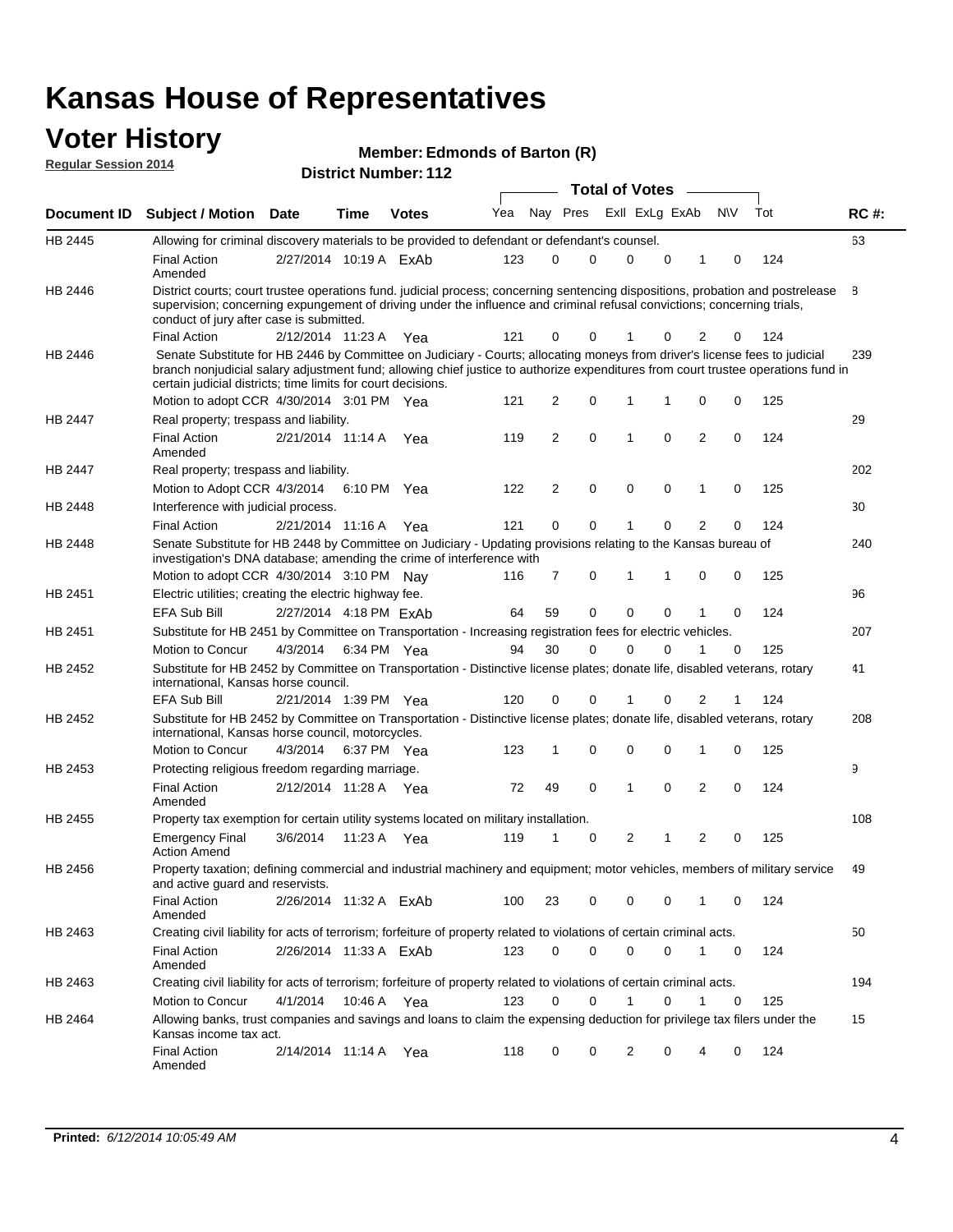### **Voter History Regular Session 2014**

**Edmonds of Barton (R)**

|                |                                                                                                                                                                                                                                                                                                                                 |                        |      |              |     |    |             | <b>Total of Votes</b> |             |                |             |     |             |
|----------------|---------------------------------------------------------------------------------------------------------------------------------------------------------------------------------------------------------------------------------------------------------------------------------------------------------------------------------|------------------------|------|--------------|-----|----|-------------|-----------------------|-------------|----------------|-------------|-----|-------------|
|                | Document ID Subject / Motion Date                                                                                                                                                                                                                                                                                               |                        | Time | <b>Votes</b> | Yea |    | Nay Pres    | Exll ExLg ExAb        |             |                | <b>NV</b>   | Tot | <b>RC#:</b> |
| HB 2445        | Allowing for criminal discovery materials to be provided to defendant or defendant's counsel.                                                                                                                                                                                                                                   |                        |      |              |     |    |             |                       |             |                |             |     | 63          |
|                | <b>Final Action</b><br>Amended                                                                                                                                                                                                                                                                                                  | 2/27/2014 10:19 A ExAb |      |              | 123 | 0  | 0           | $\mathbf 0$           | $\mathbf 0$ | 1              | 0           | 124 |             |
| HB 2446        | District courts; court trustee operations fund. judicial process; concerning sentencing dispositions, probation and postrelease<br>supervision; concerning expungement of driving under the influence and criminal refusal convictions; concerning trials,<br>conduct of jury after case is submitted.                          |                        |      |              |     |    |             |                       |             |                |             |     | 8           |
|                | <b>Final Action</b>                                                                                                                                                                                                                                                                                                             | 2/12/2014 11:23 A Yea  |      |              | 121 | 0  | 0           |                       | 0           | 2              | 0           | 124 |             |
| HB 2446        | Senate Substitute for HB 2446 by Committee on Judiciary - Courts; allocating moneys from driver's license fees to judicial<br>branch nonjudicial salary adjustment fund; allowing chief justice to authorize expenditures from court trustee operations fund in<br>certain judicial districts; time limits for court decisions. |                        |      |              |     |    |             |                       |             |                |             |     | 239         |
|                | Motion to adopt CCR 4/30/2014 3:01 PM Yea                                                                                                                                                                                                                                                                                       |                        |      |              | 121 | 2  | 0           | 1                     | 1           | 0              | 0           | 125 |             |
| <b>HB 2447</b> | Real property; trespass and liability.                                                                                                                                                                                                                                                                                          |                        |      |              |     |    |             |                       |             |                |             |     | 29          |
|                | <b>Final Action</b><br>Amended                                                                                                                                                                                                                                                                                                  | 2/21/2014 11:14 A Yea  |      |              | 119 | 2  | $\mathbf 0$ | $\mathbf 1$           | $\mathbf 0$ | 2              | 0           | 124 |             |
| HB 2447        | Real property; trespass and liability.                                                                                                                                                                                                                                                                                          |                        |      |              |     |    |             |                       |             |                |             |     | 202         |
|                | Motion to Adopt CCR 4/3/2014                                                                                                                                                                                                                                                                                                    |                        |      | 6:10 PM Yea  | 122 | 2  | $\mathbf 0$ | $\mathbf 0$           | $\mathbf 0$ | 1              | 0           | 125 |             |
| HB 2448        | Interference with judicial process.                                                                                                                                                                                                                                                                                             |                        |      |              |     |    |             |                       |             |                |             |     | 30          |
|                | <b>Final Action</b>                                                                                                                                                                                                                                                                                                             | 2/21/2014 11:16 A Yea  |      |              | 121 | 0  | 0           | $\mathbf 1$           | 0           | $\overline{2}$ | 0           | 124 |             |
| HB 2448        | Senate Substitute for HB 2448 by Committee on Judiciary - Updating provisions relating to the Kansas bureau of<br>investigation's DNA database; amending the crime of interference with                                                                                                                                         |                        |      |              |     |    |             |                       |             |                |             |     | 240         |
|                | Motion to adopt CCR 4/30/2014 3:10 PM Nav                                                                                                                                                                                                                                                                                       |                        |      |              | 116 | 7  | 0           | 1                     | 1           | 0              | 0           | 125 |             |
| HB 2451        | Electric utilities; creating the electric highway fee.                                                                                                                                                                                                                                                                          |                        |      |              |     |    |             |                       |             |                |             |     | 96          |
|                | <b>EFA Sub Bill</b>                                                                                                                                                                                                                                                                                                             | 2/27/2014 4:18 PM ExAb |      |              | 64  | 59 | 0           | $\mathbf 0$           | 0           | 1              | 0           | 124 |             |
| HB 2451        | Substitute for HB 2451 by Committee on Transportation - Increasing registration fees for electric vehicles.                                                                                                                                                                                                                     |                        |      |              |     |    |             |                       |             |                |             |     | 207         |
|                | Motion to Concur                                                                                                                                                                                                                                                                                                                | 4/3/2014               |      | 6:34 PM Yea  | 94  | 30 | 0           | $\Omega$              | 0           |                | 0           | 125 |             |
| HB 2452        | Substitute for HB 2452 by Committee on Transportation - Distinctive license plates; donate life, disabled veterans, rotary<br>international, Kansas horse council.                                                                                                                                                              |                        |      |              |     |    |             |                       |             |                |             |     | 41          |
|                | <b>EFA Sub Bill</b>                                                                                                                                                                                                                                                                                                             | 2/21/2014 1:39 PM Yea  |      |              | 120 | 0  | 0           |                       | 0           | 2              | 1           | 124 |             |
| HB 2452        | Substitute for HB 2452 by Committee on Transportation - Distinctive license plates; donate life, disabled veterans, rotary<br>international, Kansas horse council, motorcycles.                                                                                                                                                 |                        |      |              |     |    |             |                       |             |                |             |     | 208         |
|                | Motion to Concur                                                                                                                                                                                                                                                                                                                | 4/3/2014               |      | 6:37 PM Yea  | 123 | 1  | $\mathbf 0$ | $\mathbf 0$           | 0           | 1              | 0           | 125 |             |
| HB 2453        | Protecting religious freedom regarding marriage.                                                                                                                                                                                                                                                                                |                        |      |              |     |    |             |                       |             |                |             |     | 9           |
|                | <b>Final Action</b><br>Amended                                                                                                                                                                                                                                                                                                  | 2/12/2014 11:28 A Yea  |      |              | 72  | 49 | $\mathbf 0$ | $\mathbf{1}$          | $\Omega$    | 2              | 0           | 124 |             |
| HB 2455        | Property tax exemption for certain utility systems located on military installation.                                                                                                                                                                                                                                            |                        |      |              |     |    |             |                       |             |                |             |     | 108         |
|                | <b>Emergency Final</b><br><b>Action Amend</b>                                                                                                                                                                                                                                                                                   | 3/6/2014               |      | 11:23 A Yea  | 119 | 1  | 0           | $\overline{2}$        | 1           | 2              | 0           | 125 |             |
| HB 2456        | Property taxation; defining commercial and industrial machinery and equipment; motor vehicles, members of military service<br>and active guard and reservists.                                                                                                                                                                  |                        |      |              |     |    |             |                       |             |                |             |     | 49          |
|                | <b>Final Action</b><br>Amended                                                                                                                                                                                                                                                                                                  | 2/26/2014 11:32 A ExAb |      |              | 100 | 23 | 0           | 0                     | 0           | 1              | 0           | 124 |             |
| HB 2463        | Creating civil liability for acts of terrorism; forfeiture of property related to violations of certain criminal acts.                                                                                                                                                                                                          |                        |      |              |     |    |             |                       |             |                |             |     | 50          |
|                | <b>Final Action</b><br>Amended                                                                                                                                                                                                                                                                                                  | 2/26/2014 11:33 A ExAb |      |              | 123 | 0  | $\mathbf 0$ | $\mathbf 0$           | $\mathbf 0$ | $\mathbf{1}$   | $\mathbf 0$ | 124 |             |
| HB 2463        | Creating civil liability for acts of terrorism; forfeiture of property related to violations of certain criminal acts.                                                                                                                                                                                                          |                        |      |              |     |    |             |                       |             |                |             |     | 194         |
|                | Motion to Concur                                                                                                                                                                                                                                                                                                                | 4/1/2014               |      | 10:46 A Yea  | 123 | 0  | $\mathbf 0$ | 1                     | 0           | 1              | 0           | 125 |             |
| HB 2464        | Allowing banks, trust companies and savings and loans to claim the expensing deduction for privilege tax filers under the<br>Kansas income tax act.                                                                                                                                                                             |                        |      |              |     |    |             |                       |             |                |             |     | 15          |
|                | <b>Final Action</b><br>Amended                                                                                                                                                                                                                                                                                                  | 2/14/2014 11:14 A Yea  |      |              | 118 | 0  | 0           | 2                     | 0           | 4              | 0           | 124 |             |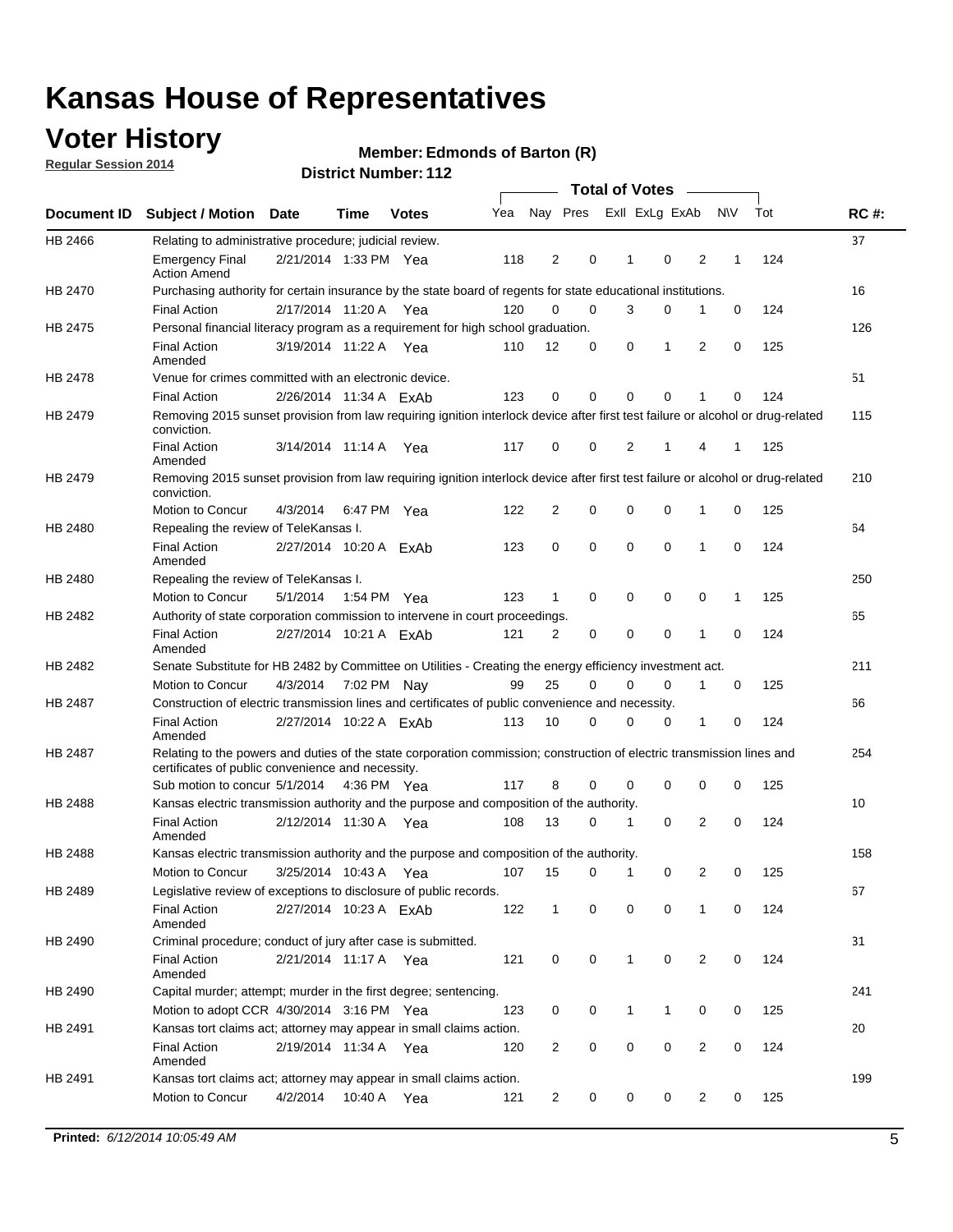## **Voter History**

**Regular Session 2014**

#### **Edmonds of Barton (R)**

|                |                                                                                                                                                                             |                        |             |              |     |                |             | <b>Total of Votes</b> |                |   |             |     |             |
|----------------|-----------------------------------------------------------------------------------------------------------------------------------------------------------------------------|------------------------|-------------|--------------|-----|----------------|-------------|-----------------------|----------------|---|-------------|-----|-------------|
|                | Document ID Subject / Motion Date                                                                                                                                           |                        | Time        | <b>Votes</b> | Yea |                | Nay Pres    |                       | Exll ExLg ExAb |   | <b>NV</b>   | Tot | <b>RC#:</b> |
| HB 2466        | Relating to administrative procedure; judicial review.                                                                                                                      |                        |             |              |     |                |             |                       |                |   |             |     | 37          |
|                | <b>Emergency Final</b><br><b>Action Amend</b>                                                                                                                               | 2/21/2014 1:33 PM Yea  |             |              | 118 | 2              | 0           | 1                     | 0              | 2 | 1           | 124 |             |
| <b>HB 2470</b> | Purchasing authority for certain insurance by the state board of regents for state educational institutions.                                                                |                        |             |              |     |                |             |                       |                |   |             |     | 16          |
|                | <b>Final Action</b>                                                                                                                                                         | 2/17/2014 11:20 A Yea  |             |              | 120 | 0              | 0           | 3                     | 0              | 1 | 0           | 124 |             |
| HB 2475        | Personal financial literacy program as a requirement for high school graduation.                                                                                            |                        |             |              |     |                |             |                       |                |   |             |     | 126         |
|                | <b>Final Action</b><br>Amended                                                                                                                                              | 3/19/2014 11:22 A Yea  |             |              | 110 | 12             | 0           | 0                     | 1              | 2 | $\mathbf 0$ | 125 |             |
| HB 2478        | Venue for crimes committed with an electronic device.                                                                                                                       |                        |             |              |     |                |             |                       |                |   |             |     | 51          |
|                | <b>Final Action</b>                                                                                                                                                         | 2/26/2014 11:34 A ExAb |             |              | 123 | 0              | 0           | $\mathbf 0$           | $\mathbf 0$    | 1 | 0           | 124 |             |
| HB 2479        | Removing 2015 sunset provision from law requiring ignition interlock device after first test failure or alcohol or drug-related<br>conviction.                              |                        |             |              |     |                |             |                       |                |   |             |     | 115         |
|                | <b>Final Action</b><br>Amended                                                                                                                                              | 3/14/2014 11:14 A      |             | Yea          | 117 | $\mathbf 0$    | 0           | 2                     | 1              | 4 | 1           | 125 |             |
| HB 2479        | Removing 2015 sunset provision from law requiring ignition interlock device after first test failure or alcohol or drug-related<br>conviction.                              |                        |             |              |     |                |             |                       |                |   |             |     | 210         |
|                | <b>Motion to Concur</b>                                                                                                                                                     | 4/3/2014               |             | 6:47 PM Yea  | 122 | $\overline{2}$ | 0           | 0                     | $\mathbf 0$    | 1 | 0           | 125 |             |
| HB 2480        | Repealing the review of TeleKansas I.                                                                                                                                       |                        |             |              |     |                |             |                       |                |   |             |     | 64          |
|                | <b>Final Action</b><br>Amended                                                                                                                                              | 2/27/2014 10:20 A FxAb |             |              | 123 | 0              | 0           | $\mathbf 0$           | $\mathbf 0$    | 1 | 0           | 124 |             |
| HB 2480        | Repealing the review of TeleKansas I.                                                                                                                                       |                        |             |              |     |                |             |                       |                |   |             |     | 250         |
|                | Motion to Concur                                                                                                                                                            | 5/1/2014               |             | 1:54 PM Yea  | 123 | 1              | 0           | 0                     | 0              | 0 | 1           | 125 |             |
| <b>HB 2482</b> | Authority of state corporation commission to intervene in court proceedings.                                                                                                |                        |             |              |     |                |             |                       |                |   |             |     | 65          |
|                | <b>Final Action</b><br>Amended                                                                                                                                              | 2/27/2014 10:21 A ExAb |             |              | 121 | $\overline{2}$ | 0           | $\mathbf 0$           | $\mathbf 0$    | 1 | $\mathbf 0$ | 124 |             |
| HB 2482        | Senate Substitute for HB 2482 by Committee on Utilities - Creating the energy efficiency investment act.                                                                    |                        |             |              |     |                |             |                       |                |   |             |     | 211         |
|                | Motion to Concur                                                                                                                                                            | 4/3/2014               | 7:02 PM Nay |              | 99  | 25             | $\mathbf 0$ | 0                     | $\mathbf 0$    | 1 | 0           | 125 |             |
| HB 2487        | Construction of electric transmission lines and certificates of public convenience and necessity.                                                                           |                        |             |              |     |                |             |                       |                |   |             |     | 66          |
|                | <b>Final Action</b><br>Amended                                                                                                                                              | 2/27/2014 10:22 A ExAb |             |              | 113 | 10             | 0           | 0                     | 0              | 1 | 0           | 124 |             |
| HB 2487        | Relating to the powers and duties of the state corporation commission; construction of electric transmission lines and<br>certificates of public convenience and necessity. |                        |             |              |     |                |             |                       |                |   |             |     | 254         |
|                | Sub motion to concur 5/1/2014                                                                                                                                               |                        |             | 4:36 PM Yea  | 117 | 8              | 0           | 0                     | 0              | 0 | 0           | 125 |             |
| <b>HB 2488</b> | Kansas electric transmission authority and the purpose and composition of the authority.                                                                                    |                        |             |              |     |                |             |                       |                |   |             |     | 10          |
|                | <b>Final Action</b><br>Amended                                                                                                                                              | 2/12/2014 11:30 A      |             | Yea          | 108 | 13             | 0           | 1                     | 0              | 2 | 0           | 124 |             |
| <b>HB 2488</b> | Kansas electric transmission authority and the purpose and composition of the authority.                                                                                    |                        |             |              |     |                |             |                       |                |   |             |     | 158         |
|                | Motion to Concur                                                                                                                                                            | 3/25/2014 10:43 A      |             | Yea          | 107 | 15             | 0           | 1                     | 0              | 2 | 0           | 125 |             |
| HB 2489        | Legislative review of exceptions to disclosure of public records.                                                                                                           |                        |             |              |     |                |             |                       |                |   |             |     | 67          |
|                | <b>Final Action</b><br>Amended                                                                                                                                              | 2/27/2014 10:23 A FxAb |             |              | 122 | $\mathbf 1$    | 0           | 0                     | 0              | 1 | 0           | 124 |             |
| HB 2490        | Criminal procedure; conduct of jury after case is submitted.                                                                                                                |                        |             |              |     |                |             |                       |                |   |             |     | 31          |
|                | <b>Final Action</b><br>Amended                                                                                                                                              | 2/21/2014 11:17 A Yea  |             |              | 121 | 0              | 0           | $\mathbf{1}$          | $\mathbf 0$    | 2 | 0           | 124 |             |
| HB 2490        | Capital murder; attempt; murder in the first degree; sentencing.                                                                                                            |                        |             |              |     |                |             |                       |                |   |             |     | 241         |
|                | Motion to adopt CCR 4/30/2014 3:16 PM Yea                                                                                                                                   |                        |             |              | 123 | 0              | 0           | $\mathbf{1}$          | 1              | 0 | 0           | 125 |             |
| HB 2491        | Kansas tort claims act; attorney may appear in small claims action.                                                                                                         |                        |             |              |     |                |             |                       |                |   |             |     | 20          |
|                | <b>Final Action</b><br>Amended                                                                                                                                              | 2/19/2014 11:34 A Yea  |             |              | 120 | $\overline{c}$ | 0           | 0                     | $\pmb{0}$      | 2 | 0           | 124 |             |
| HB 2491        | Kansas tort claims act; attorney may appear in small claims action.                                                                                                         |                        |             |              |     |                |             |                       |                |   |             |     | 199         |
|                | Motion to Concur                                                                                                                                                            | 4/2/2014               | 10:40 A     | Yea          | 121 | 2              | 0           | 0                     | 0              | 2 | 0           | 125 |             |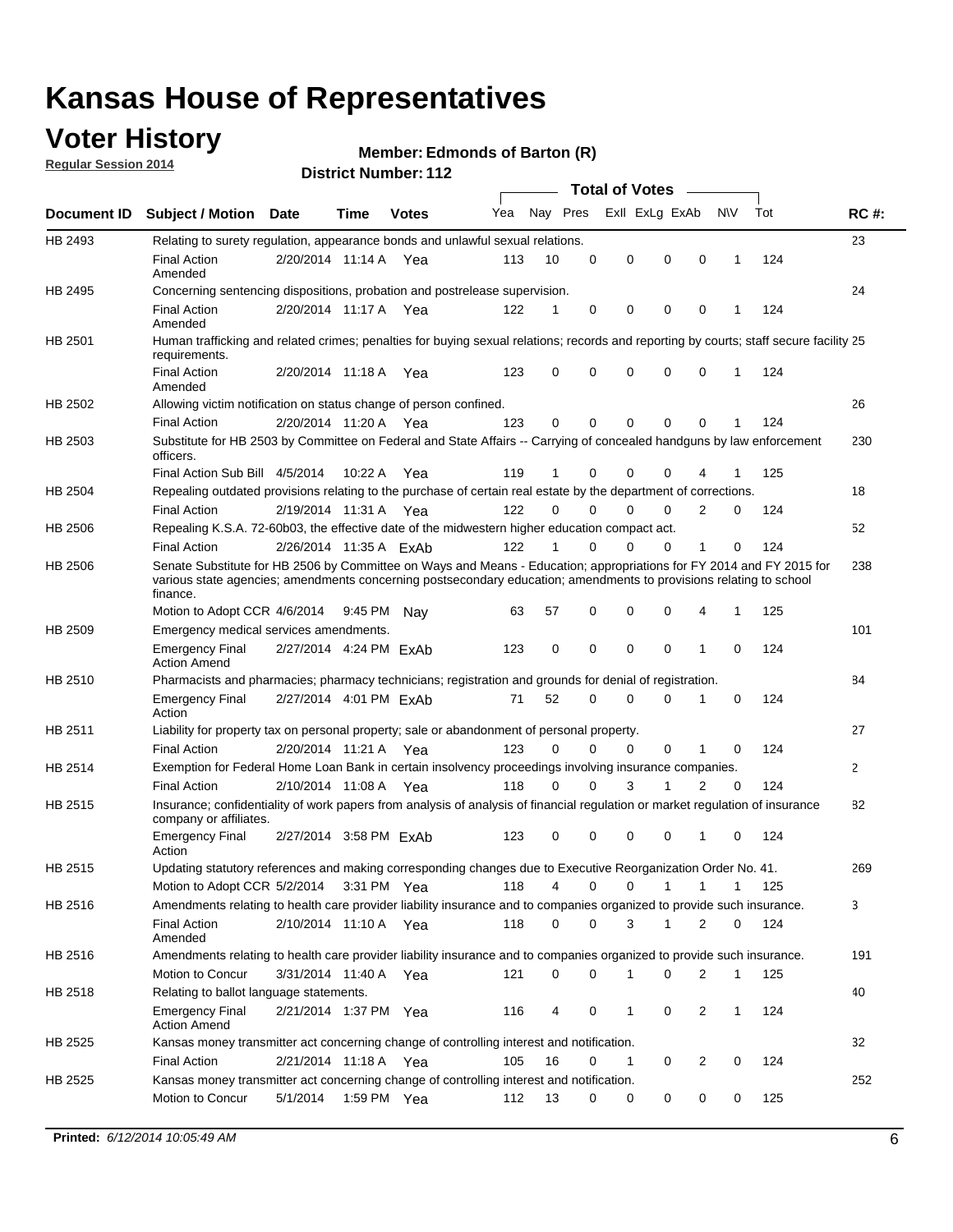### **Voter History**

**Regular Session 2014**

#### **Edmonds of Barton (R)**

|                    | <b>Total of Votes</b>                                                                                                                                                                                                                                  |                        |             |              |     |          |          |                |              |                |              |     |              |
|--------------------|--------------------------------------------------------------------------------------------------------------------------------------------------------------------------------------------------------------------------------------------------------|------------------------|-------------|--------------|-----|----------|----------|----------------|--------------|----------------|--------------|-----|--------------|
| <b>Document ID</b> | <b>Subject / Motion Date</b>                                                                                                                                                                                                                           |                        | Time        | <b>Votes</b> | Yea | Nay Pres |          | Exll ExLg ExAb |              |                | <b>NV</b>    | Tot | <b>RC#:</b>  |
| HB 2493            | Relating to surety regulation, appearance bonds and unlawful sexual relations.                                                                                                                                                                         |                        |             |              |     |          |          |                |              |                |              |     | 23           |
|                    | <b>Final Action</b><br>Amended                                                                                                                                                                                                                         | 2/20/2014 11:14 A      |             | Yea          | 113 | 10       | 0        | 0              | $\mathbf 0$  | 0              | $\mathbf 1$  | 124 |              |
| HB 2495            | Concerning sentencing dispositions, probation and postrelease supervision.                                                                                                                                                                             |                        |             |              |     |          |          |                |              |                |              |     | 24           |
|                    | <b>Final Action</b><br>Amended                                                                                                                                                                                                                         | 2/20/2014 11:17 A Yea  |             |              | 122 | 1        | 0        | 0              | $\mathbf 0$  | $\mathbf 0$    | -1           | 124 |              |
| HB 2501            | Human trafficking and related crimes; penalties for buying sexual relations; records and reporting by courts; staff secure facility 25<br>requirements.                                                                                                |                        |             |              |     |          |          |                |              |                |              |     |              |
|                    | <b>Final Action</b><br>Amended                                                                                                                                                                                                                         | 2/20/2014 11:18 A Yea  |             |              | 123 | $\Omega$ | 0        | 0              | $\Omega$     | $\mathbf 0$    | 1            | 124 |              |
| HB 2502            | Allowing victim notification on status change of person confined.                                                                                                                                                                                      |                        |             |              |     |          |          |                |              |                |              |     | 26           |
|                    | <b>Final Action</b>                                                                                                                                                                                                                                    | 2/20/2014 11:20 A Yea  |             |              | 123 | $\Omega$ | 0        | $\mathbf{0}$   | $\Omega$     | $\Omega$       |              | 124 |              |
| HB 2503            | Substitute for HB 2503 by Committee on Federal and State Affairs -- Carrying of concealed handguns by law enforcement<br>officers.                                                                                                                     |                        |             |              |     |          |          |                |              |                |              |     | 230          |
|                    | Final Action Sub Bill 4/5/2014                                                                                                                                                                                                                         |                        | 10:22 A     | Yea          | 119 |          | 0        | 0              | 0            | 4              |              | 125 |              |
| HB 2504            | Repealing outdated provisions relating to the purchase of certain real estate by the department of corrections.                                                                                                                                        |                        |             |              |     |          |          |                |              |                |              |     | 18           |
|                    | <b>Final Action</b>                                                                                                                                                                                                                                    | 2/19/2014 11:31 A Yea  |             |              | 122 | $\Omega$ | $\Omega$ | 0              | $\mathbf{0}$ | $\overline{2}$ | 0            | 124 |              |
| HB 2506            | Repealing K.S.A. 72-60b03, the effective date of the midwestern higher education compact act.                                                                                                                                                          |                        |             |              |     |          |          |                |              |                |              |     | 52           |
|                    | <b>Final Action</b>                                                                                                                                                                                                                                    | 2/26/2014 11:35 A ExAb |             |              | 122 |          | $\Omega$ | 0              | 0            | 1              | 0            | 124 |              |
| HB 2506            | Senate Substitute for HB 2506 by Committee on Ways and Means - Education; appropriations for FY 2014 and FY 2015 for<br>various state agencies; amendments concerning postsecondary education; amendments to provisions relating to school<br>finance. |                        |             |              |     |          |          |                |              |                |              |     | 238          |
|                    | Motion to Adopt CCR 4/6/2014                                                                                                                                                                                                                           |                        | 9:45 PM Nav |              | 63  | 57       | 0        | 0              | 0            | 4              | -1           | 125 |              |
| HB 2509            | Emergency medical services amendments.                                                                                                                                                                                                                 |                        |             |              |     |          |          |                |              |                |              |     | 101          |
|                    | Emergency Final<br><b>Action Amend</b>                                                                                                                                                                                                                 | 2/27/2014 4:24 PM ExAb |             |              | 123 | 0        | 0        | $\mathbf 0$    | 0            | 1              | 0            | 124 |              |
| HB 2510            | Pharmacists and pharmacies; pharmacy technicians; registration and grounds for denial of registration.                                                                                                                                                 |                        |             |              |     |          |          |                |              |                |              |     | 84           |
|                    | <b>Emergency Final</b><br>Action                                                                                                                                                                                                                       | 2/27/2014 4:01 PM ExAb |             |              | 71  | 52       | 0        | 0              | 0            | 1              | 0            | 124 |              |
| HB 2511            | Liability for property tax on personal property; sale or abandonment of personal property.                                                                                                                                                             |                        |             |              |     |          |          |                |              |                |              |     | 27           |
|                    | <b>Final Action</b>                                                                                                                                                                                                                                    | 2/20/2014 11:21 A Yea  |             |              | 123 | $\Omega$ | $\Omega$ | 0              | 0            | 1              | 0            | 124 |              |
| HB 2514            | Exemption for Federal Home Loan Bank in certain insolvency proceedings involving insurance companies.                                                                                                                                                  |                        |             |              |     |          |          |                |              |                |              |     | $\mathbf{2}$ |
|                    | <b>Final Action</b>                                                                                                                                                                                                                                    | 2/10/2014 11:08 A Yea  |             |              | 118 | $\Omega$ | $\Omega$ | 3              | 1            | 2              | $\mathbf 0$  | 124 |              |
| HB 2515            | Insurance; confidentiality of work papers from analysis of analysis of financial regulation or market regulation of insurance<br>company or affiliates.                                                                                                |                        |             |              |     |          |          |                |              |                |              |     | 82           |
|                    | <b>Emergency Final</b><br>Action                                                                                                                                                                                                                       | 2/27/2014 3:58 PM ExAb |             |              | 123 | 0        | 0        | 0              | 0            | 1              | 0            | 124 |              |
| HB 2515            | Updating statutory references and making corresponding changes due to Executive Reorganization Order No. 41.                                                                                                                                           |                        |             |              |     |          |          |                |              |                |              |     | 269          |
|                    | Motion to Adopt CCR 5/2/2014 3:31 PM Yea                                                                                                                                                                                                               |                        |             |              | 118 | 4        | 0        | 0              | $\mathbf{1}$ | $\mathbf{1}$   | $\mathbf{1}$ | 125 |              |
| HB 2516            | Amendments relating to health care provider liability insurance and to companies organized to provide such insurance.                                                                                                                                  |                        |             |              |     |          |          |                |              |                |              |     | 3            |
|                    | <b>Final Action</b><br>Amended                                                                                                                                                                                                                         | 2/10/2014 11:10 A Yea  |             |              | 118 | 0        | 0        | 3              | 1            | 2              | 0            | 124 |              |
| HB 2516            | Amendments relating to health care provider liability insurance and to companies organized to provide such insurance.                                                                                                                                  |                        |             |              |     |          |          |                |              |                |              |     | 191          |
|                    | Motion to Concur                                                                                                                                                                                                                                       | 3/31/2014 11:40 A Yea  |             |              | 121 | 0        | 0        | 1              | 0            | 2              | $\mathbf{1}$ | 125 |              |
| HB 2518            | Relating to ballot language statements.                                                                                                                                                                                                                |                        |             |              |     |          |          |                |              |                |              |     | 40           |
|                    | Emergency Final<br><b>Action Amend</b>                                                                                                                                                                                                                 | 2/21/2014 1:37 PM Yea  |             |              | 116 | 4        | 0        | 1              | 0            | 2              | 1            | 124 |              |
| HB 2525            | Kansas money transmitter act concerning change of controlling interest and notification.                                                                                                                                                               |                        |             |              |     |          |          |                |              |                |              |     | 32           |
|                    | <b>Final Action</b>                                                                                                                                                                                                                                    | 2/21/2014 11:18 A Yea  |             |              | 105 | 16       | 0        | 1              | 0            | 2              | 0            | 124 |              |
| HB 2525            | Kansas money transmitter act concerning change of controlling interest and notification.                                                                                                                                                               |                        |             |              |     |          |          |                |              |                |              |     | 252          |
|                    | Motion to Concur                                                                                                                                                                                                                                       | 5/1/2014               |             | 1:59 PM Yea  | 112 | 13       | 0        | 0              | 0            | 0              | 0            | 125 |              |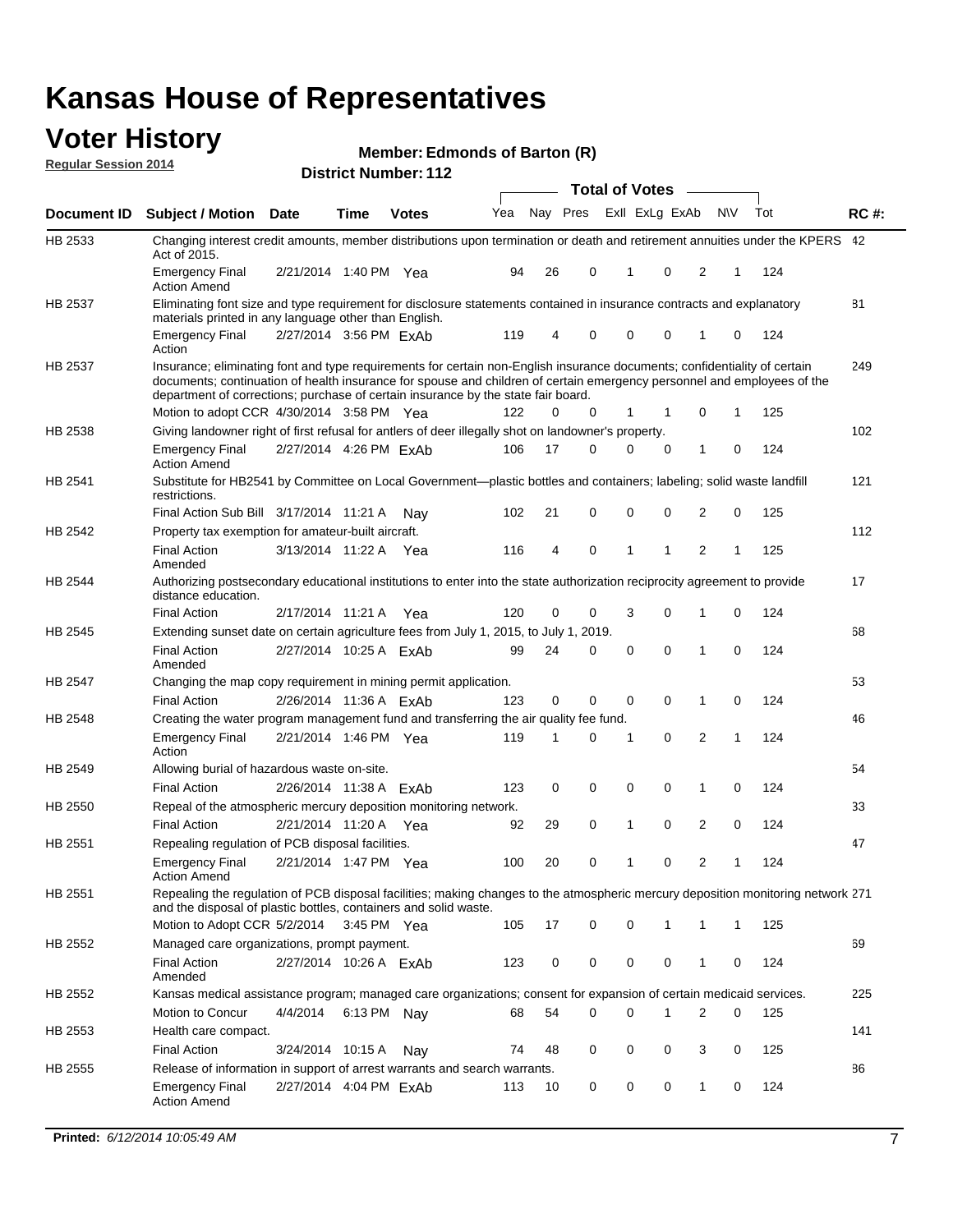### **Voter History**

**Regular Session 2014**

#### **Edmonds of Barton (R)**

|                |                                                                                                                                                                                                                                                                                                                                           |                        |               |              |     |          |             | <b>Total of Votes</b> |             |   |             |     |             |
|----------------|-------------------------------------------------------------------------------------------------------------------------------------------------------------------------------------------------------------------------------------------------------------------------------------------------------------------------------------------|------------------------|---------------|--------------|-----|----------|-------------|-----------------------|-------------|---|-------------|-----|-------------|
| Document ID    | <b>Subject / Motion Date</b>                                                                                                                                                                                                                                                                                                              |                        | Time          | <b>Votes</b> | Yea | Nay Pres |             | Exll ExLg ExAb        |             |   | N\V         | Tot | <b>RC#:</b> |
| HB 2533        | Changing interest credit amounts, member distributions upon termination or death and retirement annuities under the KPERS 42<br>Act of 2015.                                                                                                                                                                                              |                        |               |              |     |          |             |                       |             |   |             |     |             |
|                | <b>Emergency Final</b><br><b>Action Amend</b>                                                                                                                                                                                                                                                                                             | 2/21/2014 1:40 PM Yea  |               |              | 94  | 26       | 0           | $\mathbf 1$           | 0           | 2 | 1           | 124 |             |
| <b>HB 2537</b> | Eliminating font size and type requirement for disclosure statements contained in insurance contracts and explanatory<br>materials printed in any language other than English.                                                                                                                                                            |                        |               |              |     |          |             |                       |             |   |             |     | 81          |
|                | <b>Emergency Final</b><br>Action                                                                                                                                                                                                                                                                                                          | 2/27/2014 3:56 PM ExAb |               |              | 119 | 4        | 0           | 0                     | 0           | 1 | 0           | 124 |             |
| HB 2537        | Insurance; eliminating font and type requirements for certain non-English insurance documents; confidentiality of certain<br>documents; continuation of health insurance for spouse and children of certain emergency personnel and employees of the<br>department of corrections; purchase of certain insurance by the state fair board. |                        |               |              |     |          |             |                       |             |   |             |     | 249         |
|                | Motion to adopt CCR 4/30/2014 3:58 PM Yea                                                                                                                                                                                                                                                                                                 |                        |               |              | 122 | 0        | 0           | 1                     | 1           | 0 | 1           | 125 |             |
| HB 2538        | Giving landowner right of first refusal for antlers of deer illegally shot on landowner's property.                                                                                                                                                                                                                                       |                        |               |              |     |          |             |                       |             |   |             |     | 102         |
|                | <b>Emergency Final</b><br><b>Action Amend</b>                                                                                                                                                                                                                                                                                             | 2/27/2014 4:26 PM ExAb |               |              | 106 | 17       | 0           | $\Omega$              | 0           | 1 | 0           | 124 |             |
| HB 2541        | Substitute for HB2541 by Committee on Local Government—plastic bottles and containers; labeling; solid waste landfill<br>restrictions.                                                                                                                                                                                                    |                        |               |              |     |          |             |                       |             |   |             |     | 121         |
|                | Final Action Sub Bill 3/17/2014 11:21 A                                                                                                                                                                                                                                                                                                   |                        |               | Nav          | 102 | 21       | 0           | $\mathbf 0$           | 0           | 2 | 0           | 125 |             |
| HB 2542        | Property tax exemption for amateur-built aircraft.                                                                                                                                                                                                                                                                                        |                        |               |              |     |          |             |                       |             |   |             |     | 112         |
|                | <b>Final Action</b><br>Amended                                                                                                                                                                                                                                                                                                            | 3/13/2014 11:22 A Yea  |               |              | 116 | 4        | $\mathbf 0$ | $\mathbf{1}$          | 1           | 2 | 1           | 125 |             |
| HB 2544        | Authorizing postsecondary educational institutions to enter into the state authorization reciprocity agreement to provide<br>distance education.                                                                                                                                                                                          |                        |               |              |     |          |             |                       |             |   |             |     | 17          |
|                | <b>Final Action</b>                                                                                                                                                                                                                                                                                                                       | 2/17/2014 11:21 A      |               | Yea          | 120 | 0        | 0           | 3                     | 0           | 1 | 0           | 124 |             |
| HB 2545        | Extending sunset date on certain agriculture fees from July 1, 2015, to July 1, 2019.                                                                                                                                                                                                                                                     |                        |               |              |     |          |             |                       |             |   |             |     | 68          |
|                | <b>Final Action</b><br>Amended                                                                                                                                                                                                                                                                                                            | 2/27/2014 10:25 A ExAb |               |              | 99  | 24       | 0           | $\mathbf 0$           | $\mathbf 0$ | 1 | $\mathbf 0$ | 124 |             |
| HB 2547        | Changing the map copy requirement in mining permit application.                                                                                                                                                                                                                                                                           |                        |               |              |     |          |             |                       |             |   |             |     | 53          |
|                | <b>Final Action</b>                                                                                                                                                                                                                                                                                                                       | 2/26/2014 11:36 A ExAb |               |              | 123 | 0        | 0           | 0                     | 0           | 1 | $\mathbf 0$ | 124 |             |
| HB 2548        | Creating the water program management fund and transferring the air quality fee fund.                                                                                                                                                                                                                                                     |                        |               |              |     |          |             |                       |             |   |             |     | 46          |
|                | Emergency Final<br>Action                                                                                                                                                                                                                                                                                                                 | 2/21/2014 1:46 PM Yea  |               |              | 119 | 1        | 0           | -1                    | 0           | 2 | 1           | 124 |             |
| HB 2549        | Allowing burial of hazardous waste on-site.                                                                                                                                                                                                                                                                                               |                        |               |              |     |          |             |                       |             |   |             |     | 54          |
|                | <b>Final Action</b>                                                                                                                                                                                                                                                                                                                       | 2/26/2014 11:38 A ExAb |               |              | 123 | 0        | $\mathbf 0$ | $\mathbf 0$           | 0           | 1 | $\mathbf 0$ | 124 |             |
| HB 2550        | Repeal of the atmospheric mercury deposition monitoring network.                                                                                                                                                                                                                                                                          |                        |               |              |     |          |             |                       |             |   |             |     | 33          |
|                | <b>Final Action</b>                                                                                                                                                                                                                                                                                                                       | 2/21/2014 11:20 A      |               | Yea          | 92  | 29       | 0           | $\mathbf{1}$          | 0           | 2 | 0           | 124 |             |
| HB 2551        | Repealing regulation of PCB disposal facilities.                                                                                                                                                                                                                                                                                          |                        |               |              |     |          |             |                       |             |   |             |     | 47          |
|                | Emergency Final<br>Action Amend                                                                                                                                                                                                                                                                                                           | 2/21/2014 1:47 PM Yea  |               |              | 100 | 20       | 0           | $\mathbf{1}$          | 0           | 2 | 1           | 124 |             |
| HB 2551        | Repealing the regulation of PCB disposal facilities; making changes to the atmospheric mercury deposition monitoring network 271<br>and the disposal of plastic bottles, containers and solid waste.                                                                                                                                      |                        |               |              |     |          |             |                       |             |   |             |     |             |
|                | Motion to Adopt CCR 5/2/2014                                                                                                                                                                                                                                                                                                              |                        | $3:45$ PM Yea |              | 105 | 17       | 0           | 0                     | 1           | 1 | 1           | 125 |             |
| HB 2552        | Managed care organizations, prompt payment.                                                                                                                                                                                                                                                                                               |                        |               |              |     |          |             |                       |             |   |             |     | 69          |
|                | <b>Final Action</b><br>Amended                                                                                                                                                                                                                                                                                                            | 2/27/2014 10:26 A ExAb |               |              | 123 | 0        | 0           | 0                     | 0           | 1 | 0           | 124 |             |
| HB 2552        | Kansas medical assistance program; managed care organizations; consent for expansion of certain medicaid services.                                                                                                                                                                                                                        |                        |               |              |     |          |             |                       |             |   |             |     | 225         |
|                | Motion to Concur                                                                                                                                                                                                                                                                                                                          | 4/4/2014               | 6:13 PM Nay   |              | 68  | 54       | 0           | 0                     | 1           | 2 | 0           | 125 |             |
| HB 2553        | Health care compact.                                                                                                                                                                                                                                                                                                                      |                        |               |              |     |          |             |                       |             |   |             |     | 141         |
|                | <b>Final Action</b>                                                                                                                                                                                                                                                                                                                       | 3/24/2014 10:15 A      |               | Nay          | 74  | 48       | 0           | 0                     | 0           | 3 | 0           | 125 |             |
| HB 2555        | Release of information in support of arrest warrants and search warrants.                                                                                                                                                                                                                                                                 |                        |               |              |     |          |             |                       |             |   |             |     | 86          |
|                | <b>Emergency Final</b>                                                                                                                                                                                                                                                                                                                    | 2/27/2014 4:04 PM ExAb |               |              | 113 | 10       | 0           | 0                     | 0           | 1 | 0           | 124 |             |
|                | <b>Action Amend</b>                                                                                                                                                                                                                                                                                                                       |                        |               |              |     |          |             |                       |             |   |             |     |             |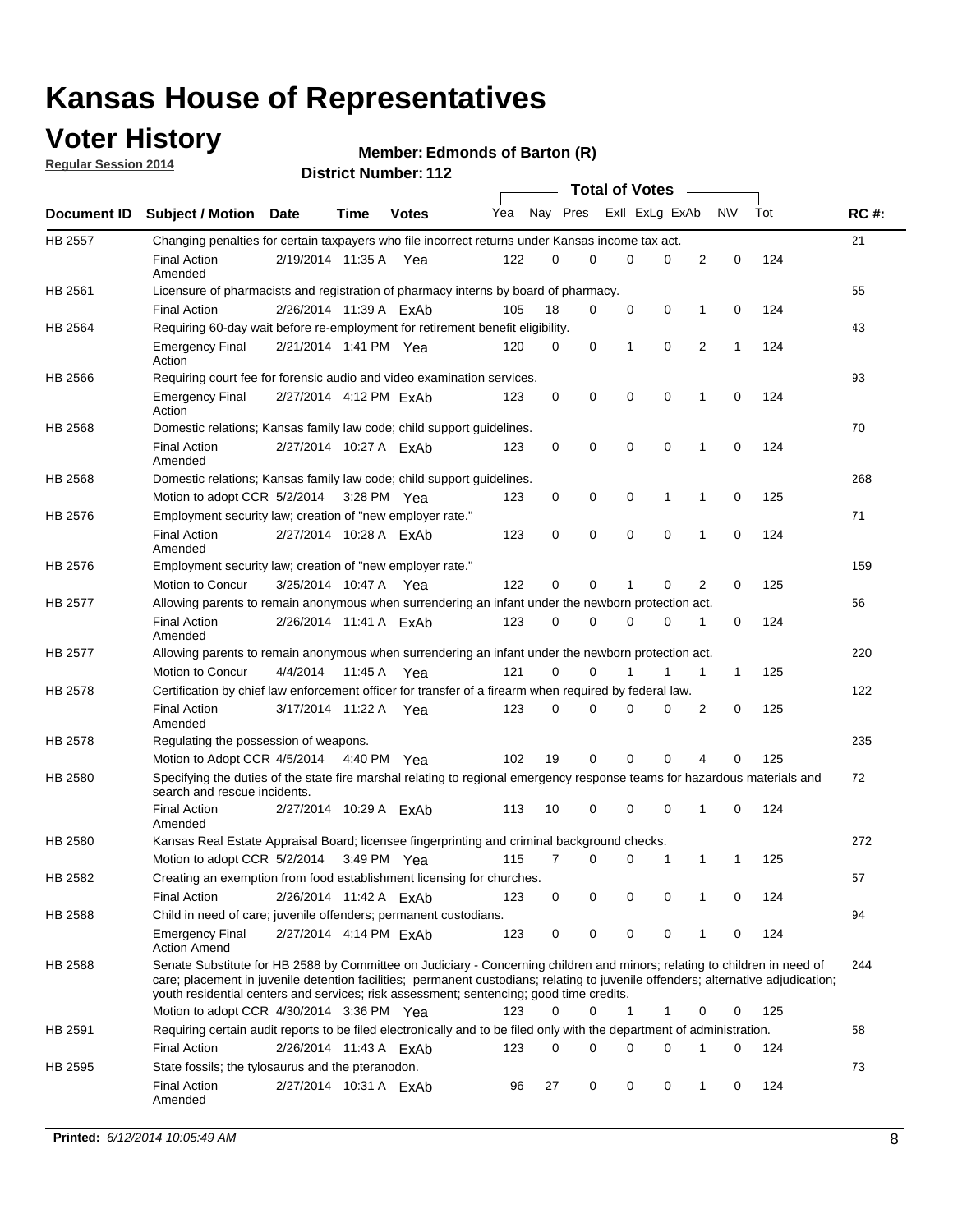## **Voter History**

**Regular Session 2014**

#### **Edmonds of Barton (R)**

|         |                                                                                                                                                                                                                                                                                                                                                           |                        |         |              |     |          |   | <b>Total of Votes</b> |          |   |             |     |             |
|---------|-----------------------------------------------------------------------------------------------------------------------------------------------------------------------------------------------------------------------------------------------------------------------------------------------------------------------------------------------------------|------------------------|---------|--------------|-----|----------|---|-----------------------|----------|---|-------------|-----|-------------|
|         | Document ID Subject / Motion                                                                                                                                                                                                                                                                                                                              | Date                   | Time    | <b>Votes</b> | Yea | Nay Pres |   | Exll ExLg ExAb        |          |   | <b>NV</b>   | Tot | <b>RC#:</b> |
| HB 2557 | Changing penalties for certain taxpayers who file incorrect returns under Kansas income tax act.                                                                                                                                                                                                                                                          |                        |         |              |     |          |   |                       |          |   |             |     | 21          |
|         | <b>Final Action</b><br>Amended                                                                                                                                                                                                                                                                                                                            | 2/19/2014 11:35 A      |         | Yea          | 122 | 0        | 0 | 0                     | 0        | 2 | 0           | 124 |             |
| HB 2561 | Licensure of pharmacists and registration of pharmacy interns by board of pharmacy.                                                                                                                                                                                                                                                                       |                        |         |              |     |          |   |                       |          |   |             |     | 55          |
|         | <b>Final Action</b>                                                                                                                                                                                                                                                                                                                                       | 2/26/2014 11:39 A ExAb |         |              | 105 | 18       | 0 | 0                     | 0        | 1 | 0           | 124 |             |
| HB 2564 | Requiring 60-day wait before re-employment for retirement benefit eligibility.                                                                                                                                                                                                                                                                            |                        |         |              |     |          |   |                       |          |   |             |     | 43          |
|         | <b>Emergency Final</b><br>Action                                                                                                                                                                                                                                                                                                                          | 2/21/2014 1:41 PM Yea  |         |              | 120 | 0        | 0 | 1                     | 0        | 2 | 1           | 124 |             |
| HB 2566 | Requiring court fee for forensic audio and video examination services.                                                                                                                                                                                                                                                                                    |                        |         |              |     |          |   |                       |          |   |             |     | 93          |
|         | <b>Emergency Final</b><br>Action                                                                                                                                                                                                                                                                                                                          | 2/27/2014 4:12 PM ExAb |         |              | 123 | 0        | 0 | 0                     | 0        | 1 | $\mathbf 0$ | 124 |             |
| HB 2568 | Domestic relations; Kansas family law code; child support guidelines.                                                                                                                                                                                                                                                                                     |                        |         |              |     |          |   |                       |          |   |             |     | 70          |
|         | <b>Final Action</b><br>Amended                                                                                                                                                                                                                                                                                                                            | 2/27/2014 10:27 A ExAb |         |              | 123 | 0        | 0 | 0                     | 0        | 1 | 0           | 124 |             |
| HB 2568 | Domestic relations; Kansas family law code; child support guidelines.                                                                                                                                                                                                                                                                                     |                        |         |              |     |          |   |                       |          |   |             |     | 268         |
|         | Motion to adopt CCR 5/2/2014 3:28 PM Yea                                                                                                                                                                                                                                                                                                                  |                        |         |              | 123 | 0        | 0 | 0                     | 1        | 1 | $\mathbf 0$ | 125 |             |
| HB 2576 | Employment security law; creation of "new employer rate."                                                                                                                                                                                                                                                                                                 |                        |         |              |     |          |   |                       |          |   |             |     | 71          |
|         | <b>Final Action</b><br>Amended                                                                                                                                                                                                                                                                                                                            | 2/27/2014 10:28 A ExAb |         |              | 123 | 0        | 0 | 0                     | 0        | 1 | $\mathbf 0$ | 124 |             |
| HB 2576 | Employment security law; creation of "new employer rate."                                                                                                                                                                                                                                                                                                 |                        |         |              |     |          |   |                       |          |   |             |     | 159         |
|         | Motion to Concur                                                                                                                                                                                                                                                                                                                                          | 3/25/2014 10:47 A      |         | Yea          | 122 | 0        | 0 | 1                     | 0        | 2 | 0           | 125 |             |
| HB 2577 | Allowing parents to remain anonymous when surrendering an infant under the newborn protection act.                                                                                                                                                                                                                                                        |                        |         |              |     |          |   |                       |          |   |             |     | 56          |
|         | <b>Final Action</b><br>Amended                                                                                                                                                                                                                                                                                                                            | 2/26/2014 11:41 A ExAb |         |              | 123 | $\Omega$ | 0 | 0                     | 0        | 1 | 0           | 124 |             |
| HB 2577 | Allowing parents to remain anonymous when surrendering an infant under the newborn protection act.                                                                                                                                                                                                                                                        |                        |         |              |     |          |   |                       |          |   |             |     | 220         |
|         | Motion to Concur                                                                                                                                                                                                                                                                                                                                          | 4/4/2014               | 11:45 A | Yea          | 121 | 0        | 0 |                       | 1        | 1 | 1           | 125 |             |
| HB 2578 | Certification by chief law enforcement officer for transfer of a firearm when required by federal law.                                                                                                                                                                                                                                                    |                        |         |              |     |          |   |                       |          |   |             |     | 122         |
|         | <b>Final Action</b><br>Amended                                                                                                                                                                                                                                                                                                                            | 3/17/2014 11:22 A      |         | Yea          | 123 | $\Omega$ | 0 | 0                     | 0        | 2 | 0           | 125 |             |
| HB 2578 | Regulating the possession of weapons.                                                                                                                                                                                                                                                                                                                     |                        |         |              |     |          |   |                       |          |   |             |     | 235         |
|         | Motion to Adopt CCR 4/5/2014 4:40 PM Yea                                                                                                                                                                                                                                                                                                                  |                        |         |              | 102 | 19       | 0 | 0                     | $\Omega$ | 4 | 0           | 125 |             |
| HB 2580 | Specifying the duties of the state fire marshal relating to regional emergency response teams for hazardous materials and<br>search and rescue incidents.                                                                                                                                                                                                 |                        |         |              |     |          |   |                       |          |   |             |     | 72          |
|         | <b>Final Action</b><br>Amended                                                                                                                                                                                                                                                                                                                            | 2/27/2014 10:29 A ExAb |         |              | 113 | 10       | 0 | 0                     | 0        | 1 | 0           | 124 |             |
| HB 2580 | Kansas Real Estate Appraisal Board; licensee fingerprinting and criminal background checks.                                                                                                                                                                                                                                                               |                        |         |              |     |          |   |                       |          |   |             |     | 272         |
|         | Motion to adopt CCR 5/2/2014                                                                                                                                                                                                                                                                                                                              |                        |         | 3:49 PM Yea  | 115 | 7        | 0 | 0                     | 1        | 1 | 1           | 125 |             |
| HB 2582 | Creating an exemption from food establishment licensing for churches.                                                                                                                                                                                                                                                                                     |                        |         |              |     |          |   |                       |          |   |             |     | 57          |
|         | <b>Final Action</b>                                                                                                                                                                                                                                                                                                                                       | 2/26/2014 11:42 A ExAb |         |              | 123 | 0        | 0 | 0                     | 0        | 1 | 0           | 124 |             |
| HB 2588 | Child in need of care; juvenile offenders; permanent custodians.                                                                                                                                                                                                                                                                                          |                        |         |              |     |          |   |                       |          |   |             |     | 94          |
|         | <b>Emergency Final</b><br><b>Action Amend</b>                                                                                                                                                                                                                                                                                                             | 2/27/2014 4:14 PM ExAb |         |              | 123 | 0        | 0 | 0                     | 0        | 1 | 0           | 124 |             |
| HB 2588 | Senate Substitute for HB 2588 by Committee on Judiciary - Concerning children and minors; relating to children in need of<br>care; placement in juvenile detention facilities; permanent custodians; relating to juvenile offenders; alternative adjudication;<br>youth residential centers and services; risk assessment; sentencing; good time credits. |                        |         |              |     |          |   |                       |          |   |             |     | 244         |
|         | Motion to adopt CCR 4/30/2014 3:36 PM Yea                                                                                                                                                                                                                                                                                                                 |                        |         |              | 123 | 0        | 0 | 1                     | 1        | 0 | 0           | 125 |             |
| HB 2591 | Requiring certain audit reports to be filed electronically and to be filed only with the department of administration.                                                                                                                                                                                                                                    |                        |         |              |     |          |   |                       |          |   |             |     | 58          |
|         | <b>Final Action</b>                                                                                                                                                                                                                                                                                                                                       | 2/26/2014 11:43 A ExAb |         |              | 123 | 0        | 0 | 0                     | 0        | 1 | 0           | 124 |             |
| HB 2595 | State fossils; the tylosaurus and the pteranodon.                                                                                                                                                                                                                                                                                                         |                        |         |              |     |          |   |                       |          |   |             |     | 73          |
|         | <b>Final Action</b><br>Amended                                                                                                                                                                                                                                                                                                                            | 2/27/2014 10:31 A ExAb |         |              | 96  | 27       | 0 | 0                     | 0        | 1 | 0           | 124 |             |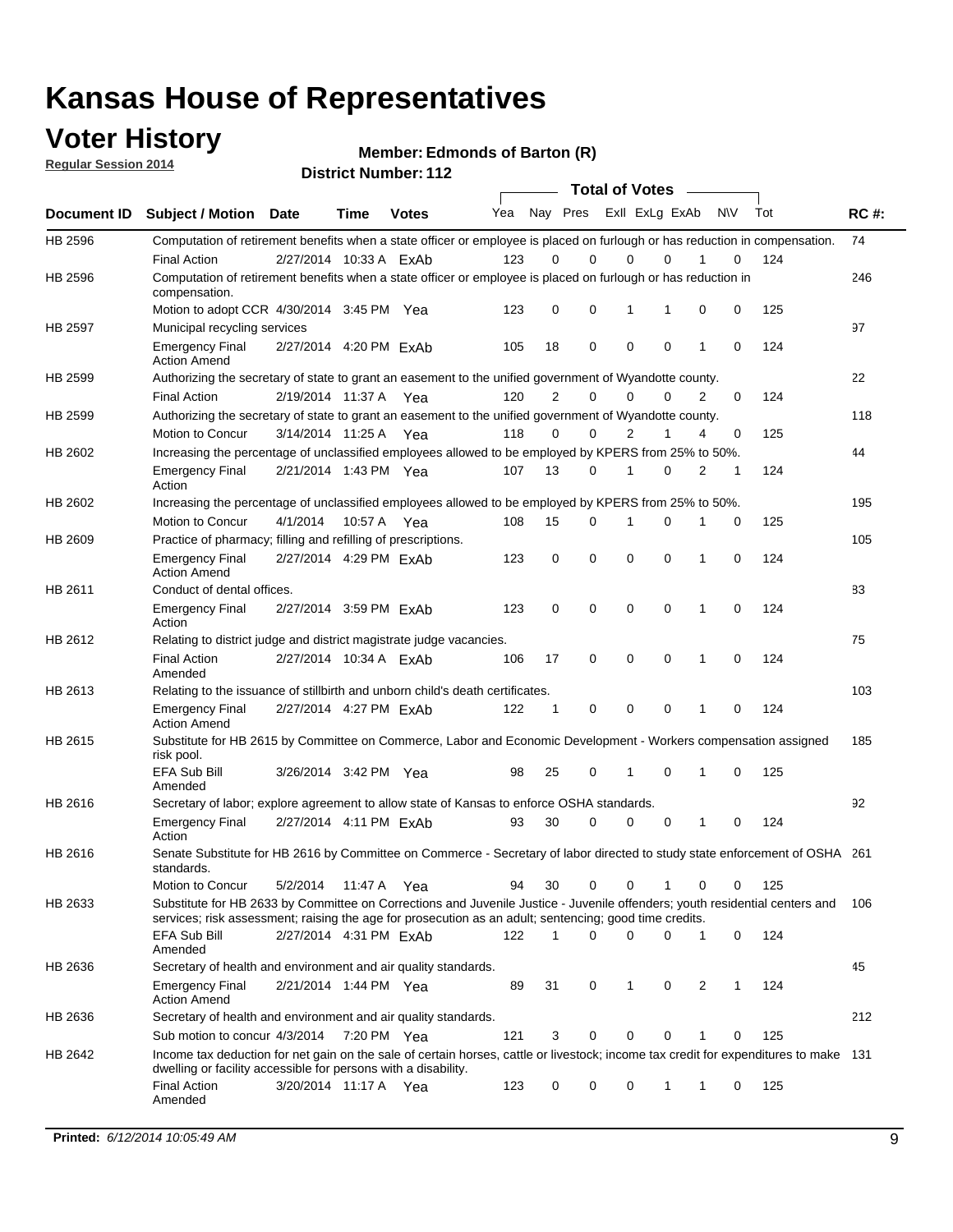### **Voter History**

**Regular Session 2014**

**Edmonds of Barton (R)**

|                |                                                                                                                                                                                                                                       |                        |             |       |     |              | <b>Total of Votes</b> |                |             |              |           |     |             |
|----------------|---------------------------------------------------------------------------------------------------------------------------------------------------------------------------------------------------------------------------------------|------------------------|-------------|-------|-----|--------------|-----------------------|----------------|-------------|--------------|-----------|-----|-------------|
| Document ID    | <b>Subject / Motion</b>                                                                                                                                                                                                               | <b>Date</b>            | Time        | Votes | Yea | Nay Pres     |                       | Exll ExLg ExAb |             |              | <b>NV</b> | Tot | <b>RC#:</b> |
| HB 2596        | Computation of retirement benefits when a state officer or employee is placed on furlough or has reduction in compensation.<br><b>Final Action</b>                                                                                    | 2/27/2014 10:33 A ExAb |             |       | 123 | 0            | 0                     | 0              | 0           |              | 0         | 124 | 74          |
| HB 2596        | Computation of retirement benefits when a state officer or employee is placed on furlough or has reduction in<br>compensation.                                                                                                        |                        |             |       |     |              |                       |                |             |              |           |     | 246         |
|                | Motion to adopt CCR 4/30/2014 3:45 PM Yea                                                                                                                                                                                             |                        |             |       | 123 | 0            | 0                     | 1              | 1           | 0            | 0         | 125 |             |
| HB 2597        | Municipal recycling services                                                                                                                                                                                                          |                        |             |       |     |              |                       |                |             |              |           |     | 97          |
|                | <b>Emergency Final</b><br><b>Action Amend</b>                                                                                                                                                                                         | 2/27/2014 4:20 PM ExAb |             |       | 105 | 18           | 0                     | $\mathbf 0$    | 0           | $\mathbf{1}$ | 0         | 124 |             |
| HB 2599        | Authorizing the secretary of state to grant an easement to the unified government of Wyandotte county.                                                                                                                                |                        |             |       |     |              |                       |                |             |              |           |     | 22          |
|                | Final Action                                                                                                                                                                                                                          | 2/19/2014 11:37 A      |             | Yea   | 120 | 2            | 0                     | 0              | 0           | 2            | 0         | 124 |             |
| HB 2599        | Authorizing the secretary of state to grant an easement to the unified government of Wyandotte county.                                                                                                                                |                        |             |       |     |              |                       |                |             |              |           |     | 118         |
|                | Motion to Concur                                                                                                                                                                                                                      | 3/14/2014 11:25 A      |             | Yea   | 118 | 0            | 0                     | 2              | 1           | 4            | 0         | 125 |             |
| HB 2602        | Increasing the percentage of unclassified employees allowed to be employed by KPERS from 25% to 50%.                                                                                                                                  |                        |             |       |     |              |                       |                |             |              |           |     | 44          |
|                | <b>Emergency Final</b><br>Action                                                                                                                                                                                                      | 2/21/2014 1:43 PM Yea  |             |       | 107 | 13           | 0                     | 1              | 0           | 2            | 1         | 124 |             |
| HB 2602        | Increasing the percentage of unclassified employees allowed to be employed by KPERS from 25% to 50%.                                                                                                                                  |                        |             |       |     |              |                       |                |             |              |           |     | 195         |
|                | Motion to Concur                                                                                                                                                                                                                      | 4/1/2014               | 10:57 A Yea |       | 108 | 15           | 0                     | 1              | $\mathbf 0$ | 1            | 0         | 125 |             |
| HB 2609        | Practice of pharmacy; filling and refilling of prescriptions.                                                                                                                                                                         |                        |             |       |     |              |                       |                |             |              |           |     | 105         |
|                | <b>Emergency Final</b><br><b>Action Amend</b>                                                                                                                                                                                         | 2/27/2014 4:29 PM ExAb |             |       | 123 | 0            | $\mathbf 0$           | $\mathbf 0$    | 0           | $\mathbf{1}$ | $\Omega$  | 124 |             |
| HB 2611        | Conduct of dental offices.                                                                                                                                                                                                            |                        |             |       |     |              |                       |                |             |              |           |     | 83          |
|                | <b>Emergency Final</b><br>Action                                                                                                                                                                                                      | 2/27/2014 3:59 PM ExAb |             |       | 123 | 0            | 0                     | $\mathbf 0$    | 0           | 1            | 0         | 124 |             |
| HB 2612        | Relating to district judge and district magistrate judge vacancies.                                                                                                                                                                   |                        |             |       |     |              |                       |                |             |              |           |     | 75          |
|                | <b>Final Action</b><br>Amended                                                                                                                                                                                                        | 2/27/2014 10:34 A ExAb |             |       | 106 | 17           | 0                     | $\mathbf 0$    | 0           | 1            | 0         | 124 |             |
| HB 2613        | Relating to the issuance of stillbirth and unborn child's death certificates.                                                                                                                                                         |                        |             |       |     |              |                       |                |             |              |           |     | 103         |
|                | <b>Emergency Final</b><br><b>Action Amend</b>                                                                                                                                                                                         | 2/27/2014 4:27 PM ExAb |             |       | 122 | $\mathbf{1}$ | 0                     | $\mathbf 0$    | 0           | 1            | 0         | 124 |             |
| HB 2615        | Substitute for HB 2615 by Committee on Commerce, Labor and Economic Development - Workers compensation assigned<br>risk pool.                                                                                                         |                        |             |       |     |              |                       |                |             |              |           |     | 185         |
|                | <b>EFA Sub Bill</b><br>Amended                                                                                                                                                                                                        | 3/26/2014 3:42 PM Yea  |             |       | 98  | 25           | 0                     | 1              | 0           | 1            | 0         | 125 |             |
| <b>HB 2616</b> | Secretary of labor; explore agreement to allow state of Kansas to enforce OSHA standards.                                                                                                                                             |                        |             |       |     |              |                       |                |             |              |           |     | 92          |
|                | <b>Emergency Final</b><br>Action                                                                                                                                                                                                      | 2/27/2014 4:11 PM ExAb |             |       | 93  | 30           | $\Omega$              | 0              | 0           | 1            | 0         | 124 |             |
| HB 2616        | Senate Substitute for HB 2616 by Committee on Commerce - Secretary of labor directed to study state enforcement of OSHA 261<br>standards.                                                                                             |                        |             |       |     |              |                       |                |             |              |           |     |             |
|                | Motion to Concur                                                                                                                                                                                                                      | 5/2/2014 11:47 A Yea   |             |       | 94  | 30           | 0                     | $\mathbf 0$    | 1           | 0            | 0         | 125 |             |
| HB 2633        | Substitute for HB 2633 by Committee on Corrections and Juvenile Justice - Juvenile offenders; youth residential centers and<br>services; risk assessment; raising the age for prosecution as an adult; sentencing; good time credits. |                        |             |       |     |              |                       |                |             |              |           |     | - 106       |
|                | EFA Sub Bill<br>Amended                                                                                                                                                                                                               | 2/27/2014 4:31 PM ExAb |             |       | 122 | 1            | 0                     | 0              | 0           | 1            | 0         | 124 |             |
| HB 2636        | Secretary of health and environment and air quality standards.                                                                                                                                                                        |                        |             |       |     |              |                       |                |             |              |           |     | 45          |
|                | <b>Emergency Final</b><br><b>Action Amend</b>                                                                                                                                                                                         | 2/21/2014 1:44 PM Yea  |             |       | 89  | 31           | 0                     | 1              | 0           | 2            | 1         | 124 |             |
| HB 2636        | Secretary of health and environment and air quality standards.                                                                                                                                                                        |                        |             |       |     |              |                       |                |             |              |           |     | 212         |
|                | Sub motion to concur 4/3/2014 7:20 PM Yea                                                                                                                                                                                             |                        |             |       | 121 | 3            | 0                     | 0              | 0           | 1            | 0         | 125 |             |
| HB 2642        | Income tax deduction for net gain on the sale of certain horses, cattle or livestock; income tax credit for expenditures to make 131<br>dwelling or facility accessible for persons with a disability.                                |                        |             |       |     |              |                       |                |             |              |           |     |             |
|                | <b>Final Action</b><br>Amended                                                                                                                                                                                                        | 3/20/2014 11:17 A Yea  |             |       | 123 | 0            | 0                     | 0              | 1           | 1            | 0         | 125 |             |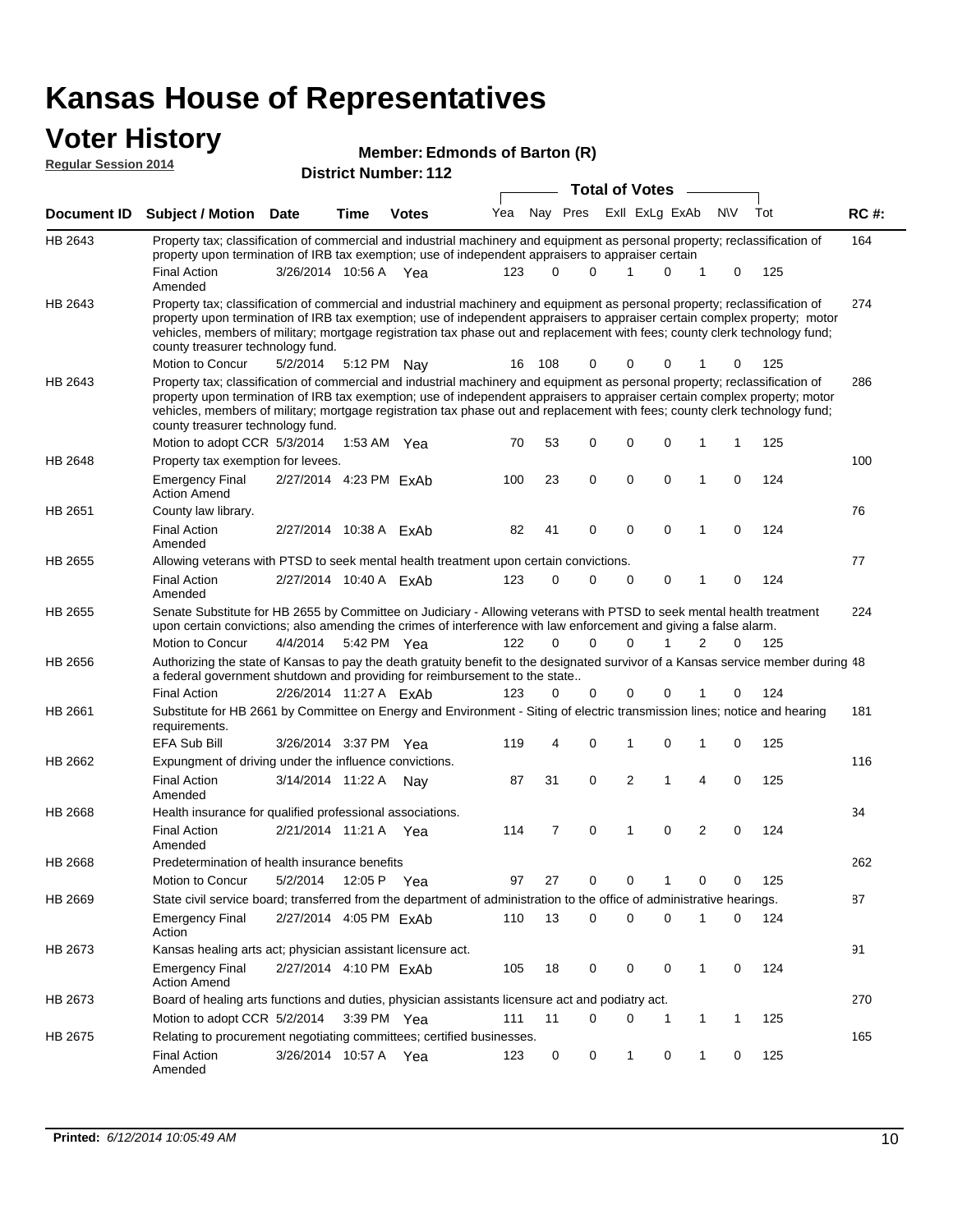### **Voter History Regular Session 2014**

#### **Edmonds of Barton (R)**

| <b>District Number: 112</b> |  |
|-----------------------------|--|
|                             |  |

|         | <b>Total of Votes</b>                                                                                                                                                                                                                                                                                                                                                                                                                                         |                        |             |              |     |          |          |  |                         |              |              |             |     |             |
|---------|---------------------------------------------------------------------------------------------------------------------------------------------------------------------------------------------------------------------------------------------------------------------------------------------------------------------------------------------------------------------------------------------------------------------------------------------------------------|------------------------|-------------|--------------|-----|----------|----------|--|-------------------------|--------------|--------------|-------------|-----|-------------|
|         | Document ID Subject / Motion Date                                                                                                                                                                                                                                                                                                                                                                                                                             |                        | Time        | <b>Votes</b> | Yea |          |          |  | Nay Pres Exll ExLg ExAb |              |              | <b>NV</b>   | Tot | <b>RC#:</b> |
| HB 2643 | Property tax; classification of commercial and industrial machinery and equipment as personal property; reclassification of<br>property upon termination of IRB tax exemption; use of independent appraisers to appraiser certain                                                                                                                                                                                                                             |                        |             |              |     |          |          |  |                         |              |              |             |     | 164         |
|         | <b>Final Action</b><br>Amended                                                                                                                                                                                                                                                                                                                                                                                                                                | 3/26/2014 10:56 A Yea  |             |              | 123 | $\Omega$ | $\Omega$ |  | 1                       | $\Omega$     | $\mathbf 1$  | 0           | 125 |             |
| HB 2643 | Property tax; classification of commercial and industrial machinery and equipment as personal property; reclassification of<br>property upon termination of IRB tax exemption; use of independent appraisers to appraiser certain complex property; motor<br>vehicles, members of military; mortgage registration tax phase out and replacement with fees; county clerk technology fund;<br>county treasurer technology fund.                                 |                        |             |              |     |          |          |  |                         |              |              |             |     | 274         |
|         | Motion to Concur                                                                                                                                                                                                                                                                                                                                                                                                                                              | 5/2/2014               |             | 5:12 PM Nav  | 16  | 108      | 0        |  | 0                       | 0            |              | 0           | 125 |             |
| HB 2643 | Property tax; classification of commercial and industrial machinery and equipment as personal property; reclassification of<br>property upon termination of IRB tax exemption; use of independent appraisers to appraiser certain complex property; motor<br>vehicles, members of military; mortgage registration tax phase out and replacement with fees; county clerk technology fund;<br>county treasurer technology fund.<br>Motion to adopt CCR 5/3/2014 |                        |             | 1:53 AM Yea  | 70  | 53       | 0        |  | $\mathbf 0$             | 0            | 1            | 1           | 125 | 286         |
| HB 2648 | Property tax exemption for levees.                                                                                                                                                                                                                                                                                                                                                                                                                            |                        |             |              |     |          |          |  |                         |              |              |             |     | 100         |
|         | <b>Emergency Final</b><br><b>Action Amend</b>                                                                                                                                                                                                                                                                                                                                                                                                                 | 2/27/2014 4:23 PM ExAb |             |              | 100 | 23       | 0        |  | 0                       | 0            | 1            | 0           | 124 |             |
| HB 2651 | County law library.                                                                                                                                                                                                                                                                                                                                                                                                                                           |                        |             |              |     |          |          |  |                         |              |              |             |     | 76          |
|         | <b>Final Action</b><br>Amended                                                                                                                                                                                                                                                                                                                                                                                                                                | 2/27/2014 10:38 A ExAb |             |              | 82  | 41       | 0        |  | $\mathbf 0$             | 0            | 1            | 0           | 124 |             |
| HB 2655 | Allowing veterans with PTSD to seek mental health treatment upon certain convictions.                                                                                                                                                                                                                                                                                                                                                                         |                        |             |              |     |          |          |  |                         |              |              |             |     | 77          |
|         | <b>Final Action</b><br>Amended                                                                                                                                                                                                                                                                                                                                                                                                                                | 2/27/2014 10:40 A ExAb |             |              | 123 | 0        | 0        |  | 0                       | 0            | 1            | 0           | 124 |             |
| HB 2655 | Senate Substitute for HB 2655 by Committee on Judiciary - Allowing veterans with PTSD to seek mental health treatment<br>upon certain convictions; also amending the crimes of interference with law enforcement and giving a false alarm.                                                                                                                                                                                                                    |                        |             |              |     |          |          |  |                         |              |              |             |     | 224         |
|         | Motion to Concur                                                                                                                                                                                                                                                                                                                                                                                                                                              | 4/4/2014               |             | 5:42 PM Yea  | 122 | $\Omega$ | $\Omega$ |  | $\Omega$                | $\mathbf{1}$ | 2            | $\Omega$    | 125 |             |
| HB 2656 | Authorizing the state of Kansas to pay the death gratuity benefit to the designated survivor of a Kansas service member during 48<br>a federal government shutdown and providing for reimbursement to the state                                                                                                                                                                                                                                               |                        |             |              |     |          |          |  |                         |              |              |             |     |             |
|         | <b>Final Action</b>                                                                                                                                                                                                                                                                                                                                                                                                                                           | 2/26/2014 11:27 A ExAb |             |              | 123 | 0        | 0        |  | 0                       | 0            | 1            | 0           | 124 |             |
| HB 2661 | Substitute for HB 2661 by Committee on Energy and Environment - Siting of electric transmission lines; notice and hearing<br>requirements.<br><b>EFA Sub Bill</b>                                                                                                                                                                                                                                                                                             | 3/26/2014 3:37 PM Yea  |             |              | 119 | 4        | 0        |  | 1                       | 0            | 1            | 0           | 125 | 181         |
| HB 2662 | Expungment of driving under the influence convictions.                                                                                                                                                                                                                                                                                                                                                                                                        |                        |             |              |     |          |          |  |                         |              |              |             |     | 116         |
|         | <b>Final Action</b><br>Amended                                                                                                                                                                                                                                                                                                                                                                                                                                | 3/14/2014 11:22 A      |             | Nav          | 87  | 31       | 0        |  | $\overline{2}$          | 1            | 4            | $\mathbf 0$ | 125 |             |
| HB 2668 | Health insurance for qualified professional associations.                                                                                                                                                                                                                                                                                                                                                                                                     |                        |             |              |     |          |          |  |                         |              |              |             |     | 34          |
|         | <b>Final Action</b><br>Amended                                                                                                                                                                                                                                                                                                                                                                                                                                | 2/21/2014 11:21 A Yea  |             |              | 114 | 7        | 0        |  | $\mathbf 1$             | $\Omega$     | 2            | 0           | 124 |             |
| HB 2668 | Predetermination of health insurance benefits                                                                                                                                                                                                                                                                                                                                                                                                                 |                        |             |              |     |          |          |  |                         |              |              |             |     | 262         |
|         | Motion to Concur                                                                                                                                                                                                                                                                                                                                                                                                                                              | 5/2/2014               |             | 12:05 P Yea  | 97  | 27       | 0        |  | 0                       | 1            | 0            | 0           | 125 |             |
| HB 2669 | State civil service board; transferred from the department of administration to the office of administrative hearings.                                                                                                                                                                                                                                                                                                                                        |                        |             |              |     |          |          |  |                         |              |              |             |     | 87          |
|         | <b>Emergency Final</b><br>Action                                                                                                                                                                                                                                                                                                                                                                                                                              | 2/27/2014 4:05 PM ExAb |             |              | 110 | 13       | 0        |  | 0                       | 0            | 1            | 0           | 124 |             |
| HB 2673 | Kansas healing arts act; physician assistant licensure act.                                                                                                                                                                                                                                                                                                                                                                                                   |                        |             |              |     |          |          |  |                         |              |              |             |     | 91          |
|         | <b>Emergency Final</b><br><b>Action Amend</b>                                                                                                                                                                                                                                                                                                                                                                                                                 | 2/27/2014 4:10 PM ExAb |             |              | 105 | 18       | 0        |  | 0                       | 0            | 1            | 0           | 124 |             |
| HB 2673 | Board of healing arts functions and duties, physician assistants licensure act and podiatry act.                                                                                                                                                                                                                                                                                                                                                              |                        |             |              |     |          |          |  |                         |              |              |             |     | 270         |
|         | Motion to adopt CCR 5/2/2014                                                                                                                                                                                                                                                                                                                                                                                                                                  |                        | 3:39 PM Yea |              | 111 | 11       | 0        |  | 0                       | -1           | 1            | 1           | 125 |             |
| HB 2675 | Relating to procurement negotiating committees; certified businesses.                                                                                                                                                                                                                                                                                                                                                                                         |                        |             |              |     |          |          |  |                         |              |              |             |     | 165         |
|         | Final Action<br>Amended                                                                                                                                                                                                                                                                                                                                                                                                                                       | 3/26/2014 10:57 A Yea  |             |              | 123 | 0        | 0        |  | 1                       | 0            | $\mathbf{1}$ | 0           | 125 |             |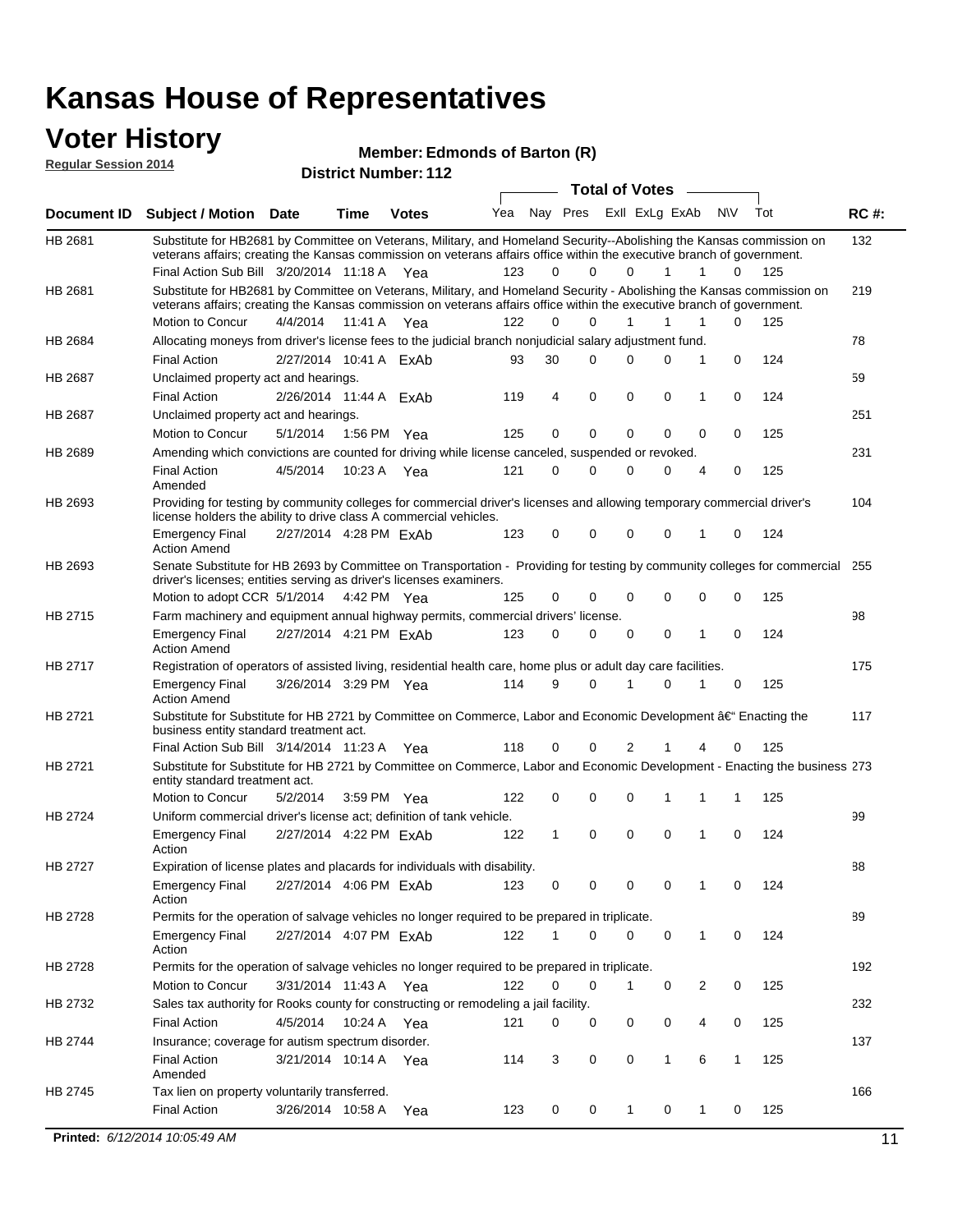### **Voter History**

**Regular Session 2014**

#### **Edmonds of Barton (R)**

|                |                                                                                                                                                                                                  |                        |             |              |     |              |          | <b>Total of Votes</b> |              | $\sim$         |              |     |             |
|----------------|--------------------------------------------------------------------------------------------------------------------------------------------------------------------------------------------------|------------------------|-------------|--------------|-----|--------------|----------|-----------------------|--------------|----------------|--------------|-----|-------------|
|                | Document ID Subject / Motion Date                                                                                                                                                                |                        | Time        | <b>Votes</b> | Yea | Nay Pres     |          | Exll ExLg ExAb        |              |                | N\V          | Tot | <b>RC#:</b> |
| HB 2681        | Substitute for HB2681 by Committee on Veterans, Military, and Homeland Security--Abolishing the Kansas commission on                                                                             |                        |             |              |     |              |          |                       |              |                |              |     | 132         |
|                | veterans affairs; creating the Kansas commission on veterans affairs office within the executive branch of government.                                                                           |                        |             |              |     |              |          |                       |              |                |              |     |             |
|                | Final Action Sub Bill 3/20/2014 11:18 A Yea                                                                                                                                                      |                        |             |              | 123 | 0            | $\Omega$ | $\Omega$              | $\mathbf{1}$ | $\mathbf{1}$   | 0            | 125 |             |
| HB 2681        | Substitute for HB2681 by Committee on Veterans, Military, and Homeland Security - Abolishing the Kansas commission on                                                                            |                        |             |              |     |              |          |                       |              |                |              |     | 219         |
|                | veterans affairs; creating the Kansas commission on veterans affairs office within the executive branch of government.<br>Motion to Concur                                                       | 4/4/2014 11:41 A Yea   |             |              | 122 | 0            | 0        |                       | 1            | 1              | 0            | 125 |             |
|                | Allocating moneys from driver's license fees to the judicial branch nonjudicial salary adjustment fund.                                                                                          |                        |             |              |     |              |          |                       |              |                |              |     | 78          |
| HB 2684        | <b>Final Action</b>                                                                                                                                                                              | 2/27/2014 10:41 A ExAb |             |              | 93  | 30           | $\Omega$ | $\Omega$              | $\Omega$     | 1              | 0            | 124 |             |
|                |                                                                                                                                                                                                  |                        |             |              |     |              |          |                       |              |                |              |     |             |
| HB 2687        | Unclaimed property act and hearings.                                                                                                                                                             |                        |             |              |     | 4            | 0        | 0                     | 0            | 1              | 0            |     | 59          |
|                | <b>Final Action</b>                                                                                                                                                                              | 2/26/2014 11:44 A ExAb |             |              | 119 |              |          |                       |              |                |              | 124 | 251         |
| HB 2687        | Unclaimed property act and hearings.                                                                                                                                                             |                        |             |              |     | 0            | 0        | 0                     | $\mathbf{0}$ | 0              | 0            |     |             |
|                | Motion to Concur                                                                                                                                                                                 | 5/1/2014               | 1:56 PM Yea |              | 125 |              |          |                       |              |                |              | 125 | 231         |
| <b>HB 2689</b> | Amending which convictions are counted for driving while license canceled, suspended or revoked.                                                                                                 |                        |             |              |     |              |          |                       |              |                |              |     |             |
|                | <b>Final Action</b><br>Amended                                                                                                                                                                   | 4/5/2014               | 10:23 A Yea |              | 121 | 0            | 0        | $\Omega$              | 0            | $\overline{4}$ | 0            | 125 |             |
| HB 2693        |                                                                                                                                                                                                  |                        |             |              |     |              |          |                       |              |                |              |     | 104         |
|                | Providing for testing by community colleges for commercial driver's licenses and allowing temporary commercial driver's<br>license holders the ability to drive class A commercial vehicles.     |                        |             |              |     |              |          |                       |              |                |              |     |             |
|                | <b>Emergency Final</b>                                                                                                                                                                           | 2/27/2014 4:28 PM ExAb |             |              | 123 | 0            | 0        | 0                     | 0            | 1              | 0            | 124 |             |
|                | <b>Action Amend</b>                                                                                                                                                                              |                        |             |              |     |              |          |                       |              |                |              |     |             |
| HB 2693        | Senate Substitute for HB 2693 by Committee on Transportation - Providing for testing by community colleges for commercial<br>driver's licenses; entities serving as driver's licenses examiners. |                        |             |              |     |              |          |                       |              |                |              |     | 255         |
|                | Motion to adopt CCR 5/1/2014 4:42 PM Yea                                                                                                                                                         |                        |             |              | 125 | 0            | 0        | $\Omega$              | 0            | $\mathbf 0$    | 0            | 125 |             |
| HB 2715        | Farm machinery and equipment annual highway permits, commercial drivers' license.                                                                                                                |                        |             |              |     |              |          |                       |              |                |              |     | 98          |
|                | <b>Emergency Final</b>                                                                                                                                                                           | 2/27/2014 4:21 PM ExAb |             |              | 123 | 0            | $\Omega$ | $\Omega$              | 0            | 1              | 0            | 124 |             |
|                | <b>Action Amend</b>                                                                                                                                                                              |                        |             |              |     |              |          |                       |              |                |              |     |             |
| HB 2717        | Registration of operators of assisted living, residential health care, home plus or adult day care facilities.                                                                                   |                        |             |              |     |              |          |                       |              |                |              |     | 175         |
|                | <b>Emergency Final</b><br><b>Action Amend</b>                                                                                                                                                    | 3/26/2014 3:29 PM Yea  |             |              | 114 | 9            | $\Omega$ | 1                     | 0            | 1              | 0            | 125 |             |
| HB 2721        | Substitute for Substitute for HB 2721 by Committee on Commerce, Labor and Economic Development â€ <sup>4</sup> Enacting the                                                                      |                        |             |              |     |              |          |                       |              |                |              | 117 |             |
|                | business entity standard treatment act.                                                                                                                                                          |                        |             |              |     |              |          |                       |              |                |              |     |             |
|                | Final Action Sub Bill 3/14/2014 11:23 A Yea                                                                                                                                                      |                        |             |              | 118 | 0            | 0        | 2                     | 1            | 4              | 0            | 125 |             |
| HB 2721        | Substitute for Substitute for HB 2721 by Committee on Commerce, Labor and Economic Development - Enacting the business 273<br>entity standard treatment act.                                     |                        |             |              |     |              |          |                       |              |                |              |     |             |
|                | Motion to Concur                                                                                                                                                                                 | 5/2/2014               | 3:59 PM Yea |              | 122 | 0            | 0        | 0                     | 1            | 1              | 1            | 125 |             |
| HB 2724        | Uniform commercial driver's license act; definition of tank vehicle.                                                                                                                             |                        |             |              |     |              |          |                       |              |                |              |     | 99          |
|                | <b>Emergency Final</b><br>Action                                                                                                                                                                 | 2/27/2014 4:22 PM ExAb |             |              | 122 | $\mathbf{1}$ | 0        | 0                     | 0            | 1              | $\mathbf 0$  | 124 |             |
| HB 2727        | Expiration of license plates and placards for individuals with disability.                                                                                                                       |                        |             |              |     |              |          |                       |              |                |              |     | 88          |
|                | <b>Emergency Final</b>                                                                                                                                                                           | 2/27/2014 4:06 PM ExAb |             |              | 123 | 0            | 0        | 0                     | 0            | $\mathbf{1}$   | 0            | 124 |             |
|                | Action                                                                                                                                                                                           |                        |             |              |     |              |          |                       |              |                |              |     |             |
| HB 2728        | Permits for the operation of salvage vehicles no longer required to be prepared in triplicate.                                                                                                   |                        |             |              |     |              |          |                       |              |                |              |     | 89          |
|                | <b>Emergency Final</b><br>Action                                                                                                                                                                 | 2/27/2014 4:07 PM ExAb |             |              | 122 | $\mathbf{1}$ | 0        | 0                     | 0            | 1              | 0            | 124 |             |
| HB 2728        | Permits for the operation of salvage vehicles no longer required to be prepared in triplicate.                                                                                                   |                        |             |              |     |              |          |                       |              |                |              |     | 192         |
|                | Motion to Concur                                                                                                                                                                                 | 3/31/2014 11:43 A Yea  |             |              | 122 | 0            | 0        | 1                     | 0            | 2              | 0            | 125 |             |
| HB 2732        | Sales tax authority for Rooks county for constructing or remodeling a jail facility.                                                                                                             |                        |             |              |     |              |          |                       |              |                |              |     | 232         |
|                | <b>Final Action</b>                                                                                                                                                                              | 4/5/2014 10:24 A Yea   |             |              | 121 | 0            | 0        | 0                     | 0            | 4              | 0            | 125 |             |
| HB 2744        | Insurance; coverage for autism spectrum disorder.                                                                                                                                                |                        |             |              |     |              |          |                       |              |                |              |     | 137         |
|                | <b>Final Action</b><br>Amended                                                                                                                                                                   | 3/21/2014 10:14 A Yea  |             |              | 114 | 3            | 0        | 0                     | $\mathbf{1}$ | 6              | $\mathbf{1}$ | 125 |             |
| HB 2745        | Tax lien on property voluntarily transferred.                                                                                                                                                    |                        |             |              |     |              |          |                       |              |                |              |     | 166         |
|                | <b>Final Action</b>                                                                                                                                                                              | 3/26/2014 10:58 A      |             | Yea          | 123 | 0            | 0        | $\mathbf{1}$          | 0            | $\mathbf{1}$   | 0            | 125 |             |
|                |                                                                                                                                                                                                  |                        |             |              |     |              |          |                       |              |                |              |     |             |
|                | Printed: 6/12/2014 10:05:49 AM                                                                                                                                                                   |                        |             |              |     |              |          |                       |              |                |              |     | 11          |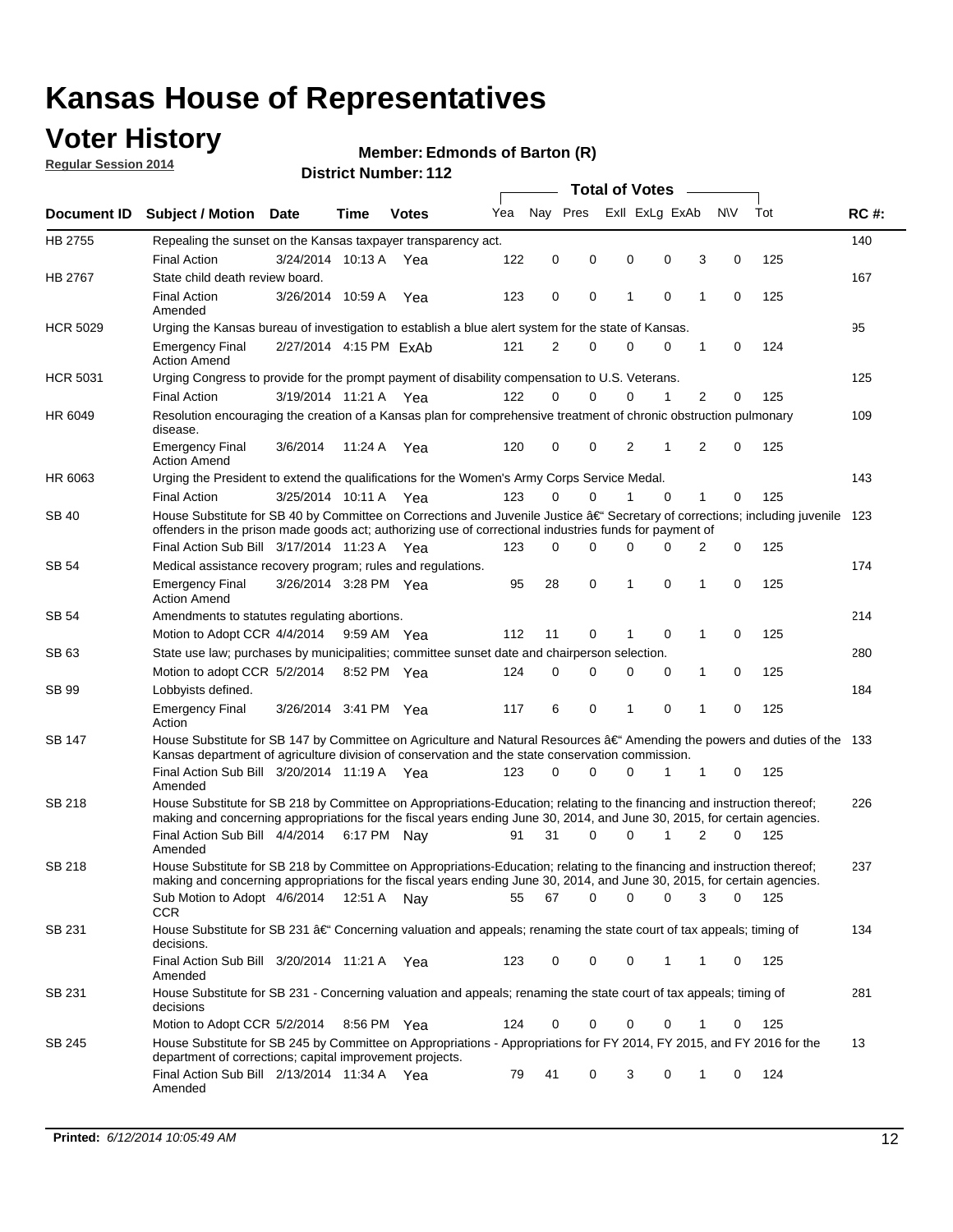## **Voter History**

**Regular Session 2014**

#### **Edmonds of Barton (R)**

| Nay Pres<br>Exll ExLg ExAb<br>N\V<br>Tot<br>Yea<br>Document ID Subject / Motion Date<br>Time<br><b>Votes</b><br>HB 2755<br>140<br>Repealing the sunset on the Kansas taxpayer transparency act.<br>122<br>0<br>0<br>0<br>0<br>3<br>0<br>125<br><b>Final Action</b><br>3/24/2014 10:13 A<br>Yea<br>HB 2767<br>167<br>State child death review board.<br><b>Final Action</b><br>3/26/2014 10:59 A<br>123<br>0<br>0<br>1<br>$\mathbf 0$<br>1<br>125<br>0<br>Yea<br>Amended<br><b>HCR 5029</b><br>95<br>Urging the Kansas bureau of investigation to establish a blue alert system for the state of Kansas.<br>2/27/2014 4:15 PM ExAb<br>121<br>2<br>0<br>0<br>0<br>0<br>124<br><b>Emergency Final</b><br>1<br><b>Action Amend</b><br><b>HCR 5031</b><br>125<br>Urging Congress to provide for the prompt payment of disability compensation to U.S. Veterans.<br>$\overline{2}$<br><b>Final Action</b><br>122<br>$\Omega$<br>$\Omega$<br>0<br>1<br>125<br>3/19/2014 11:21 A Yea<br>0<br>109<br>HR 6049<br>Resolution encouraging the creation of a Kansas plan for comprehensive treatment of chronic obstruction pulmonary<br>disease.<br>0<br>2<br>$\overline{2}$<br>$\mathbf 0$<br>125<br><b>Emergency Final</b><br>3/6/2014<br>11:24 A<br>Yea<br>120<br>0<br>1<br><b>Action Amend</b><br>HR 6063<br>143<br>Urging the President to extend the qualifications for the Women's Army Corps Service Medal.<br>3/25/2014 10:11 A Yea<br>123<br>$\Omega$<br>$\Omega$<br>1<br>$\Omega$<br>1<br>125<br><b>Final Action</b><br>0<br>House Substitute for SB 40 by Committee on Corrections and Juvenile Justice †Secretary of corrections; including juvenile<br>SB 40<br>123<br>offenders in the prison made goods act; authorizing use of correctional industries funds for payment of<br>Final Action Sub Bill 3/17/2014 11:23 A Yea<br>0<br>0<br>125<br>123<br>0<br>0<br><sup>0</sup><br>2<br>174<br>SB 54<br>Medical assistance recovery program; rules and regulations.<br>$\mathbf 0$<br>$\mathbf 0$<br>28<br>1<br>0<br>125<br><b>Emergency Final</b><br>3/26/2014 3:28 PM Yea<br>95<br>1<br><b>Action Amend</b><br>214<br>SB 54<br>Amendments to statutes regulating abortions.<br>112<br>11<br>0<br>$\mathbf 0$<br>1<br>0<br>125<br>Motion to Adopt CCR 4/4/2014 9:59 AM Yea<br>State use law; purchases by municipalities; committee sunset date and chairperson selection.<br>280<br>SB 63<br>Motion to adopt CCR 5/2/2014<br>0<br>0<br>1<br>0<br>125<br>8:52 PM Yea<br>124<br>0<br>0<br>184<br>SB 99<br>Lobbyists defined.<br>6<br>0<br>$\mathbf 0$<br>$\mathbf{1}$<br>0<br>125<br><b>Emergency Final</b><br>3/26/2014 3:41 PM Yea<br>117<br>1<br>Action<br>House Substitute for SB 147 by Committee on Agriculture and Natural Resources †Amending the powers and duties of the 133<br>SB 147<br>Kansas department of agriculture division of conservation and the state conservation commission.<br>Final Action Sub Bill 3/20/2014 11:19 A Yea<br>$\Omega$<br>0<br>125<br>123<br>0<br>1<br>1<br>0<br>Amended<br>SB 218<br>House Substitute for SB 218 by Committee on Appropriations-Education; relating to the financing and instruction thereof;<br>226<br>making and concerning appropriations for the fiscal years ending June 30, 2014, and June 30, 2015, for certain agencies.<br>Final Action Sub Bill 4/4/2014 6:17 PM Nay<br>31<br>$\Omega$<br>1<br>$\overline{2}$<br>125<br>0<br>0<br>91<br>Amended<br>House Substitute for SB 218 by Committee on Appropriations-Education; relating to the financing and instruction thereof;<br>SB 218<br>237<br>making and concerning appropriations for the fiscal years ending June 30, 2014, and June 30, 2015, for certain agencies.<br>67<br>0<br>Sub Motion to Adopt 4/6/2014 12:51 A Nay<br>55<br>0<br>0<br>3<br>0<br>- 125<br>CCR<br>134<br>SB 231<br>House Substitute for SB 231 †Concerning valuation and appeals; renaming the state court of tax appeals; timing of<br>decisions.<br>Final Action Sub Bill 3/20/2014 11:21 A Yea<br>123<br>0<br>0<br>0<br>1<br>125<br>1<br>0<br>Amended<br>House Substitute for SB 231 - Concerning valuation and appeals; renaming the state court of tax appeals; timing of<br>281<br>SB 231<br>decisions<br>125<br>Motion to Adopt CCR 5/2/2014<br>0<br>0<br>0<br>8:56 PM Yea<br>124<br>0<br>0<br>1<br>House Substitute for SB 245 by Committee on Appropriations - Appropriations for FY 2014, FY 2015, and FY 2016 for the<br>13<br>SB 245<br>department of corrections; capital improvement projects.<br>Final Action Sub Bill 2/13/2014 11:34 A Yea<br>79<br>41<br>0<br>3<br>0<br>124<br>1<br>0<br>Amended |  |  |  |  |  | <b>Total of Votes</b> |  |  |  |  |  |  |             |  |
|---------------------------------------------------------------------------------------------------------------------------------------------------------------------------------------------------------------------------------------------------------------------------------------------------------------------------------------------------------------------------------------------------------------------------------------------------------------------------------------------------------------------------------------------------------------------------------------------------------------------------------------------------------------------------------------------------------------------------------------------------------------------------------------------------------------------------------------------------------------------------------------------------------------------------------------------------------------------------------------------------------------------------------------------------------------------------------------------------------------------------------------------------------------------------------------------------------------------------------------------------------------------------------------------------------------------------------------------------------------------------------------------------------------------------------------------------------------------------------------------------------------------------------------------------------------------------------------------------------------------------------------------------------------------------------------------------------------------------------------------------------------------------------------------------------------------------------------------------------------------------------------------------------------------------------------------------------------------------------------------------------------------------------------------------------------------------------------------------------------------------------------------------------------------------------------------------------------------------------------------------------------------------------------------------------------------------------------------------------------------------------------------------------------------------------------------------------------------------------------------------------------------------------------------------------------------------------------------------------------------------------------------------------------------------------------------------------------------------------------------------------------------------------------------------------------------------------------------------------------------------------------------------------------------------------------------------------------------------------------------------------------------------------------------------------------------------------------------------------------------------------------------------------------------------------------------------------------------------------------------------------------------------------------------------------------------------------------------------------------------------------------------------------------------------------------------------------------------------------------------------------------------------------------------------------------------------------------------------------------------------------------------------------------------------------------------------------------------------------------------------------------------------------------------------------------------------------------------------------------------------------------------------------------------------------------------------------------------------------------------------------------------------------------------------------------------------------------------------------------------------------------------------------------------------------------------------------------------------------------------------------------------------------------------------------------------------------------------------------------------------------------------------------------------------------------------------------------------------------------------------------------------------------------------------------------------------------------------------------------------|--|--|--|--|--|-----------------------|--|--|--|--|--|--|-------------|--|
|                                                                                                                                                                                                                                                                                                                                                                                                                                                                                                                                                                                                                                                                                                                                                                                                                                                                                                                                                                                                                                                                                                                                                                                                                                                                                                                                                                                                                                                                                                                                                                                                                                                                                                                                                                                                                                                                                                                                                                                                                                                                                                                                                                                                                                                                                                                                                                                                                                                                                                                                                                                                                                                                                                                                                                                                                                                                                                                                                                                                                                                                                                                                                                                                                                                                                                                                                                                                                                                                                                                                                                                                                                                                                                                                                                                                                                                                                                                                                                                                                                                                                                                                                                                                                                                                                                                                                                                                                                                                                                                                                                                                                     |  |  |  |  |  |                       |  |  |  |  |  |  | <b>RC#:</b> |  |
|                                                                                                                                                                                                                                                                                                                                                                                                                                                                                                                                                                                                                                                                                                                                                                                                                                                                                                                                                                                                                                                                                                                                                                                                                                                                                                                                                                                                                                                                                                                                                                                                                                                                                                                                                                                                                                                                                                                                                                                                                                                                                                                                                                                                                                                                                                                                                                                                                                                                                                                                                                                                                                                                                                                                                                                                                                                                                                                                                                                                                                                                                                                                                                                                                                                                                                                                                                                                                                                                                                                                                                                                                                                                                                                                                                                                                                                                                                                                                                                                                                                                                                                                                                                                                                                                                                                                                                                                                                                                                                                                                                                                                     |  |  |  |  |  |                       |  |  |  |  |  |  |             |  |
|                                                                                                                                                                                                                                                                                                                                                                                                                                                                                                                                                                                                                                                                                                                                                                                                                                                                                                                                                                                                                                                                                                                                                                                                                                                                                                                                                                                                                                                                                                                                                                                                                                                                                                                                                                                                                                                                                                                                                                                                                                                                                                                                                                                                                                                                                                                                                                                                                                                                                                                                                                                                                                                                                                                                                                                                                                                                                                                                                                                                                                                                                                                                                                                                                                                                                                                                                                                                                                                                                                                                                                                                                                                                                                                                                                                                                                                                                                                                                                                                                                                                                                                                                                                                                                                                                                                                                                                                                                                                                                                                                                                                                     |  |  |  |  |  |                       |  |  |  |  |  |  |             |  |
|                                                                                                                                                                                                                                                                                                                                                                                                                                                                                                                                                                                                                                                                                                                                                                                                                                                                                                                                                                                                                                                                                                                                                                                                                                                                                                                                                                                                                                                                                                                                                                                                                                                                                                                                                                                                                                                                                                                                                                                                                                                                                                                                                                                                                                                                                                                                                                                                                                                                                                                                                                                                                                                                                                                                                                                                                                                                                                                                                                                                                                                                                                                                                                                                                                                                                                                                                                                                                                                                                                                                                                                                                                                                                                                                                                                                                                                                                                                                                                                                                                                                                                                                                                                                                                                                                                                                                                                                                                                                                                                                                                                                                     |  |  |  |  |  |                       |  |  |  |  |  |  |             |  |
|                                                                                                                                                                                                                                                                                                                                                                                                                                                                                                                                                                                                                                                                                                                                                                                                                                                                                                                                                                                                                                                                                                                                                                                                                                                                                                                                                                                                                                                                                                                                                                                                                                                                                                                                                                                                                                                                                                                                                                                                                                                                                                                                                                                                                                                                                                                                                                                                                                                                                                                                                                                                                                                                                                                                                                                                                                                                                                                                                                                                                                                                                                                                                                                                                                                                                                                                                                                                                                                                                                                                                                                                                                                                                                                                                                                                                                                                                                                                                                                                                                                                                                                                                                                                                                                                                                                                                                                                                                                                                                                                                                                                                     |  |  |  |  |  |                       |  |  |  |  |  |  |             |  |
|                                                                                                                                                                                                                                                                                                                                                                                                                                                                                                                                                                                                                                                                                                                                                                                                                                                                                                                                                                                                                                                                                                                                                                                                                                                                                                                                                                                                                                                                                                                                                                                                                                                                                                                                                                                                                                                                                                                                                                                                                                                                                                                                                                                                                                                                                                                                                                                                                                                                                                                                                                                                                                                                                                                                                                                                                                                                                                                                                                                                                                                                                                                                                                                                                                                                                                                                                                                                                                                                                                                                                                                                                                                                                                                                                                                                                                                                                                                                                                                                                                                                                                                                                                                                                                                                                                                                                                                                                                                                                                                                                                                                                     |  |  |  |  |  |                       |  |  |  |  |  |  |             |  |
|                                                                                                                                                                                                                                                                                                                                                                                                                                                                                                                                                                                                                                                                                                                                                                                                                                                                                                                                                                                                                                                                                                                                                                                                                                                                                                                                                                                                                                                                                                                                                                                                                                                                                                                                                                                                                                                                                                                                                                                                                                                                                                                                                                                                                                                                                                                                                                                                                                                                                                                                                                                                                                                                                                                                                                                                                                                                                                                                                                                                                                                                                                                                                                                                                                                                                                                                                                                                                                                                                                                                                                                                                                                                                                                                                                                                                                                                                                                                                                                                                                                                                                                                                                                                                                                                                                                                                                                                                                                                                                                                                                                                                     |  |  |  |  |  |                       |  |  |  |  |  |  |             |  |
|                                                                                                                                                                                                                                                                                                                                                                                                                                                                                                                                                                                                                                                                                                                                                                                                                                                                                                                                                                                                                                                                                                                                                                                                                                                                                                                                                                                                                                                                                                                                                                                                                                                                                                                                                                                                                                                                                                                                                                                                                                                                                                                                                                                                                                                                                                                                                                                                                                                                                                                                                                                                                                                                                                                                                                                                                                                                                                                                                                                                                                                                                                                                                                                                                                                                                                                                                                                                                                                                                                                                                                                                                                                                                                                                                                                                                                                                                                                                                                                                                                                                                                                                                                                                                                                                                                                                                                                                                                                                                                                                                                                                                     |  |  |  |  |  |                       |  |  |  |  |  |  |             |  |
|                                                                                                                                                                                                                                                                                                                                                                                                                                                                                                                                                                                                                                                                                                                                                                                                                                                                                                                                                                                                                                                                                                                                                                                                                                                                                                                                                                                                                                                                                                                                                                                                                                                                                                                                                                                                                                                                                                                                                                                                                                                                                                                                                                                                                                                                                                                                                                                                                                                                                                                                                                                                                                                                                                                                                                                                                                                                                                                                                                                                                                                                                                                                                                                                                                                                                                                                                                                                                                                                                                                                                                                                                                                                                                                                                                                                                                                                                                                                                                                                                                                                                                                                                                                                                                                                                                                                                                                                                                                                                                                                                                                                                     |  |  |  |  |  |                       |  |  |  |  |  |  |             |  |
|                                                                                                                                                                                                                                                                                                                                                                                                                                                                                                                                                                                                                                                                                                                                                                                                                                                                                                                                                                                                                                                                                                                                                                                                                                                                                                                                                                                                                                                                                                                                                                                                                                                                                                                                                                                                                                                                                                                                                                                                                                                                                                                                                                                                                                                                                                                                                                                                                                                                                                                                                                                                                                                                                                                                                                                                                                                                                                                                                                                                                                                                                                                                                                                                                                                                                                                                                                                                                                                                                                                                                                                                                                                                                                                                                                                                                                                                                                                                                                                                                                                                                                                                                                                                                                                                                                                                                                                                                                                                                                                                                                                                                     |  |  |  |  |  |                       |  |  |  |  |  |  |             |  |
|                                                                                                                                                                                                                                                                                                                                                                                                                                                                                                                                                                                                                                                                                                                                                                                                                                                                                                                                                                                                                                                                                                                                                                                                                                                                                                                                                                                                                                                                                                                                                                                                                                                                                                                                                                                                                                                                                                                                                                                                                                                                                                                                                                                                                                                                                                                                                                                                                                                                                                                                                                                                                                                                                                                                                                                                                                                                                                                                                                                                                                                                                                                                                                                                                                                                                                                                                                                                                                                                                                                                                                                                                                                                                                                                                                                                                                                                                                                                                                                                                                                                                                                                                                                                                                                                                                                                                                                                                                                                                                                                                                                                                     |  |  |  |  |  |                       |  |  |  |  |  |  |             |  |
|                                                                                                                                                                                                                                                                                                                                                                                                                                                                                                                                                                                                                                                                                                                                                                                                                                                                                                                                                                                                                                                                                                                                                                                                                                                                                                                                                                                                                                                                                                                                                                                                                                                                                                                                                                                                                                                                                                                                                                                                                                                                                                                                                                                                                                                                                                                                                                                                                                                                                                                                                                                                                                                                                                                                                                                                                                                                                                                                                                                                                                                                                                                                                                                                                                                                                                                                                                                                                                                                                                                                                                                                                                                                                                                                                                                                                                                                                                                                                                                                                                                                                                                                                                                                                                                                                                                                                                                                                                                                                                                                                                                                                     |  |  |  |  |  |                       |  |  |  |  |  |  |             |  |
|                                                                                                                                                                                                                                                                                                                                                                                                                                                                                                                                                                                                                                                                                                                                                                                                                                                                                                                                                                                                                                                                                                                                                                                                                                                                                                                                                                                                                                                                                                                                                                                                                                                                                                                                                                                                                                                                                                                                                                                                                                                                                                                                                                                                                                                                                                                                                                                                                                                                                                                                                                                                                                                                                                                                                                                                                                                                                                                                                                                                                                                                                                                                                                                                                                                                                                                                                                                                                                                                                                                                                                                                                                                                                                                                                                                                                                                                                                                                                                                                                                                                                                                                                                                                                                                                                                                                                                                                                                                                                                                                                                                                                     |  |  |  |  |  |                       |  |  |  |  |  |  |             |  |
|                                                                                                                                                                                                                                                                                                                                                                                                                                                                                                                                                                                                                                                                                                                                                                                                                                                                                                                                                                                                                                                                                                                                                                                                                                                                                                                                                                                                                                                                                                                                                                                                                                                                                                                                                                                                                                                                                                                                                                                                                                                                                                                                                                                                                                                                                                                                                                                                                                                                                                                                                                                                                                                                                                                                                                                                                                                                                                                                                                                                                                                                                                                                                                                                                                                                                                                                                                                                                                                                                                                                                                                                                                                                                                                                                                                                                                                                                                                                                                                                                                                                                                                                                                                                                                                                                                                                                                                                                                                                                                                                                                                                                     |  |  |  |  |  |                       |  |  |  |  |  |  |             |  |
|                                                                                                                                                                                                                                                                                                                                                                                                                                                                                                                                                                                                                                                                                                                                                                                                                                                                                                                                                                                                                                                                                                                                                                                                                                                                                                                                                                                                                                                                                                                                                                                                                                                                                                                                                                                                                                                                                                                                                                                                                                                                                                                                                                                                                                                                                                                                                                                                                                                                                                                                                                                                                                                                                                                                                                                                                                                                                                                                                                                                                                                                                                                                                                                                                                                                                                                                                                                                                                                                                                                                                                                                                                                                                                                                                                                                                                                                                                                                                                                                                                                                                                                                                                                                                                                                                                                                                                                                                                                                                                                                                                                                                     |  |  |  |  |  |                       |  |  |  |  |  |  |             |  |
|                                                                                                                                                                                                                                                                                                                                                                                                                                                                                                                                                                                                                                                                                                                                                                                                                                                                                                                                                                                                                                                                                                                                                                                                                                                                                                                                                                                                                                                                                                                                                                                                                                                                                                                                                                                                                                                                                                                                                                                                                                                                                                                                                                                                                                                                                                                                                                                                                                                                                                                                                                                                                                                                                                                                                                                                                                                                                                                                                                                                                                                                                                                                                                                                                                                                                                                                                                                                                                                                                                                                                                                                                                                                                                                                                                                                                                                                                                                                                                                                                                                                                                                                                                                                                                                                                                                                                                                                                                                                                                                                                                                                                     |  |  |  |  |  |                       |  |  |  |  |  |  |             |  |
|                                                                                                                                                                                                                                                                                                                                                                                                                                                                                                                                                                                                                                                                                                                                                                                                                                                                                                                                                                                                                                                                                                                                                                                                                                                                                                                                                                                                                                                                                                                                                                                                                                                                                                                                                                                                                                                                                                                                                                                                                                                                                                                                                                                                                                                                                                                                                                                                                                                                                                                                                                                                                                                                                                                                                                                                                                                                                                                                                                                                                                                                                                                                                                                                                                                                                                                                                                                                                                                                                                                                                                                                                                                                                                                                                                                                                                                                                                                                                                                                                                                                                                                                                                                                                                                                                                                                                                                                                                                                                                                                                                                                                     |  |  |  |  |  |                       |  |  |  |  |  |  |             |  |
|                                                                                                                                                                                                                                                                                                                                                                                                                                                                                                                                                                                                                                                                                                                                                                                                                                                                                                                                                                                                                                                                                                                                                                                                                                                                                                                                                                                                                                                                                                                                                                                                                                                                                                                                                                                                                                                                                                                                                                                                                                                                                                                                                                                                                                                                                                                                                                                                                                                                                                                                                                                                                                                                                                                                                                                                                                                                                                                                                                                                                                                                                                                                                                                                                                                                                                                                                                                                                                                                                                                                                                                                                                                                                                                                                                                                                                                                                                                                                                                                                                                                                                                                                                                                                                                                                                                                                                                                                                                                                                                                                                                                                     |  |  |  |  |  |                       |  |  |  |  |  |  |             |  |
|                                                                                                                                                                                                                                                                                                                                                                                                                                                                                                                                                                                                                                                                                                                                                                                                                                                                                                                                                                                                                                                                                                                                                                                                                                                                                                                                                                                                                                                                                                                                                                                                                                                                                                                                                                                                                                                                                                                                                                                                                                                                                                                                                                                                                                                                                                                                                                                                                                                                                                                                                                                                                                                                                                                                                                                                                                                                                                                                                                                                                                                                                                                                                                                                                                                                                                                                                                                                                                                                                                                                                                                                                                                                                                                                                                                                                                                                                                                                                                                                                                                                                                                                                                                                                                                                                                                                                                                                                                                                                                                                                                                                                     |  |  |  |  |  |                       |  |  |  |  |  |  |             |  |
|                                                                                                                                                                                                                                                                                                                                                                                                                                                                                                                                                                                                                                                                                                                                                                                                                                                                                                                                                                                                                                                                                                                                                                                                                                                                                                                                                                                                                                                                                                                                                                                                                                                                                                                                                                                                                                                                                                                                                                                                                                                                                                                                                                                                                                                                                                                                                                                                                                                                                                                                                                                                                                                                                                                                                                                                                                                                                                                                                                                                                                                                                                                                                                                                                                                                                                                                                                                                                                                                                                                                                                                                                                                                                                                                                                                                                                                                                                                                                                                                                                                                                                                                                                                                                                                                                                                                                                                                                                                                                                                                                                                                                     |  |  |  |  |  |                       |  |  |  |  |  |  |             |  |
|                                                                                                                                                                                                                                                                                                                                                                                                                                                                                                                                                                                                                                                                                                                                                                                                                                                                                                                                                                                                                                                                                                                                                                                                                                                                                                                                                                                                                                                                                                                                                                                                                                                                                                                                                                                                                                                                                                                                                                                                                                                                                                                                                                                                                                                                                                                                                                                                                                                                                                                                                                                                                                                                                                                                                                                                                                                                                                                                                                                                                                                                                                                                                                                                                                                                                                                                                                                                                                                                                                                                                                                                                                                                                                                                                                                                                                                                                                                                                                                                                                                                                                                                                                                                                                                                                                                                                                                                                                                                                                                                                                                                                     |  |  |  |  |  |                       |  |  |  |  |  |  |             |  |
|                                                                                                                                                                                                                                                                                                                                                                                                                                                                                                                                                                                                                                                                                                                                                                                                                                                                                                                                                                                                                                                                                                                                                                                                                                                                                                                                                                                                                                                                                                                                                                                                                                                                                                                                                                                                                                                                                                                                                                                                                                                                                                                                                                                                                                                                                                                                                                                                                                                                                                                                                                                                                                                                                                                                                                                                                                                                                                                                                                                                                                                                                                                                                                                                                                                                                                                                                                                                                                                                                                                                                                                                                                                                                                                                                                                                                                                                                                                                                                                                                                                                                                                                                                                                                                                                                                                                                                                                                                                                                                                                                                                                                     |  |  |  |  |  |                       |  |  |  |  |  |  |             |  |
|                                                                                                                                                                                                                                                                                                                                                                                                                                                                                                                                                                                                                                                                                                                                                                                                                                                                                                                                                                                                                                                                                                                                                                                                                                                                                                                                                                                                                                                                                                                                                                                                                                                                                                                                                                                                                                                                                                                                                                                                                                                                                                                                                                                                                                                                                                                                                                                                                                                                                                                                                                                                                                                                                                                                                                                                                                                                                                                                                                                                                                                                                                                                                                                                                                                                                                                                                                                                                                                                                                                                                                                                                                                                                                                                                                                                                                                                                                                                                                                                                                                                                                                                                                                                                                                                                                                                                                                                                                                                                                                                                                                                                     |  |  |  |  |  |                       |  |  |  |  |  |  |             |  |
|                                                                                                                                                                                                                                                                                                                                                                                                                                                                                                                                                                                                                                                                                                                                                                                                                                                                                                                                                                                                                                                                                                                                                                                                                                                                                                                                                                                                                                                                                                                                                                                                                                                                                                                                                                                                                                                                                                                                                                                                                                                                                                                                                                                                                                                                                                                                                                                                                                                                                                                                                                                                                                                                                                                                                                                                                                                                                                                                                                                                                                                                                                                                                                                                                                                                                                                                                                                                                                                                                                                                                                                                                                                                                                                                                                                                                                                                                                                                                                                                                                                                                                                                                                                                                                                                                                                                                                                                                                                                                                                                                                                                                     |  |  |  |  |  |                       |  |  |  |  |  |  |             |  |
|                                                                                                                                                                                                                                                                                                                                                                                                                                                                                                                                                                                                                                                                                                                                                                                                                                                                                                                                                                                                                                                                                                                                                                                                                                                                                                                                                                                                                                                                                                                                                                                                                                                                                                                                                                                                                                                                                                                                                                                                                                                                                                                                                                                                                                                                                                                                                                                                                                                                                                                                                                                                                                                                                                                                                                                                                                                                                                                                                                                                                                                                                                                                                                                                                                                                                                                                                                                                                                                                                                                                                                                                                                                                                                                                                                                                                                                                                                                                                                                                                                                                                                                                                                                                                                                                                                                                                                                                                                                                                                                                                                                                                     |  |  |  |  |  |                       |  |  |  |  |  |  |             |  |
|                                                                                                                                                                                                                                                                                                                                                                                                                                                                                                                                                                                                                                                                                                                                                                                                                                                                                                                                                                                                                                                                                                                                                                                                                                                                                                                                                                                                                                                                                                                                                                                                                                                                                                                                                                                                                                                                                                                                                                                                                                                                                                                                                                                                                                                                                                                                                                                                                                                                                                                                                                                                                                                                                                                                                                                                                                                                                                                                                                                                                                                                                                                                                                                                                                                                                                                                                                                                                                                                                                                                                                                                                                                                                                                                                                                                                                                                                                                                                                                                                                                                                                                                                                                                                                                                                                                                                                                                                                                                                                                                                                                                                     |  |  |  |  |  |                       |  |  |  |  |  |  |             |  |
|                                                                                                                                                                                                                                                                                                                                                                                                                                                                                                                                                                                                                                                                                                                                                                                                                                                                                                                                                                                                                                                                                                                                                                                                                                                                                                                                                                                                                                                                                                                                                                                                                                                                                                                                                                                                                                                                                                                                                                                                                                                                                                                                                                                                                                                                                                                                                                                                                                                                                                                                                                                                                                                                                                                                                                                                                                                                                                                                                                                                                                                                                                                                                                                                                                                                                                                                                                                                                                                                                                                                                                                                                                                                                                                                                                                                                                                                                                                                                                                                                                                                                                                                                                                                                                                                                                                                                                                                                                                                                                                                                                                                                     |  |  |  |  |  |                       |  |  |  |  |  |  |             |  |
|                                                                                                                                                                                                                                                                                                                                                                                                                                                                                                                                                                                                                                                                                                                                                                                                                                                                                                                                                                                                                                                                                                                                                                                                                                                                                                                                                                                                                                                                                                                                                                                                                                                                                                                                                                                                                                                                                                                                                                                                                                                                                                                                                                                                                                                                                                                                                                                                                                                                                                                                                                                                                                                                                                                                                                                                                                                                                                                                                                                                                                                                                                                                                                                                                                                                                                                                                                                                                                                                                                                                                                                                                                                                                                                                                                                                                                                                                                                                                                                                                                                                                                                                                                                                                                                                                                                                                                                                                                                                                                                                                                                                                     |  |  |  |  |  |                       |  |  |  |  |  |  |             |  |
|                                                                                                                                                                                                                                                                                                                                                                                                                                                                                                                                                                                                                                                                                                                                                                                                                                                                                                                                                                                                                                                                                                                                                                                                                                                                                                                                                                                                                                                                                                                                                                                                                                                                                                                                                                                                                                                                                                                                                                                                                                                                                                                                                                                                                                                                                                                                                                                                                                                                                                                                                                                                                                                                                                                                                                                                                                                                                                                                                                                                                                                                                                                                                                                                                                                                                                                                                                                                                                                                                                                                                                                                                                                                                                                                                                                                                                                                                                                                                                                                                                                                                                                                                                                                                                                                                                                                                                                                                                                                                                                                                                                                                     |  |  |  |  |  |                       |  |  |  |  |  |  |             |  |
|                                                                                                                                                                                                                                                                                                                                                                                                                                                                                                                                                                                                                                                                                                                                                                                                                                                                                                                                                                                                                                                                                                                                                                                                                                                                                                                                                                                                                                                                                                                                                                                                                                                                                                                                                                                                                                                                                                                                                                                                                                                                                                                                                                                                                                                                                                                                                                                                                                                                                                                                                                                                                                                                                                                                                                                                                                                                                                                                                                                                                                                                                                                                                                                                                                                                                                                                                                                                                                                                                                                                                                                                                                                                                                                                                                                                                                                                                                                                                                                                                                                                                                                                                                                                                                                                                                                                                                                                                                                                                                                                                                                                                     |  |  |  |  |  |                       |  |  |  |  |  |  |             |  |
|                                                                                                                                                                                                                                                                                                                                                                                                                                                                                                                                                                                                                                                                                                                                                                                                                                                                                                                                                                                                                                                                                                                                                                                                                                                                                                                                                                                                                                                                                                                                                                                                                                                                                                                                                                                                                                                                                                                                                                                                                                                                                                                                                                                                                                                                                                                                                                                                                                                                                                                                                                                                                                                                                                                                                                                                                                                                                                                                                                                                                                                                                                                                                                                                                                                                                                                                                                                                                                                                                                                                                                                                                                                                                                                                                                                                                                                                                                                                                                                                                                                                                                                                                                                                                                                                                                                                                                                                                                                                                                                                                                                                                     |  |  |  |  |  |                       |  |  |  |  |  |  |             |  |
|                                                                                                                                                                                                                                                                                                                                                                                                                                                                                                                                                                                                                                                                                                                                                                                                                                                                                                                                                                                                                                                                                                                                                                                                                                                                                                                                                                                                                                                                                                                                                                                                                                                                                                                                                                                                                                                                                                                                                                                                                                                                                                                                                                                                                                                                                                                                                                                                                                                                                                                                                                                                                                                                                                                                                                                                                                                                                                                                                                                                                                                                                                                                                                                                                                                                                                                                                                                                                                                                                                                                                                                                                                                                                                                                                                                                                                                                                                                                                                                                                                                                                                                                                                                                                                                                                                                                                                                                                                                                                                                                                                                                                     |  |  |  |  |  |                       |  |  |  |  |  |  |             |  |
|                                                                                                                                                                                                                                                                                                                                                                                                                                                                                                                                                                                                                                                                                                                                                                                                                                                                                                                                                                                                                                                                                                                                                                                                                                                                                                                                                                                                                                                                                                                                                                                                                                                                                                                                                                                                                                                                                                                                                                                                                                                                                                                                                                                                                                                                                                                                                                                                                                                                                                                                                                                                                                                                                                                                                                                                                                                                                                                                                                                                                                                                                                                                                                                                                                                                                                                                                                                                                                                                                                                                                                                                                                                                                                                                                                                                                                                                                                                                                                                                                                                                                                                                                                                                                                                                                                                                                                                                                                                                                                                                                                                                                     |  |  |  |  |  |                       |  |  |  |  |  |  |             |  |
|                                                                                                                                                                                                                                                                                                                                                                                                                                                                                                                                                                                                                                                                                                                                                                                                                                                                                                                                                                                                                                                                                                                                                                                                                                                                                                                                                                                                                                                                                                                                                                                                                                                                                                                                                                                                                                                                                                                                                                                                                                                                                                                                                                                                                                                                                                                                                                                                                                                                                                                                                                                                                                                                                                                                                                                                                                                                                                                                                                                                                                                                                                                                                                                                                                                                                                                                                                                                                                                                                                                                                                                                                                                                                                                                                                                                                                                                                                                                                                                                                                                                                                                                                                                                                                                                                                                                                                                                                                                                                                                                                                                                                     |  |  |  |  |  |                       |  |  |  |  |  |  |             |  |
|                                                                                                                                                                                                                                                                                                                                                                                                                                                                                                                                                                                                                                                                                                                                                                                                                                                                                                                                                                                                                                                                                                                                                                                                                                                                                                                                                                                                                                                                                                                                                                                                                                                                                                                                                                                                                                                                                                                                                                                                                                                                                                                                                                                                                                                                                                                                                                                                                                                                                                                                                                                                                                                                                                                                                                                                                                                                                                                                                                                                                                                                                                                                                                                                                                                                                                                                                                                                                                                                                                                                                                                                                                                                                                                                                                                                                                                                                                                                                                                                                                                                                                                                                                                                                                                                                                                                                                                                                                                                                                                                                                                                                     |  |  |  |  |  |                       |  |  |  |  |  |  |             |  |
|                                                                                                                                                                                                                                                                                                                                                                                                                                                                                                                                                                                                                                                                                                                                                                                                                                                                                                                                                                                                                                                                                                                                                                                                                                                                                                                                                                                                                                                                                                                                                                                                                                                                                                                                                                                                                                                                                                                                                                                                                                                                                                                                                                                                                                                                                                                                                                                                                                                                                                                                                                                                                                                                                                                                                                                                                                                                                                                                                                                                                                                                                                                                                                                                                                                                                                                                                                                                                                                                                                                                                                                                                                                                                                                                                                                                                                                                                                                                                                                                                                                                                                                                                                                                                                                                                                                                                                                                                                                                                                                                                                                                                     |  |  |  |  |  |                       |  |  |  |  |  |  |             |  |
|                                                                                                                                                                                                                                                                                                                                                                                                                                                                                                                                                                                                                                                                                                                                                                                                                                                                                                                                                                                                                                                                                                                                                                                                                                                                                                                                                                                                                                                                                                                                                                                                                                                                                                                                                                                                                                                                                                                                                                                                                                                                                                                                                                                                                                                                                                                                                                                                                                                                                                                                                                                                                                                                                                                                                                                                                                                                                                                                                                                                                                                                                                                                                                                                                                                                                                                                                                                                                                                                                                                                                                                                                                                                                                                                                                                                                                                                                                                                                                                                                                                                                                                                                                                                                                                                                                                                                                                                                                                                                                                                                                                                                     |  |  |  |  |  |                       |  |  |  |  |  |  |             |  |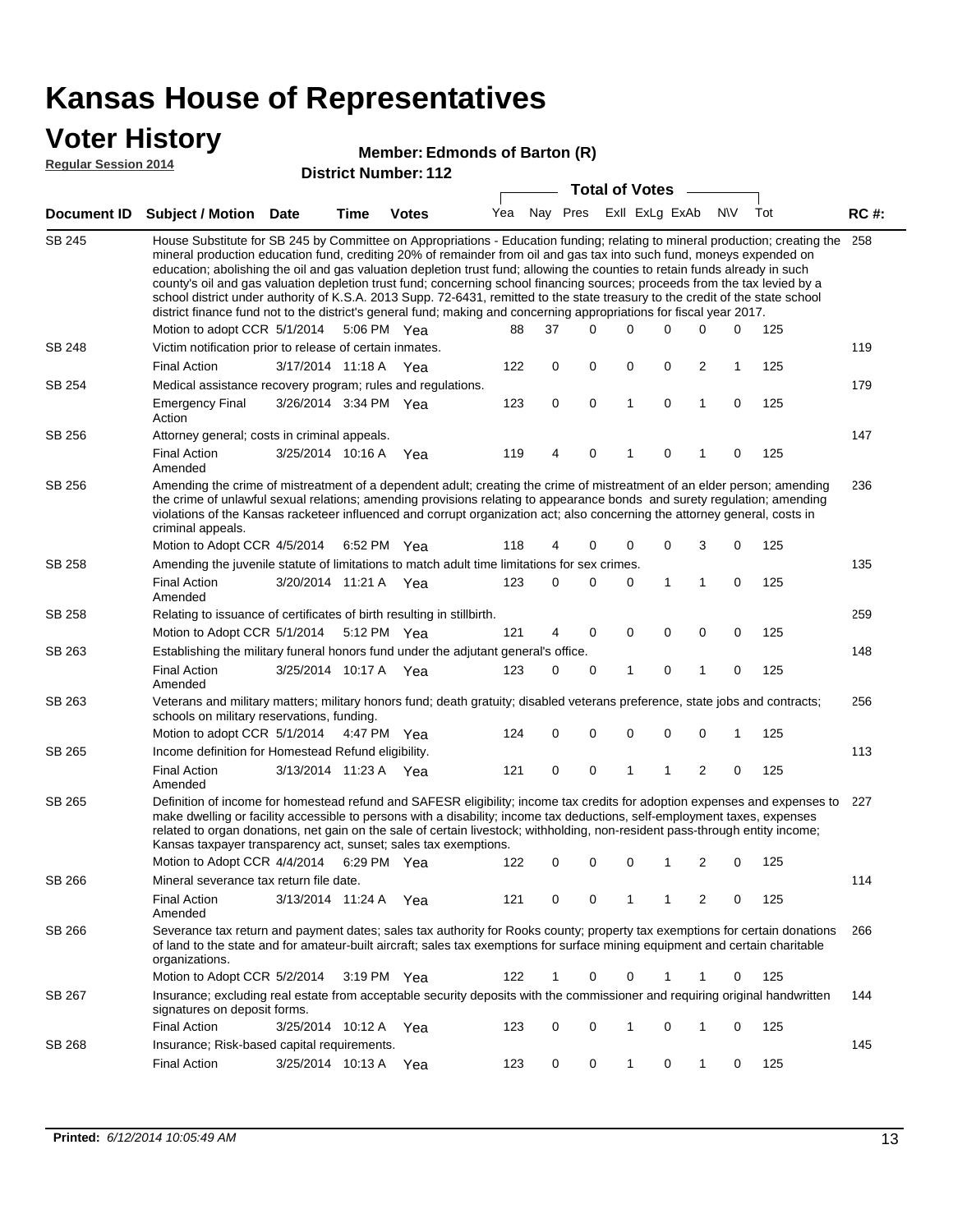### **Voter History**

#### **Edmonds of Barton (R)**

**Regular Session 2014**

|                    |                                                                                                                                                                                                                                                                                                                                                                                                                                                                                                                                                                                                                                                                                                                                                                                                                                                                                                                                                 |                       |             | ו ואטוווטל ווער ואטן איז די |     |             | <b>Total of Votes</b>   |   |             | $\sim$       |              |     |             |
|--------------------|-------------------------------------------------------------------------------------------------------------------------------------------------------------------------------------------------------------------------------------------------------------------------------------------------------------------------------------------------------------------------------------------------------------------------------------------------------------------------------------------------------------------------------------------------------------------------------------------------------------------------------------------------------------------------------------------------------------------------------------------------------------------------------------------------------------------------------------------------------------------------------------------------------------------------------------------------|-----------------------|-------------|-----------------------------|-----|-------------|-------------------------|---|-------------|--------------|--------------|-----|-------------|
| <b>Document ID</b> | <b>Subject / Motion Date</b>                                                                                                                                                                                                                                                                                                                                                                                                                                                                                                                                                                                                                                                                                                                                                                                                                                                                                                                    |                       | <b>Time</b> | <b>Votes</b>                | Yea |             | Nay Pres ExII ExLg ExAb |   |             |              | N\V          | Tot | <b>RC#:</b> |
| <b>SB 245</b>      | House Substitute for SB 245 by Committee on Appropriations - Education funding; relating to mineral production; creating the 258<br>mineral production education fund, crediting 20% of remainder from oil and gas tax into such fund, moneys expended on<br>education; abolishing the oil and gas valuation depletion trust fund; allowing the counties to retain funds already in such<br>county's oil and gas valuation depletion trust fund; concerning school financing sources; proceeds from the tax levied by a<br>school district under authority of K.S.A. 2013 Supp. 72-6431, remitted to the state treasury to the credit of the state school<br>district finance fund not to the district's general fund; making and concerning appropriations for fiscal year 2017.<br>37<br>0<br>Motion to adopt CCR 5/1/2014<br>5:06 PM Yea<br>88<br>$\Omega$<br>0<br>0<br>0<br>125<br>Victim notification prior to release of certain inmates. |                       |             |                             |     |             |                         |   |             |              |              |     |             |
| <b>SB 248</b>      |                                                                                                                                                                                                                                                                                                                                                                                                                                                                                                                                                                                                                                                                                                                                                                                                                                                                                                                                                 |                       |             |                             |     |             |                         |   |             |              |              |     | 119         |
|                    | <b>Final Action</b>                                                                                                                                                                                                                                                                                                                                                                                                                                                                                                                                                                                                                                                                                                                                                                                                                                                                                                                             | 3/17/2014 11:18 A     |             | Yea                         | 122 | 0           | 0                       | 0 | 0           | 2            | $\mathbf{1}$ | 125 |             |
| SB 254             | Medical assistance recovery program; rules and regulations.                                                                                                                                                                                                                                                                                                                                                                                                                                                                                                                                                                                                                                                                                                                                                                                                                                                                                     |                       |             |                             |     |             |                         |   |             |              |              |     | 179         |
|                    | <b>Emergency Final</b><br>Action                                                                                                                                                                                                                                                                                                                                                                                                                                                                                                                                                                                                                                                                                                                                                                                                                                                                                                                | 3/26/2014 3:34 PM Yea |             |                             | 123 | $\mathbf 0$ | 0                       | 1 | $\mathbf 0$ | $\mathbf{1}$ | $\mathbf 0$  | 125 |             |
| SB 256             | Attorney general; costs in criminal appeals.                                                                                                                                                                                                                                                                                                                                                                                                                                                                                                                                                                                                                                                                                                                                                                                                                                                                                                    |                       |             |                             |     |             |                         |   |             |              |              |     | 147         |
|                    | <b>Final Action</b><br>Amended                                                                                                                                                                                                                                                                                                                                                                                                                                                                                                                                                                                                                                                                                                                                                                                                                                                                                                                  | 3/25/2014 10:16 A     |             | Yea                         | 119 | 4           | 0                       | 1 | 0           | 1            | $\mathbf 0$  | 125 |             |
| SB 256             | Amending the crime of mistreatment of a dependent adult; creating the crime of mistreatment of an elder person; amending<br>the crime of unlawful sexual relations; amending provisions relating to appearance bonds and surety regulation; amending<br>violations of the Kansas racketeer influenced and corrupt organization act; also concerning the attorney general, costs in<br>criminal appeals.                                                                                                                                                                                                                                                                                                                                                                                                                                                                                                                                         |                       |             |                             |     |             |                         |   |             |              |              |     | 236         |
|                    | Motion to Adopt CCR 4/5/2014                                                                                                                                                                                                                                                                                                                                                                                                                                                                                                                                                                                                                                                                                                                                                                                                                                                                                                                    |                       | 6:52 PM Yea |                             | 118 | 4           | 0                       | 0 | 0           | 3            | 0            | 125 |             |
| <b>SB 258</b>      | Amending the juvenile statute of limitations to match adult time limitations for sex crimes.<br><b>Final Action</b><br>Amended                                                                                                                                                                                                                                                                                                                                                                                                                                                                                                                                                                                                                                                                                                                                                                                                                  | 3/20/2014 11:21 A Yea |             |                             | 123 | 0           | 0                       | 0 | 1           | $\mathbf{1}$ | 0            | 125 | 135         |
| SB 258             | Relating to issuance of certificates of birth resulting in stillbirth.                                                                                                                                                                                                                                                                                                                                                                                                                                                                                                                                                                                                                                                                                                                                                                                                                                                                          |                       |             |                             |     |             |                         |   |             |              |              |     | 259         |
|                    | Motion to Adopt CCR 5/1/2014                                                                                                                                                                                                                                                                                                                                                                                                                                                                                                                                                                                                                                                                                                                                                                                                                                                                                                                    |                       |             | 5:12 PM Yea                 | 121 | 4           | 0                       | 0 | $\mathbf 0$ | 0            | 0            | 125 |             |
| SB 263             | Establishing the military funeral honors fund under the adjutant general's office.                                                                                                                                                                                                                                                                                                                                                                                                                                                                                                                                                                                                                                                                                                                                                                                                                                                              |                       |             |                             |     |             |                         |   |             |              |              |     | 148         |
|                    | <b>Final Action</b><br>Amended                                                                                                                                                                                                                                                                                                                                                                                                                                                                                                                                                                                                                                                                                                                                                                                                                                                                                                                  | 3/25/2014 10:17 A Yea |             |                             | 123 | 0           | 0                       | 1 | 0           | 1            | 0            | 125 |             |
| SB 263             | Veterans and military matters; military honors fund; death gratuity; disabled veterans preference, state jobs and contracts;<br>schools on military reservations, funding.                                                                                                                                                                                                                                                                                                                                                                                                                                                                                                                                                                                                                                                                                                                                                                      |                       |             |                             |     |             |                         |   |             |              |              |     | 256         |
|                    | Motion to adopt CCR 5/1/2014 4:47 PM Yea                                                                                                                                                                                                                                                                                                                                                                                                                                                                                                                                                                                                                                                                                                                                                                                                                                                                                                        |                       |             |                             | 124 | 0           | 0                       | 0 | 0           | 0            | 1            | 125 |             |
| SB 265             | Income definition for Homestead Refund eligibility.                                                                                                                                                                                                                                                                                                                                                                                                                                                                                                                                                                                                                                                                                                                                                                                                                                                                                             |                       |             |                             |     |             |                         |   |             |              |              |     | 113         |
|                    | <b>Final Action</b><br>Amended                                                                                                                                                                                                                                                                                                                                                                                                                                                                                                                                                                                                                                                                                                                                                                                                                                                                                                                  | 3/13/2014 11:23 A Yea |             |                             | 121 | 0           | 0                       | 1 | 1           | 2            | 0            | 125 |             |
| SB 265             | Definition of income for homestead refund and SAFESR eligibility; income tax credits for adoption expenses and expenses to<br>make dwelling or facility accessible to persons with a disability; income tax deductions, self-employment taxes, expenses<br>related to organ donations, net gain on the sale of certain livestock; withholding, non-resident pass-through entity income;<br>Kansas taxpayer transparency act, sunset; sales tax exemptions.                                                                                                                                                                                                                                                                                                                                                                                                                                                                                      |                       |             |                             |     |             |                         |   |             |              |              |     | 227         |
|                    | Motion to Adopt CCR 4/4/2014                                                                                                                                                                                                                                                                                                                                                                                                                                                                                                                                                                                                                                                                                                                                                                                                                                                                                                                    |                       |             | 6:29 PM Yea                 | 122 | 0           | 0                       | 0 | 1           | 2            | 0            | 125 |             |
| SB 266             | Mineral severance tax return file date.                                                                                                                                                                                                                                                                                                                                                                                                                                                                                                                                                                                                                                                                                                                                                                                                                                                                                                         |                       |             |                             |     |             |                         |   |             |              |              |     | 114         |
|                    | <b>Final Action</b><br>Amended                                                                                                                                                                                                                                                                                                                                                                                                                                                                                                                                                                                                                                                                                                                                                                                                                                                                                                                  | 3/13/2014 11:24 A     |             | Yea                         | 121 | 0           | 0                       | 1 | 1           | 2            | 0            | 125 |             |
| SB 266             | Severance tax return and payment dates; sales tax authority for Rooks county; property tax exemptions for certain donations<br>of land to the state and for amateur-built aircraft; sales tax exemptions for surface mining equipment and certain charitable<br>organizations.                                                                                                                                                                                                                                                                                                                                                                                                                                                                                                                                                                                                                                                                  |                       |             |                             |     |             |                         |   |             |              |              |     | 266         |
|                    | Motion to Adopt CCR 5/2/2014                                                                                                                                                                                                                                                                                                                                                                                                                                                                                                                                                                                                                                                                                                                                                                                                                                                                                                                    |                       |             | $3:19 \text{ PM}$ Yea       | 122 | 1           | 0                       | 0 |             | 1            | 0            | 125 |             |
| SB 267             | Insurance; excluding real estate from acceptable security deposits with the commissioner and requiring original handwritten<br>signatures on deposit forms.                                                                                                                                                                                                                                                                                                                                                                                                                                                                                                                                                                                                                                                                                                                                                                                     |                       |             |                             |     |             |                         |   |             |              |              |     | 144         |
|                    | <b>Final Action</b>                                                                                                                                                                                                                                                                                                                                                                                                                                                                                                                                                                                                                                                                                                                                                                                                                                                                                                                             | 3/25/2014 10:12 A     |             | Yea                         | 123 | 0           | 0                       | 1 | 0           | 1            | 0            | 125 |             |
| SB 268             | Insurance; Risk-based capital requirements.                                                                                                                                                                                                                                                                                                                                                                                                                                                                                                                                                                                                                                                                                                                                                                                                                                                                                                     |                       |             |                             |     |             |                         |   |             |              |              |     | 145         |
|                    | <b>Final Action</b>                                                                                                                                                                                                                                                                                                                                                                                                                                                                                                                                                                                                                                                                                                                                                                                                                                                                                                                             | 3/25/2014 10:13 A     |             | Yea                         | 123 | 0           | 0                       | 1 | 0           | 1            | 0            | 125 |             |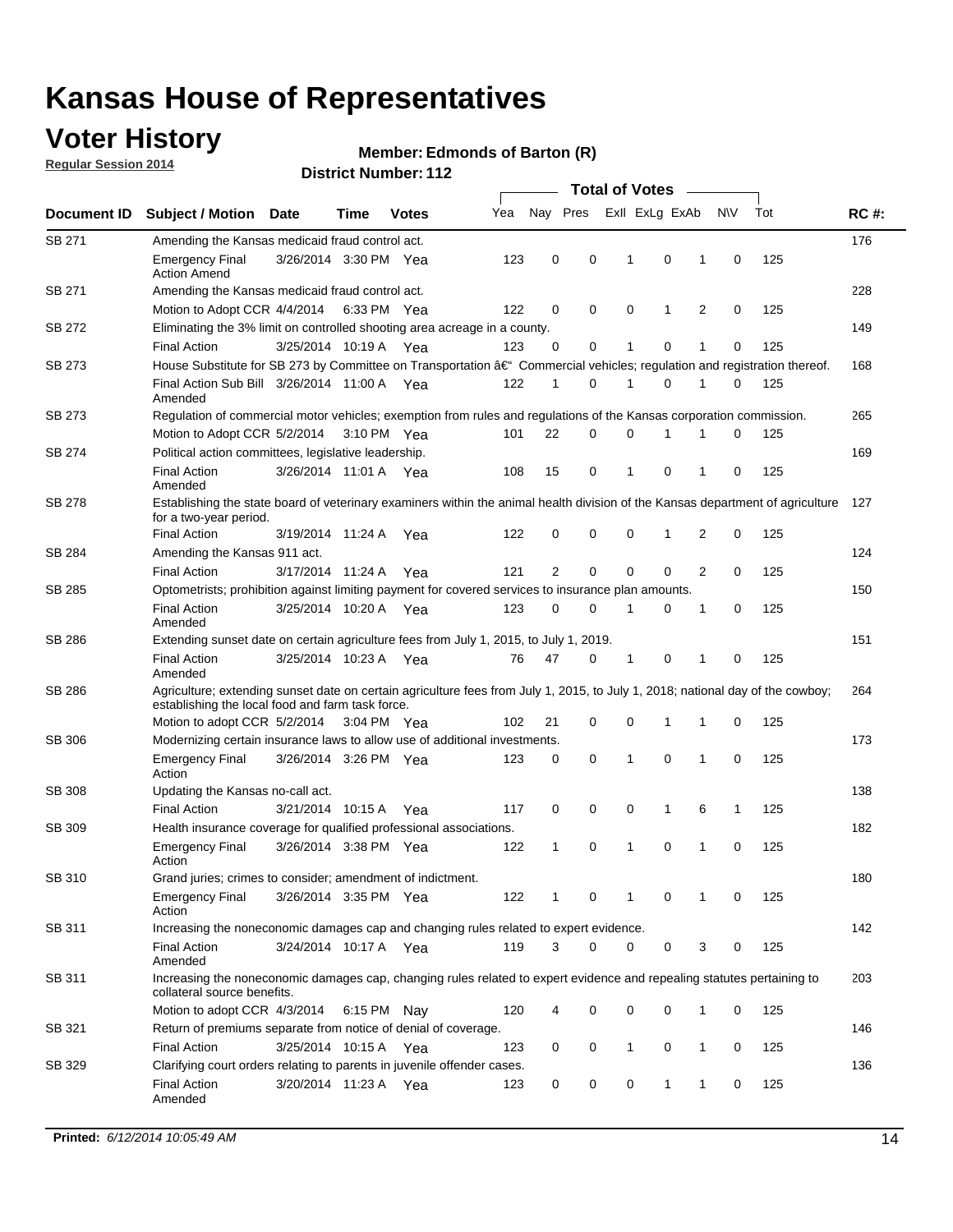## **Voter History**

**Regular Session 2014**

#### **Edmonds of Barton (R)**

|                  |                                                                                                                                                                                    |                       |             |              |     | <b>Total of Votes</b> |   |   |                |   |   |             |     |             |  |  |  |  |  |  |
|------------------|------------------------------------------------------------------------------------------------------------------------------------------------------------------------------------|-----------------------|-------------|--------------|-----|-----------------------|---|---|----------------|---|---|-------------|-----|-------------|--|--|--|--|--|--|
| Document ID      | <b>Subject / Motion</b>                                                                                                                                                            | <b>Date</b>           | Time        | <b>Votes</b> | Yea | Nay Pres              |   |   | Exll ExLg ExAb |   |   | <b>NV</b>   | Tot | <b>RC#:</b> |  |  |  |  |  |  |
| SB 271           | Amending the Kansas medicaid fraud control act.                                                                                                                                    |                       |             |              |     |                       |   |   |                |   |   |             |     | 176         |  |  |  |  |  |  |
|                  | <b>Emergency Final</b><br><b>Action Amend</b>                                                                                                                                      | 3/26/2014 3:30 PM Yea |             |              | 123 | 0                     | 0 |   | 1              | 0 | 1 | 0           | 125 |             |  |  |  |  |  |  |
| SB 271           | Amending the Kansas medicaid fraud control act.                                                                                                                                    |                       |             |              |     |                       |   |   |                |   |   |             |     | 228         |  |  |  |  |  |  |
|                  | Motion to Adopt CCR 4/4/2014 6:33 PM Yea                                                                                                                                           |                       |             |              | 122 | 0                     | 0 |   | 0              | 1 | 2 | 0           | 125 |             |  |  |  |  |  |  |
| SB 272           | Eliminating the 3% limit on controlled shooting area acreage in a county.                                                                                                          |                       |             |              |     |                       |   |   |                |   |   |             |     | 149         |  |  |  |  |  |  |
|                  | <b>Final Action</b>                                                                                                                                                                | 3/25/2014 10:19 A Yea |             |              | 123 | 0                     |   | 0 | $\mathbf{1}$   | 0 | 1 | 0           | 125 |             |  |  |  |  |  |  |
| SB 273           | House Substitute for SB 273 by Committee on Transportation â€ <sup>4</sup> Commercial vehicles; regulation and registration thereof.                                               |                       |             |              |     |                       |   |   |                |   |   |             |     | 168         |  |  |  |  |  |  |
|                  | Final Action Sub Bill 3/26/2014 11:00 A Yea<br>Amended                                                                                                                             |                       |             |              | 122 | 1                     |   | 0 | 1              | 0 | 1 | 0           | 125 |             |  |  |  |  |  |  |
| SB 273           | Regulation of commercial motor vehicles; exemption from rules and regulations of the Kansas corporation commission.                                                                |                       |             |              |     |                       |   |   |                |   |   |             |     | 265         |  |  |  |  |  |  |
|                  | Motion to Adopt CCR 5/2/2014                                                                                                                                                       |                       | 3:10 PM Yea |              | 101 | 22                    |   | 0 | 0              | 1 |   | 0           | 125 |             |  |  |  |  |  |  |
| SB 274           | Political action committees, legislative leadership.                                                                                                                               |                       |             |              |     |                       |   |   |                |   |   |             |     | 169         |  |  |  |  |  |  |
|                  | <b>Final Action</b><br>Amended                                                                                                                                                     | 3/26/2014 11:01 A Yea |             |              | 108 | 15                    |   | 0 | 1              | 0 | 1 | 0           | 125 |             |  |  |  |  |  |  |
| SB 278           | Establishing the state board of veterinary examiners within the animal health division of the Kansas department of agriculture<br>for a two-year period.                           |                       |             |              |     |                       |   |   |                |   |   |             |     | 127         |  |  |  |  |  |  |
|                  | <b>Final Action</b>                                                                                                                                                                | 3/19/2014 11:24 A     |             | Yea          | 122 | 0                     | 0 |   | 0              | 1 | 2 | 0           | 125 |             |  |  |  |  |  |  |
| SB 284           | Amending the Kansas 911 act.                                                                                                                                                       |                       |             |              |     |                       |   |   |                |   |   |             |     | 124         |  |  |  |  |  |  |
|                  | <b>Final Action</b>                                                                                                                                                                | 3/17/2014 11:24 A     |             | Yea          | 121 | 2                     |   | 0 | 0              | 0 | 2 | 0           | 125 |             |  |  |  |  |  |  |
| SB 285           | Optometrists; prohibition against limiting payment for covered services to insurance plan amounts.                                                                                 |                       |             |              |     |                       |   |   |                |   |   |             |     | 150         |  |  |  |  |  |  |
|                  | <b>Final Action</b><br>Amended                                                                                                                                                     | 3/25/2014 10:20 A Yea |             |              | 123 | 0                     |   | 0 | 1              | 0 | 1 | 0           | 125 |             |  |  |  |  |  |  |
| SB 286           | Extending sunset date on certain agriculture fees from July 1, 2015, to July 1, 2019.                                                                                              |                       |             |              |     |                       |   |   |                |   |   |             |     | 151         |  |  |  |  |  |  |
|                  | <b>Final Action</b><br>Amended                                                                                                                                                     | 3/25/2014 10:23 A Yea |             |              | 76  | 47                    | 0 |   | 1              | 0 | 1 | 0           | 125 |             |  |  |  |  |  |  |
| SB 286           | Agriculture; extending sunset date on certain agriculture fees from July 1, 2015, to July 1, 2018; national day of the cowboy;<br>establishing the local food and farm task force. |                       |             |              |     |                       |   |   |                |   |   |             |     | 264         |  |  |  |  |  |  |
|                  | Motion to adopt CCR 5/2/2014 3:04 PM Yea                                                                                                                                           |                       |             |              | 102 | 21                    |   | 0 | 0              | 1 | 1 | 0           | 125 |             |  |  |  |  |  |  |
| SB 306           | Modernizing certain insurance laws to allow use of additional investments.                                                                                                         |                       |             |              |     |                       |   |   |                |   |   |             |     | 173         |  |  |  |  |  |  |
|                  | <b>Emergency Final</b><br>Action                                                                                                                                                   | 3/26/2014 3:26 PM Yea |             |              | 123 | 0                     | 0 |   | 1              | 0 | 1 | $\mathbf 0$ | 125 |             |  |  |  |  |  |  |
| <b>SB 308</b>    | Updating the Kansas no-call act.                                                                                                                                                   |                       |             |              |     |                       |   |   |                |   |   |             |     | 138         |  |  |  |  |  |  |
|                  | <b>Final Action</b>                                                                                                                                                                | 3/21/2014 10:15 A     |             | Yea          | 117 | 0                     | 0 |   | 0              | 1 | 6 | 1           | 125 |             |  |  |  |  |  |  |
| SB 309           | Health insurance coverage for qualified professional associations.                                                                                                                 |                       |             |              |     |                       |   |   |                |   |   |             |     | 182         |  |  |  |  |  |  |
|                  | <b>Emergency Final</b><br>Action                                                                                                                                                   | 3/26/2014 3:38 PM Yea |             |              | 122 | 1                     |   | 0 | 1              | 0 | 1 | 0           | 125 |             |  |  |  |  |  |  |
| SB 310           | Grand juries; crimes to consider; amendment of indictment.                                                                                                                         |                       |             |              |     |                       |   |   |                |   |   |             |     | 180         |  |  |  |  |  |  |
|                  | <b>Emergency Final</b><br>Action                                                                                                                                                   | 3/26/2014 3:35 PM Yea |             |              | 122 | 1                     | 0 |   | 1              | 0 | 1 | 0           | 125 |             |  |  |  |  |  |  |
| SB 311           | Increasing the noneconomic damages cap and changing rules related to expert evidence.                                                                                              |                       |             |              |     |                       |   |   |                |   |   |             |     | 142         |  |  |  |  |  |  |
|                  | <b>Final Action</b><br>Amended                                                                                                                                                     | 3/24/2014 10:17 A Yea |             |              | 119 | 3                     |   | 0 | 0              | 0 | 3 | 0           | 125 |             |  |  |  |  |  |  |
| SB 311           | Increasing the noneconomic damages cap, changing rules related to expert evidence and repealing statutes pertaining to<br>collateral source benefits.                              |                       |             |              |     |                       |   |   |                |   |   |             |     | 203         |  |  |  |  |  |  |
|                  | Motion to adopt CCR 4/3/2014 6:15 PM Nay                                                                                                                                           |                       |             |              | 120 | 4                     |   | 0 | 0              | 0 | 1 | 0           | 125 |             |  |  |  |  |  |  |
|                  |                                                                                                                                                                                    |                       |             |              |     |                       |   |   |                |   |   |             |     | 146         |  |  |  |  |  |  |
|                  | 3/25/2014 10:15 A Yea<br>0<br>0<br>125<br><b>Final Action</b><br>123<br>0<br>1<br>1<br>0                                                                                           |                       |             |              |     |                       |   |   |                |   |   |             |     |             |  |  |  |  |  |  |
|                  | <b>Final Action</b>                                                                                                                                                                | 3/20/2014 11:23 A Yea |             |              | 123 | 0                     | 0 |   | 0              | 1 | 1 | 0           | 125 | 136         |  |  |  |  |  |  |
| SB 321<br>SB 329 | Return of premiums separate from notice of denial of coverage.<br>Clarifying court orders relating to parents in juvenile offender cases.<br>Amended                               |                       |             |              |     |                       |   |   |                |   |   |             |     |             |  |  |  |  |  |  |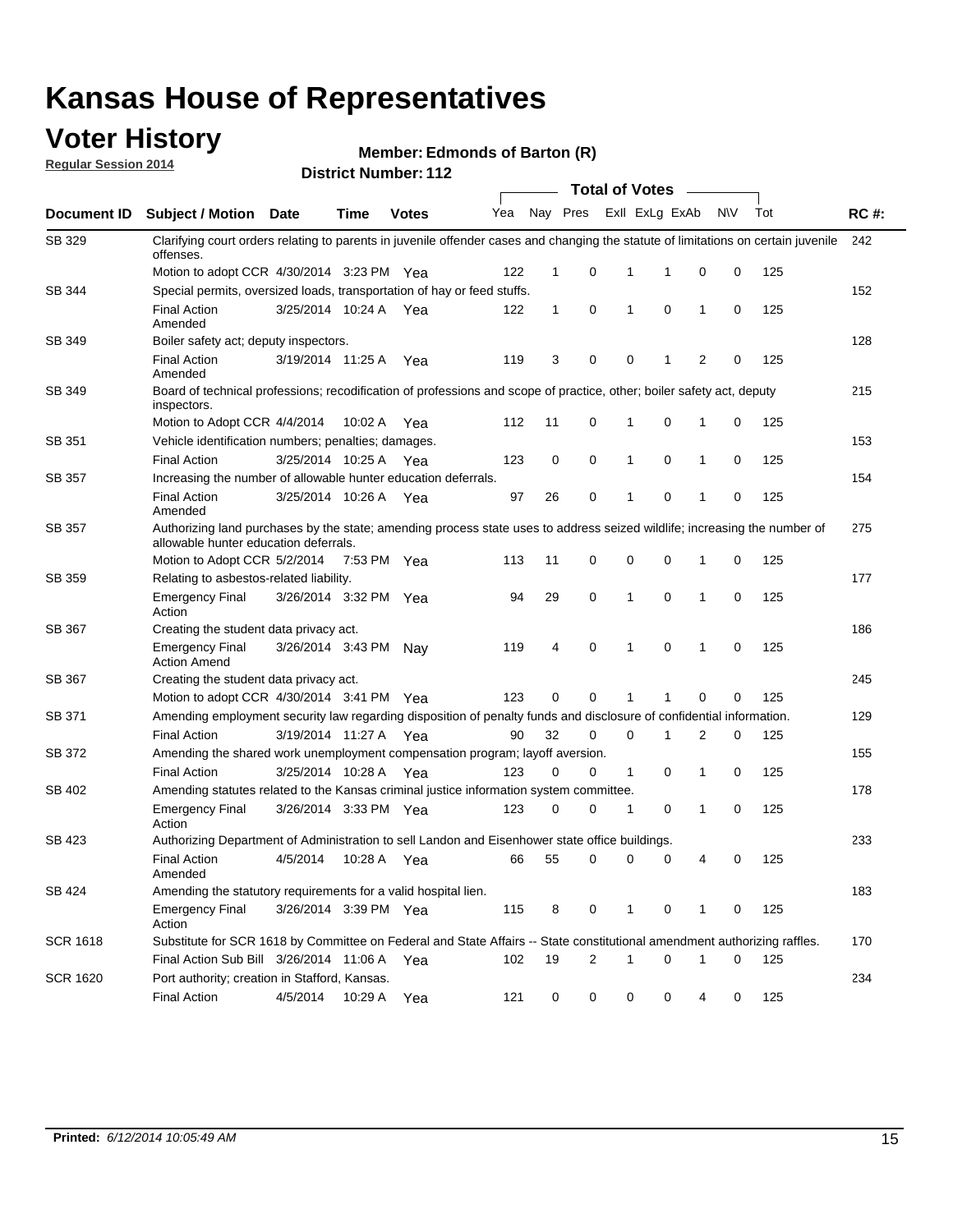### **Voter History**

**Regular Session 2014**

#### **Edmonds of Barton (R)**

|                 |                                                                                                                                                                    | <b>Total of Votes</b> |             |              |     |              |                |                         |             |              |           |     |             |
|-----------------|--------------------------------------------------------------------------------------------------------------------------------------------------------------------|-----------------------|-------------|--------------|-----|--------------|----------------|-------------------------|-------------|--------------|-----------|-----|-------------|
| Document ID     | <b>Subject / Motion Date</b>                                                                                                                                       |                       | Time        | <b>Votes</b> | Yea |              |                | Nay Pres ExII ExLg ExAb |             |              | <b>NV</b> | Tot | <b>RC#:</b> |
| SB 329          | Clarifying court orders relating to parents in juvenile offender cases and changing the statute of limitations on certain juvenile<br>offenses.                    |                       |             |              |     |              |                |                         |             |              |           |     | 242         |
|                 | Motion to adopt CCR 4/30/2014 3:23 PM Yea                                                                                                                          |                       |             |              | 122 | $\mathbf 1$  | 0              | 1                       | -1          | $\mathbf 0$  | 0         | 125 |             |
| SB 344          | Special permits, oversized loads, transportation of hay or feed stuffs.                                                                                            |                       |             |              |     |              |                |                         |             |              |           |     | 152         |
|                 | <b>Final Action</b><br>Amended                                                                                                                                     | 3/25/2014 10:24 A     |             | Yea          | 122 | $\mathbf{1}$ | 0              | 1                       | $\mathbf 0$ | $\mathbf{1}$ | 0         | 125 |             |
| SB 349          | Boiler safety act; deputy inspectors.                                                                                                                              |                       |             |              |     |              |                |                         |             |              |           |     | 128         |
|                 | <b>Final Action</b><br>Amended                                                                                                                                     | 3/19/2014 11:25 A     |             | Yea          | 119 | 3            | 0              | 0                       | 1           | 2            | 0         | 125 |             |
| <b>SB 349</b>   | Board of technical professions; recodification of professions and scope of practice, other; boiler safety act, deputy<br>inspectors.                               |                       |             |              |     |              |                |                         |             |              |           |     | 215         |
|                 | Motion to Adopt CCR 4/4/2014                                                                                                                                       |                       | 10:02 A     | Yea          | 112 | 11           | 0              | 1                       | 0           | 1            | 0         | 125 |             |
| SB 351          | Vehicle identification numbers; penalties; damages.                                                                                                                |                       |             |              |     |              |                |                         |             |              |           |     | 153         |
|                 | <b>Final Action</b>                                                                                                                                                | 3/25/2014 10:25 A     |             | Yea          | 123 | 0            | 0              | 1                       | 0           | 1            | 0         | 125 |             |
| <b>SB 357</b>   | Increasing the number of allowable hunter education deferrals.                                                                                                     |                       |             |              |     |              |                |                         |             |              |           |     | 154         |
|                 | <b>Final Action</b><br>Amended                                                                                                                                     | 3/25/2014 10:26 A     |             | Yea          | 97  | 26           | 0              | 1                       | 0           | 1            | 0         | 125 |             |
| SB 357          | Authorizing land purchases by the state; amending process state uses to address seized wildlife; increasing the number of<br>allowable hunter education deferrals. |                       |             |              |     |              |                |                         |             |              |           |     | 275         |
|                 | Motion to Adopt CCR 5/2/2014                                                                                                                                       |                       | 7:53 PM Yea |              | 113 | 11           | 0              | 0                       | 0           | 1            | 0         | 125 |             |
| SB 359          | Relating to asbestos-related liability.                                                                                                                            |                       |             |              |     |              |                |                         |             |              | 177       |     |             |
|                 | <b>Emergency Final</b><br>Action                                                                                                                                   | 3/26/2014 3:32 PM Yea |             |              | 94  | 29           | 0              | 1                       | 0           | 1            | 0         | 125 |             |
| SB 367          | Creating the student data privacy act.                                                                                                                             |                       |             |              |     |              |                |                         |             |              |           |     | 186         |
|                 | <b>Emergency Final</b><br><b>Action Amend</b>                                                                                                                      | 3/26/2014 3:43 PM Nay |             |              | 119 | 4            | 0              | 1                       | 0           | 1            | 0         | 125 |             |
| SB 367          | Creating the student data privacy act.                                                                                                                             |                       |             |              |     |              |                |                         |             |              |           |     | 245         |
|                 | Motion to adopt CCR 4/30/2014 3:41 PM Yea                                                                                                                          |                       |             |              | 123 | 0            | 0              | 1                       | 1           | 0            | 0         | 125 |             |
| SB 371          | Amending employment security law regarding disposition of penalty funds and disclosure of confidential information.                                                |                       |             |              |     |              |                |                         |             |              |           |     | 129         |
|                 | <b>Final Action</b>                                                                                                                                                | 3/19/2014 11:27 A Yea |             |              | 90  | 32           | 0              | $\mathbf 0$             | 1           | 2            | 0         | 125 |             |
| SB 372          | Amending the shared work unemployment compensation program; layoff aversion.                                                                                       |                       |             |              |     |              |                |                         |             |              |           |     | 155         |
|                 | <b>Final Action</b>                                                                                                                                                | 3/25/2014 10:28 A     |             | Yea          | 123 | 0            | 0              | $\mathbf{1}$            | 0           | 1            | 0         | 125 |             |
| SB 402          | Amending statutes related to the Kansas criminal justice information system committee.                                                                             |                       |             |              |     |              |                |                         |             |              |           |     | 178         |
|                 | <b>Emergency Final</b><br>Action                                                                                                                                   | 3/26/2014 3:33 PM Yea |             |              | 123 | 0            | 0              | 1                       | 0           | 1            | 0         | 125 |             |
| SB 423          | Authorizing Department of Administration to sell Landon and Eisenhower state office buildings.                                                                     |                       |             |              |     |              |                |                         |             |              |           |     | 233         |
|                 | <b>Final Action</b><br>Amended                                                                                                                                     | 4/5/2014              | 10:28 A     | Yea          | 66  | 55           | 0              | 0                       | 0           | 4            | 0         | 125 |             |
| SB 424          | Amending the statutory requirements for a valid hospital lien.                                                                                                     |                       |             |              |     |              |                |                         |             |              |           |     | 183         |
|                 | <b>Emergency Final</b><br>Action                                                                                                                                   | 3/26/2014 3:39 PM Yea |             |              | 115 | 8            | 0              | 1                       | 0           | 1            | 0         | 125 |             |
| <b>SCR 1618</b> | Substitute for SCR 1618 by Committee on Federal and State Affairs -- State constitutional amendment authorizing raffles.                                           |                       |             |              |     |              |                |                         |             |              |           |     | 170         |
|                 | Final Action Sub Bill 3/26/2014 11:06 A Yea                                                                                                                        |                       |             |              | 102 | 19           | $\overline{2}$ | 1                       | 0           | 1            | 0         | 125 |             |
| <b>SCR 1620</b> | Port authority; creation in Stafford, Kansas.                                                                                                                      |                       |             |              |     |              |                |                         |             |              |           |     | 234         |
|                 | <b>Final Action</b>                                                                                                                                                | 4/5/2014              | 10:29 A Yea |              | 121 | 0            | 0              | 0                       | 0           | 4            | 0         | 125 |             |